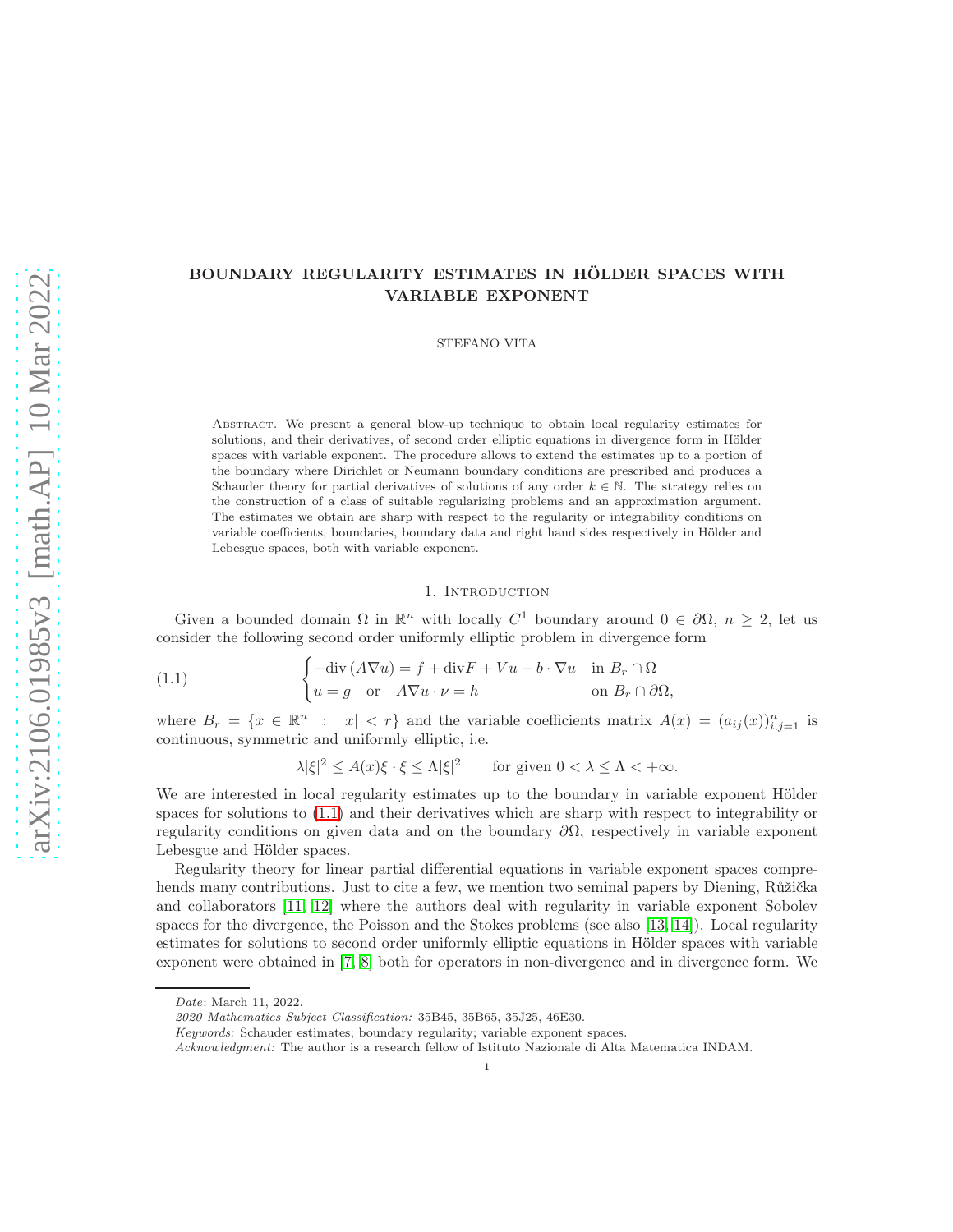# BOUNDARY REGULARITY ESTIMATES IN HÖLDER SPACES WITH VARIABLE EXPONENT

STEFANO VITA

Abstract. We present a general blow-up technique to obtain local regularity estimates for solutions, and their derivatives, of second order elliptic equations in divergence form in Hölder spaces with variable exponent. The procedure allows to extend the estimates up to a portion of the boundary where Dirichlet or Neumann boundary conditions are prescribed and produces a Schauder theory for partial derivatives of solutions of any order  $k \in \mathbb{N}$ . The strategy relies on the construction of a class of suitable regularizing problems and an approximation argument. The estimates we obtain are sharp with respect to the regularity or integrability conditions on variable coefficients, boundaries, boundary data and right hand sides respectively in Hölder and Lebesgue spaces, both with variable exponent.

# 1. Introduction

Given a bounded domain  $\Omega$  in  $\mathbb{R}^n$  with locally  $C^1$  boundary around  $0 \in \partial \Omega$ ,  $n \geq 2$ , let us consider the following second order uniformly elliptic problem in divergence form

(1.1) 
$$
\begin{cases}\n-\text{div}(A\nabla u) = f + \text{div}F + Vu + b \cdot \nabla u & \text{in } B_r \cap \Omega \\
u = g & \text{or } A\nabla u \cdot \nu = h & \text{on } B_r \cap \partial\Omega,\n\end{cases}
$$

where  $B_r = \{x \in \mathbb{R}^n : |x| < r\}$  and the variable coefficients matrix  $A(x) = (a_{ij}(x))_{i,j=1}^n$  is continuous, symmetric and uniformly elliptic, i.e.

<span id="page-0-0"></span> $|\lambda|\xi|^2 \leq A(x)\xi \cdot \xi \leq \Lambda |\xi|^2$  for given  $0 < \lambda \leq \Lambda < +\infty$ .

We are interested in local regularity estimates up to the boundary in variable exponent Hölder spaces for solutions to [\(1.1\)](#page-0-0) and their derivatives which are sharp with respect to integrability or regularity conditions on given data and on the boundary  $\partial\Omega$ , respectively in variable exponent Lebesgue and Hölder spaces.

Regularity theory for linear partial differential equations in variable exponent spaces comprehends many contributions. Just to cite a few, we mention two seminal papers by Diening, Růžička and collaborators [\[11,](#page-28-0) [12\]](#page-28-1) where the authors deal with regularity in variable exponent Sobolev spaces for the divergence, the Poisson and the Stokes problems (see also [\[13,](#page-28-2) [14\]](#page-29-0)). Local regularity estimates for solutions to second order uniformly elliptic equations in Hölder spaces with variable exponent were obtained in [\[7,](#page-28-3) [8\]](#page-28-4) both for operators in non-divergence and in divergence form. We

Date: March 11, 2022.

<sup>2020</sup> Mathematics Subject Classification: 35B45, 35B65, 35J25, 46E30.

Keywords: Schauder estimates; boundary regularity; variable exponent spaces.

Acknowledgment: The author is a research fellow of Istituto Nazionale di Alta Matematica INDAM.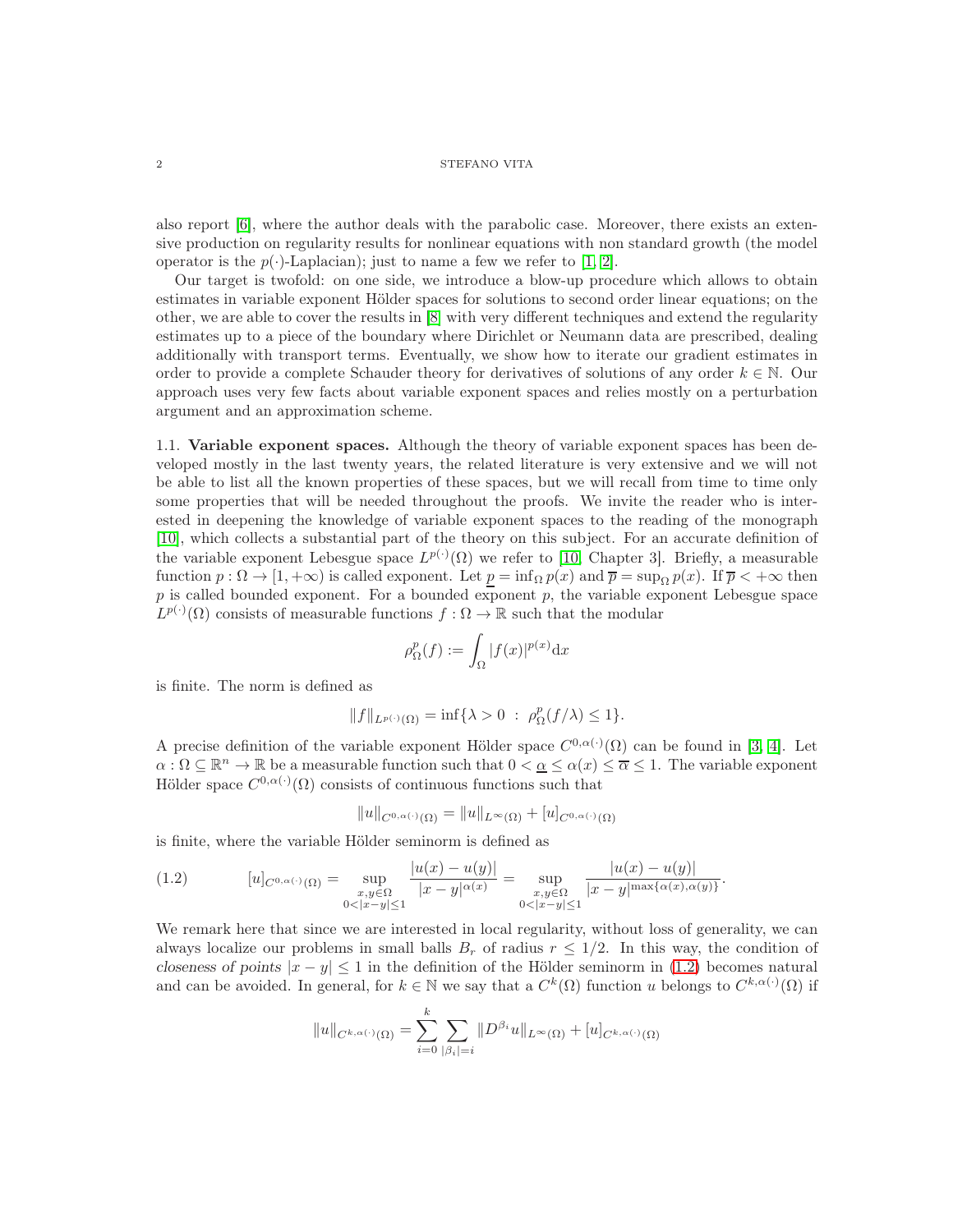## $2\,$   $\,$   $\,$  STEFANO VITA

also report [\[6\]](#page-28-5), where the author deals with the parabolic case. Moreover, there exists an extensive production on regularity results for nonlinear equations with non standard growth (the model operator is the  $p(\cdot)$ -Laplacian); just to name a few we refer to [\[1,](#page-28-6) [2\]](#page-28-7).

Our target is twofold: on one side, we introduce a blow-up procedure which allows to obtain estimates in variable exponent Hölder spaces for solutions to second order linear equations; on the other, we are able to cover the results in [\[8\]](#page-28-4) with very different techniques and extend the regularity estimates up to a piece of the boundary where Dirichlet or Neumann data are prescribed, dealing additionally with transport terms. Eventually, we show how to iterate our gradient estimates in order to provide a complete Schauder theory for derivatives of solutions of any order  $k \in \mathbb{N}$ . Our approach uses very few facts about variable exponent spaces and relies mostly on a perturbation argument and an approximation scheme.

1.1. Variable exponent spaces. Although the theory of variable exponent spaces has been developed mostly in the last twenty years, the related literature is very extensive and we will not be able to list all the known properties of these spaces, but we will recall from time to time only some properties that will be needed throughout the proofs. We invite the reader who is interested in deepening the knowledge of variable exponent spaces to the reading of the monograph [\[10\]](#page-28-8), which collects a substantial part of the theory on this subject. For an accurate definition of the variable exponent Lebesgue space  $L^{p(\cdot)}(\Omega)$  we refer to [\[10,](#page-28-8) Chapter 3]. Briefly, a measurable function  $p : \Omega \to [1, +\infty)$  is called exponent. Let  $p = \inf_{\Omega} p(x)$  and  $\overline{p} = \sup_{\Omega} p(x)$ . If  $\overline{p} < +\infty$  then  $p$  is called bounded exponent. For a bounded exponent  $p$ , the variable exponent Lebesgue space  $L^{p(\cdot)}(\Omega)$  consists of measurable functions  $f: \Omega \to \mathbb{R}$  such that the modular

$$
\rho_{\Omega}^p(f) := \int_{\Omega} |f(x)|^{p(x)} \mathrm{d}x
$$

is finite. The norm is defined as

$$
||f||_{L^{p(\cdot)}(\Omega)} = \inf \{ \lambda > 0 \; : \; \rho_{\Omega}^p(f/\lambda) \le 1 \}.
$$

A precise definition of the variable exponent Hölder space  $C^{0,\alpha(\cdot)}(\Omega)$  can be found in [\[3,](#page-28-9) [4\]](#page-28-10). Let  $\alpha: \Omega \subseteq \mathbb{R}^n \to \mathbb{R}$  be a measurable function such that  $0 < \alpha \leq \alpha(x) \leq \overline{\alpha} \leq 1$ . The variable exponent Hölder space  $C^{0,\alpha(\cdot)}(\Omega)$  consists of continuous functions such that

$$
||u||_{C^{0,\alpha(\cdot)}(\Omega)} = ||u||_{L^{\infty}(\Omega)} + [u]_{C^{0,\alpha(\cdot)}(\Omega)}
$$

is finite, where the variable Hölder seminorm is defined as

<span id="page-1-0"></span>
$$
(1.2) \t [u]_{C^{0,\alpha(\cdot)}(\Omega)} = \sup_{\substack{x,y \in \Omega \\ 0 < |x-y| \le 1}} \frac{|u(x) - u(y)|}{|x - y|^{\alpha(x)}} = \sup_{\substack{x,y \in \Omega \\ 0 < |x-y| \le 1}} \frac{|u(x) - u(y)|}{|x - y|^{\max\{\alpha(x), \alpha(y)\}}}.
$$

We remark here that since we are interested in local regularity, without loss of generality, we can always localize our problems in small balls  $B_r$  of radius  $r \leq 1/2$ . In this way, the condition of closeness of points  $|x - y| \le 1$  in the definition of the Hölder seminorm in [\(1.2\)](#page-1-0) becomes natural and can be avoided. In general, for  $k \in \mathbb{N}$  we say that a  $C^k(\Omega)$  function u belongs to  $C^{k,\alpha(\cdot)}(\Omega)$  if

$$
||u||_{C^{k,\alpha(\cdot)}(\Omega)} = \sum_{i=0}^k \sum_{|\beta_i|=i} ||D^{\beta_i}u||_{L^\infty(\Omega)} + [u]_{C^{k,\alpha(\cdot)}(\Omega)}
$$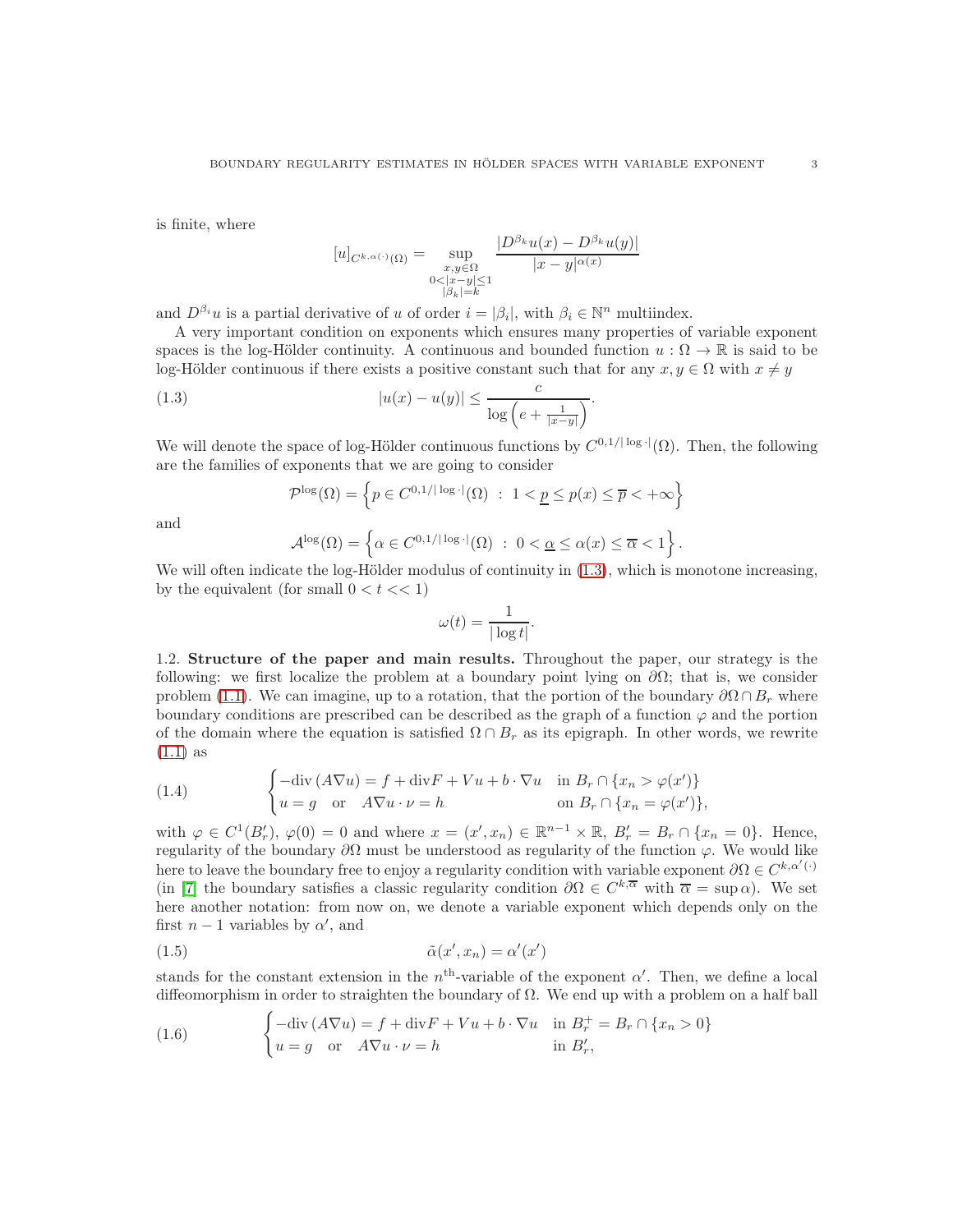is finite, where

$$
[u]_{C^{k,\alpha(\cdot)}(\Omega)} = \sup_{\substack{x,y \in \Omega \\ 0 < |x-y| \le 1 \\ |\beta_k| = k}} \frac{|D^{\beta_k}u(x) - D^{\beta_k}u(y)|}{|x - y|^{\alpha(x)}}
$$

and  $D^{\beta_i}u$  is a partial derivative of u of order  $i = |\beta_i|$ , with  $\beta_i \in \mathbb{N}^n$  multiindex.

A very important condition on exponents which ensures many properties of variable exponent spaces is the log-Hölder continuity. A continuous and bounded function  $u : \Omega \to \mathbb{R}$  is said to be log-Hölder continuous if there exists a positive constant such that for any  $x, y \in \Omega$  with  $x \neq y$ 

(1.3) 
$$
|u(x) - u(y)| \leq \frac{c}{\log\left(e + \frac{1}{|x-y|}\right)}.
$$

We will denote the space of log-Hölder continuous functions by  $C^{0,1/|\log|}(\Omega)$ . Then, the following are the families of exponents that we are going to consider

<span id="page-2-0"></span>
$$
\mathcal{P}^{\log}(\Omega) = \left\{ p \in C^{0,1/\lceil \log \cdot \rceil}(\Omega) \ : \ 1 < \underline{p} \le p(x) \le \overline{p} < +\infty \right\}
$$

and

$$
\mathcal{A}^{\log}(\Omega) = \left\{ \alpha \in C^{0,1/\lceil \log \cdot \rceil}(\Omega) \ : \ 0 < \underline{\alpha} \le \alpha(x) \le \overline{\alpha} < 1 \right\}
$$

.

We will often indicate the log-Hölder modulus of continuity in  $(1.3)$ , which is monotone increasing, by the equivalent (for small  $0 < t < 1$ )

$$
\omega(t) = \frac{1}{|\log t|}.
$$

1.2. Structure of the paper and main results. Throughout the paper, our strategy is the following: we first localize the problem at a boundary point lying on  $\partial\Omega$ ; that is, we consider problem [\(1.1\)](#page-0-0). We can imagine, up to a rotation, that the portion of the boundary  $\partial\Omega \cap B_r$  where boundary conditions are prescribed can be described as the graph of a function  $\varphi$  and the portion of the domain where the equation is satisfied  $\Omega \cap B_r$  as its epigraph. In other words, we rewrite [\(1.1\)](#page-0-0) as

<span id="page-2-3"></span>(1.4) 
$$
\begin{cases}\n-\text{div}(A\nabla u) = f + \text{div}F + Vu + b\cdot \nabla u & \text{in } B_r \cap \{x_n > \varphi(x')\} \\
u = g & \text{or} \quad A\nabla u \cdot \nu = h & \text{on } B_r \cap \{x_n = \varphi(x')\},\n\end{cases}
$$

with  $\varphi \in C^1(B'_r)$ ,  $\varphi(0) = 0$  and where  $x = (x', x_n) \in \mathbb{R}^{n-1} \times \mathbb{R}$ ,  $B'_r = B_r \cap \{x_n = 0\}$ . Hence, regularity of the boundary  $\partial\Omega$  must be understood as regularity of the function  $\varphi$ . We would like here to leave the boundary free to enjoy a regularity condition with variable exponent  $\partial\Omega \in C^{k,\alpha'(\cdot)}$ (in [\[7\]](#page-28-3) the boundary satisfies a classic regularity condition  $\partial\Omega \in C^{k,\overline{\alpha}}$  with  $\overline{\alpha} = \sup \alpha$ ). We set here another notation: from now on, we denote a variable exponent which depends only on the first  $n-1$  variables by  $\alpha'$ , and

<span id="page-2-2"></span>
$$
\tilde{\alpha}(x', x_n) = \alpha'(x')
$$

stands for the constant extension in the  $n<sup>th</sup>$ -variable of the exponent  $\alpha'$ . Then, we define a local diffeomorphism in order to straighten the boundary of  $\Omega$ . We end up with a problem on a half ball

<span id="page-2-1"></span>(1.6) 
$$
\begin{cases}\n-\text{div}(A\nabla u) = f + \text{div}F + Vu + b\cdot \nabla u & \text{in } B_r^+ = B_r \cap \{x_n > 0\} \\
u = g \quad \text{or} \quad A\nabla u \cdot \nu = h & \text{in } B'_r,\n\end{cases}
$$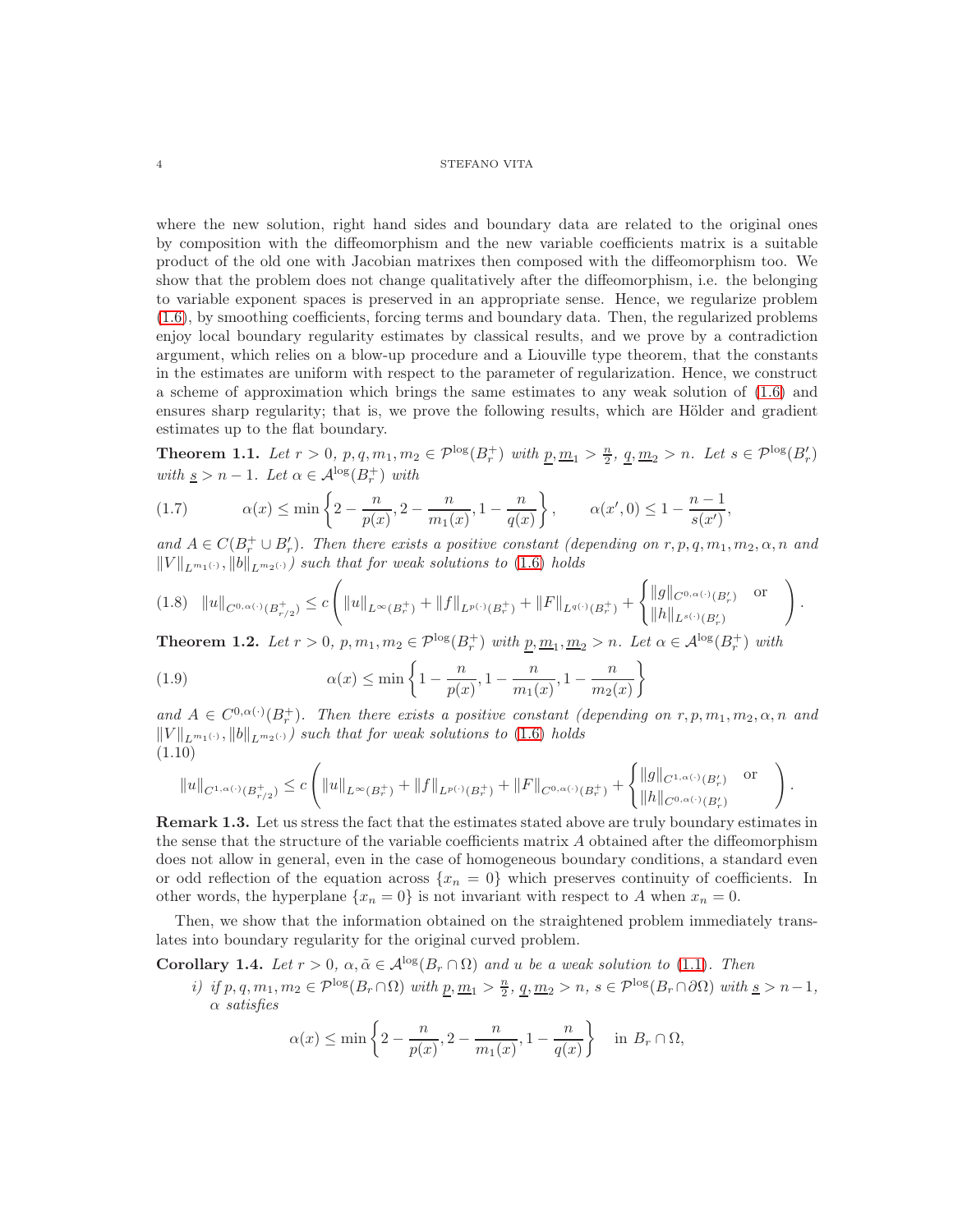where the new solution, right hand sides and boundary data are related to the original ones by composition with the diffeomorphism and the new variable coefficients matrix is a suitable product of the old one with Jacobian matrixes then composed with the diffeomorphism too. We show that the problem does not change qualitatively after the diffeomorphism, i.e. the belonging to variable exponent spaces is preserved in an appropriate sense. Hence, we regularize problem [\(1.6\)](#page-2-1), by smoothing coefficients, forcing terms and boundary data. Then, the regularized problems enjoy local boundary regularity estimates by classical results, and we prove by a contradiction argument, which relies on a blow-up procedure and a Liouville type theorem, that the constants in the estimates are uniform with respect to the parameter of regularization. Hence, we construct a scheme of approximation which brings the same estimates to any weak solution of [\(1.6\)](#page-2-1) and ensures sharp regularity; that is, we prove the following results, which are Hölder and gradient estimates up to the flat boundary.

<span id="page-3-1"></span>**Theorem 1.1.** Let  $r > 0$ ,  $p, q, m_1, m_2 \in \mathcal{P}^{\log}(B_r^+)$  with  $\underline{p}, \underline{m}_1 > \frac{n}{2}$ ,  $\underline{q}, \underline{m}_2 > n$ . Let  $s \in \mathcal{P}^{\log}(B_r')$ with  $\underline{s} > n - 1$ . Let  $\alpha \in \mathcal{A}^{\log}(B_r^+)$  with

<span id="page-3-3"></span>
$$
(1.7) \qquad \alpha(x) \le \min\left\{2 - \frac{n}{p(x)}, 2 - \frac{n}{m_1(x)}, 1 - \frac{n}{q(x)}\right\}, \qquad \alpha(x', 0) \le 1 - \frac{n - 1}{s(x')}
$$

and  $A \in C(B_r^+ \cup B'_r)$ . Then there exists a positive constant (depending on  $r, p, q, m_1, m_2, \alpha, n$  and  $||V||_{L^{m_1(\cdot)}}, ||b||_{L^{m_2(\cdot)}}$  such that for weak solutions to [\(1.6\)](#page-2-1) holds

,

.

$$
(1.8)\quad ||u||_{C^{0,\alpha(\cdot)}(B_{r/2}^+)} \leq c \left( ||u||_{L^{\infty}(B_r^+)} + ||f||_{L^{p(\cdot)}(B_r^+)} + ||F||_{L^{q(\cdot)}(B_r^+)} + \begin{cases} ||g||_{C^{0,\alpha(\cdot)}(B_r')} & \text{or} \\ ||h||_{L^{s(\cdot)}(B_r')} & \end{cases} \right).
$$

<span id="page-3-0"></span>**Theorem 1.2.** Let  $r > 0$ ,  $p, m_1, m_2 \in \mathcal{P}^{\log}(B_r^+)$  with  $\underline{p}, \underline{m}_1, \underline{m}_2 > n$ . Let  $\alpha \in \mathcal{A}^{\log}(B_r^+)$  with

<span id="page-3-4"></span>(1.9) 
$$
\alpha(x) \le \min\left\{1 - \frac{n}{p(x)}, 1 - \frac{n}{m_1(x)}, 1 - \frac{n}{m_2(x)}\right\}
$$

and  $A \in C^{0,\alpha(\cdot)}(B_r^+)$ . Then there exists a positive constant (depending on  $r, p, m_1, m_2, \alpha, n$  and  $||V||_{L^{m_1(\cdot)}}, ||b||_{L^{m_2(\cdot)}})$  such that for weak solutions to [\(1.6\)](#page-2-1) holds (1.10)

$$
||u||_{C^{1,\alpha(\cdot)}(B^+_{r/2})} \leq c \left( ||u||_{L^{\infty}(B^+_{r})} + ||f||_{L^{p(\cdot)}(B^+_{r})} + ||F||_{C^{0,\alpha(\cdot)}(B^+_{r})} + \begin{cases} ||g||_{C^{1,\alpha(\cdot)}(B^{\prime}_{r})} & \text{or} \\ ||h||_{C^{0,\alpha(\cdot)}(B^{\prime}_{r})} & \end{cases} \right)
$$

Remark 1.3. Let us stress the fact that the estimates stated above are truly boundary estimates in the sense that the structure of the variable coefficients matrix A obtained after the diffeomorphism does not allow in general, even in the case of homogeneous boundary conditions, a standard even or odd reflection of the equation across  $\{x_n = 0\}$  which preserves continuity of coefficients. In other words, the hyperplane  $\{x_n = 0\}$  is not invariant with respect to A when  $x_n = 0$ .

Then, we show that the information obtained on the straightened problem immediately translates into boundary regularity for the original curved problem.

<span id="page-3-2"></span>Corollary 1.4. Let  $r > 0$ ,  $\alpha, \tilde{\alpha} \in A^{\log}(B_r \cap \Omega)$  and u be a weak solution to [\(1.1\)](#page-0-0). Then

i) if  $p, q, m_1, m_2 \in \mathcal{P}^{\log}(B_r \cap \Omega)$  with  $\underline{p}, \underline{m}_1 > \frac{n}{2}, \underline{q}, \underline{m}_2 > n, s \in \mathcal{P}^{\log}(B_r \cap \partial \Omega)$  with  $\underline{s} > n-1$ , α satisfies

$$
\alpha(x) \le \min\left\{2 - \frac{n}{p(x)}, 2 - \frac{n}{m_1(x)}, 1 - \frac{n}{q(x)}\right\} \quad \text{in } B_r \cap \Omega,
$$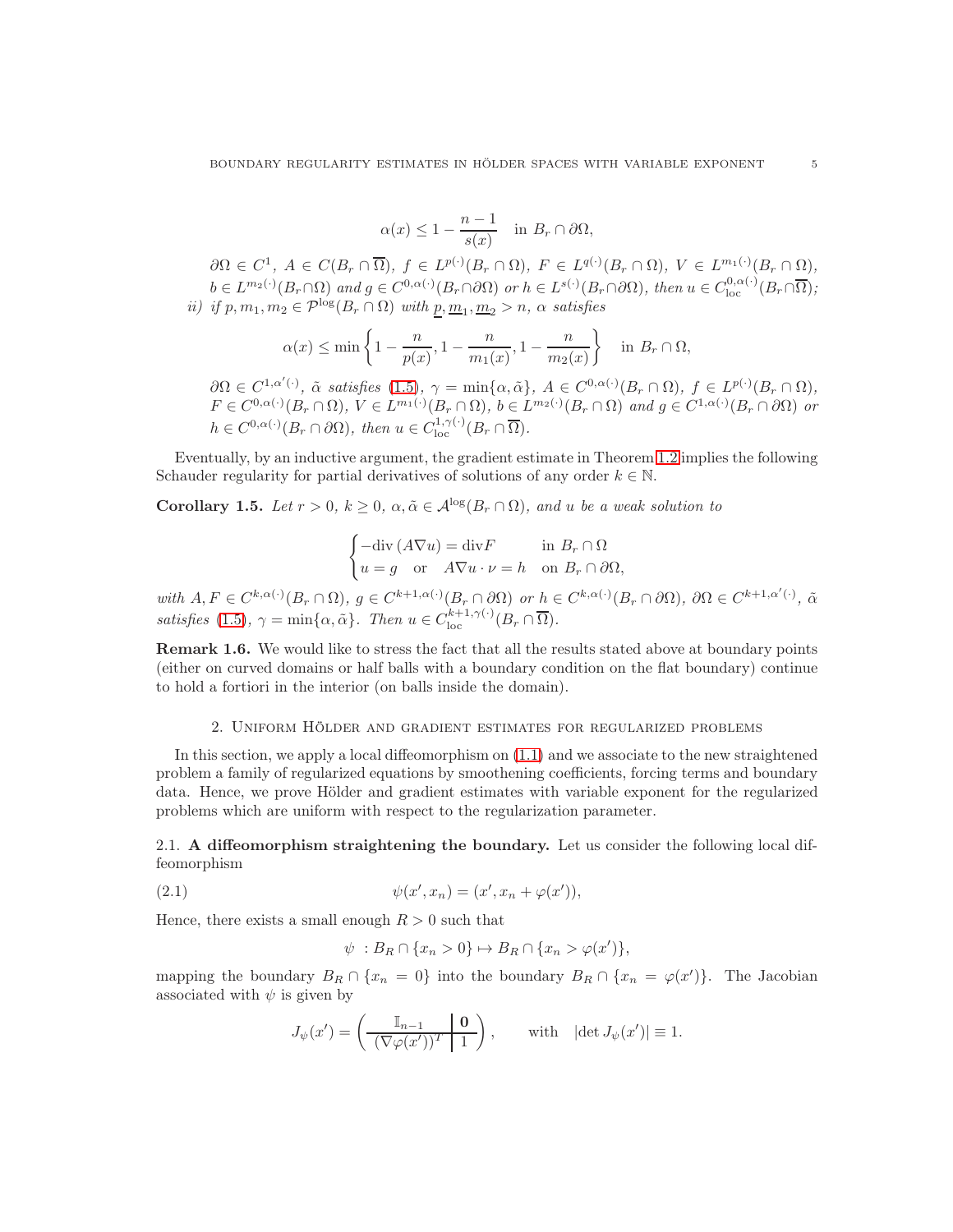$$
\alpha(x) \le 1 - \frac{n-1}{s(x)} \quad \text{in } B_r \cap \partial \Omega,
$$

 $\partial\Omega \in C^1$ ,  $A \in C(B_r \cap \overline{\Omega})$ ,  $f \in L^{p(\cdot)}(B_r \cap \Omega)$ ,  $F \in L^{q(\cdot)}(B_r \cap \Omega)$ ,  $V \in L^{m_1(\cdot)}(B_r \cap \Omega)$ ,  $b \in L^{m_2(\cdot)}(B_r \cap \Omega)$  and  $g \in C^{0,\alpha(\cdot)}(B_r \cap \partial \Omega)$  or  $h \in L^{s(\cdot)}(B_r \cap \partial \Omega)$ , then  $u \in C^{0,\alpha(\cdot)}_{loc}(B_r \cap \overline{\Omega})$ ; ii) if  $p, m_1, m_2 \in \mathcal{P}^{\log}(B_r \cap \Omega)$  with  $\underline{p}, \underline{m}_1, \underline{m}_2 > n$ ,  $\alpha$  satisfies

$$
\alpha(x) \le \min\left\{1 - \frac{n}{p(x)}, 1 - \frac{n}{m_1(x)}, 1 - \frac{n}{m_2(x)}\right\} \quad \text{in } B_r \cap \Omega,
$$

 $\partial\Omega \in C^{1,\alpha'(\cdot)}, \tilde{\alpha} \text{ satisfies (1.5)}, \gamma = \min\{\alpha, \tilde{\alpha}\}, A \in C^{0,\alpha(\cdot)}(B_r \cap \Omega), f \in L^{p(\cdot)}(B_r \cap \Omega),$  $\partial\Omega \in C^{1,\alpha'(\cdot)}, \tilde{\alpha} \text{ satisfies (1.5)}, \gamma = \min\{\alpha, \tilde{\alpha}\}, A \in C^{0,\alpha(\cdot)}(B_r \cap \Omega), f \in L^{p(\cdot)}(B_r \cap \Omega),$  $\partial\Omega \in C^{1,\alpha'(\cdot)}, \tilde{\alpha} \text{ satisfies (1.5)}, \gamma = \min\{\alpha, \tilde{\alpha}\}, A \in C^{0,\alpha(\cdot)}(B_r \cap \Omega), f \in L^{p(\cdot)}(B_r \cap \Omega),$  $F \in C^{0,\alpha(\cdot)}(B_r \cap \Omega), V \in L^{m_1(\cdot)}(B_r \cap \Omega), b \in L^{m_2(\cdot)}(B_r \cap \Omega)$  and  $g \in C^{1,\alpha(\cdot)}(B_r \cap \partial \Omega)$  or  $h \in C^{0,\alpha(\cdot)}(B_r \cap \partial \Omega)$ , then  $u \in C^{1,\gamma(\cdot)}_{loc}(B_r \cap \overline{\Omega})$ .

Eventually, by an inductive argument, the gradient estimate in Theorem [1.2](#page-3-0) implies the following Schauder regularity for partial derivatives of solutions of any order  $k \in \mathbb{N}$ .

<span id="page-4-1"></span>Corollary 1.5. Let  $r > 0$ ,  $k \geq 0$ ,  $\alpha, \tilde{\alpha} \in A^{\log}(B_r \cap \Omega)$ , and u be a weak solution to

$$
\begin{cases}\n-\text{div}\,(A\nabla u) = \text{div}F & \text{in } B_r \cap \Omega \\
u = g & \text{or } A\nabla u \cdot \nu = h & \text{on } B_r \cap \partial\Omega,\n\end{cases}
$$

with  $A, F \in C^{k, \alpha(\cdot)}(B_r \cap \Omega), g \in C^{k+1, \alpha(\cdot)}(B_r \cap \partial \Omega)$  or  $h \in C^{k, \alpha(\cdot)}(B_r \cap \partial \Omega), \partial \Omega \in C^{k+1, \alpha'(\cdot)}, \tilde{\alpha}$ satisfies [\(1.5\)](#page-2-2),  $\gamma = \min{\{\alpha, \tilde{\alpha}\}}$ . Then  $u \in C_{\text{loc}}^{k+1,\gamma(\cdot)}(B_r \cap \overline{\Omega})$ .

Remark 1.6. We would like to stress the fact that all the results stated above at boundary points (either on curved domains or half balls with a boundary condition on the flat boundary) continue to hold a fortiori in the interior (on balls inside the domain).

# 2. Uniform Hölder and gradient estimates for regularized problems

In this section, we apply a local diffeomorphism on [\(1.1\)](#page-0-0) and we associate to the new straightened problem a family of regularized equations by smoothening coefficients, forcing terms and boundary data. Hence, we prove Hölder and gradient estimates with variable exponent for the regularized problems which are uniform with respect to the regularization parameter.

<span id="page-4-2"></span>2.1. A diffeomorphism straightening the boundary. Let us consider the following local diffeomorphism

(2.1) 
$$
\psi(x', x_n) = (x', x_n + \varphi(x')),
$$

Hence, there exists a small enough  $R > 0$  such that

<span id="page-4-0"></span>
$$
\psi : B_R \cap \{x_n > 0\} \mapsto B_R \cap \{x_n > \varphi(x')\},\
$$

mapping the boundary  $B_R \cap \{x_n = 0\}$  into the boundary  $B_R \cap \{x_n = \varphi(x')\}$ . The Jacobian associated with  $\psi$  is given by

$$
J_{\psi}(x') = \left(\begin{array}{c|c} \mathbb{I}_{n-1} & \mathbf{0} \\ \hline (\nabla \varphi(x'))^T & 1 \end{array}\right), \quad \text{with} \quad |\det J_{\psi}(x')| \equiv 1.
$$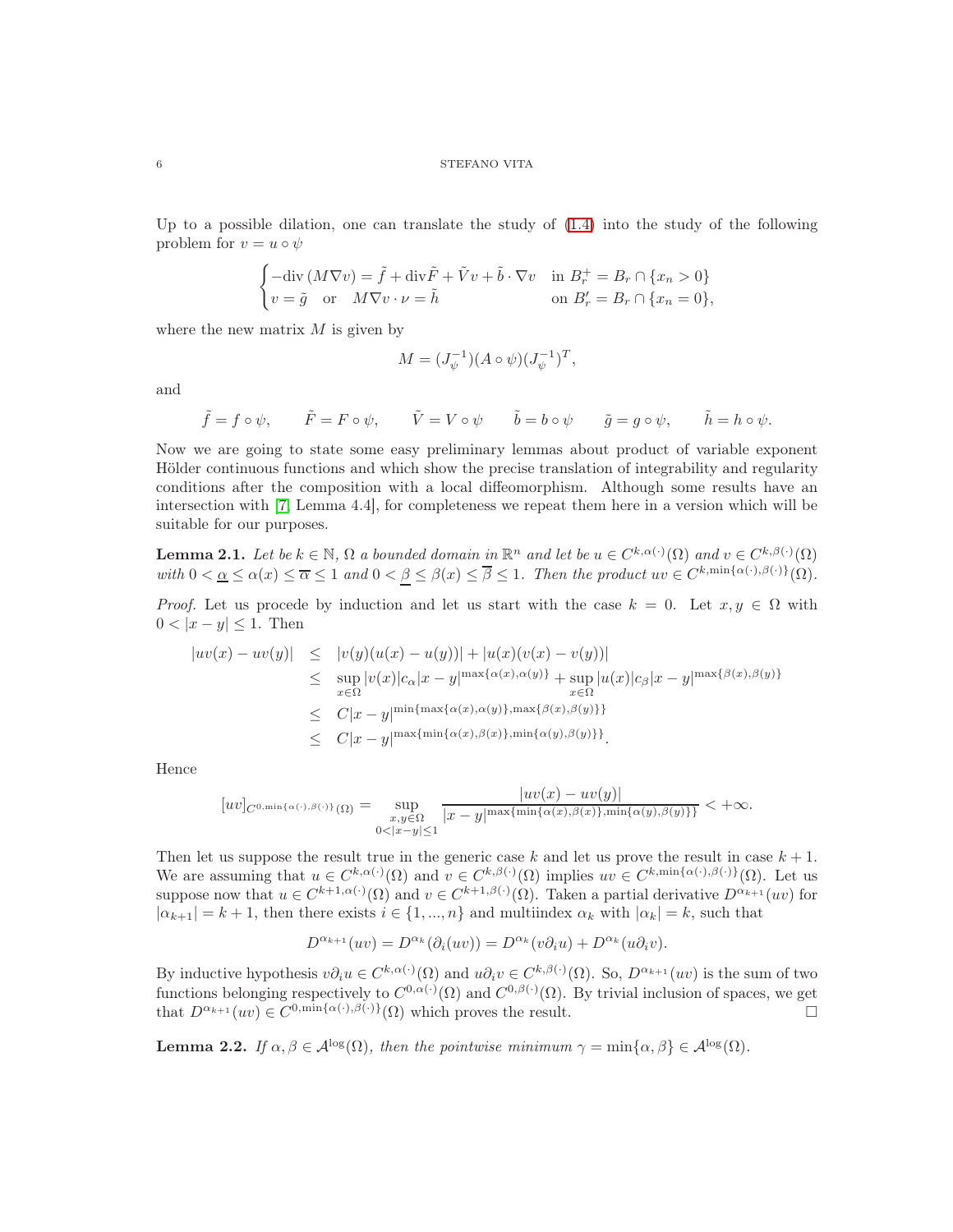#### $6$   $\,$   $\,$  STEFANO VITA

Up to a possible dilation, one can translate the study of  $(1.4)$  into the study of the following problem for  $v = u \circ \psi$ 

$$
\begin{cases}\n-\text{div}\,(M\nabla v) = \tilde{f} + \text{div}\tilde{F} + \tilde{V}v + \tilde{b}\cdot\nabla v & \text{in } B_r^+ = B_r \cap \{x_n > 0\} \\
v = \tilde{g} & \text{or} \quad M\nabla v \cdot \nu = \tilde{h} & \text{on } B_r' = B_r \cap \{x_n = 0\},\n\end{cases}
$$

where the new matrix  $M$  is given by

$$
M = (J_{\psi}^{-1})(A \circ \psi)(J_{\psi}^{-1})^{T},
$$

and

$$
\tilde{f} = f \circ \psi, \qquad \tilde{F} = F \circ \psi, \qquad \tilde{V} = V \circ \psi \qquad \tilde{b} = b \circ \psi \qquad \tilde{g} = g \circ \psi, \qquad \tilde{h} = h \circ \psi.
$$

Now we are going to state some easy preliminary lemmas about product of variable exponent Hölder continuous functions and which show the precise translation of integrability and regularity conditions after the composition with a local diffeomorphism. Although some results have an intersection with [\[7,](#page-28-3) Lemma 4.4], for completeness we repeat them here in a version which will be suitable for our purposes.

**Lemma 2.1.** Let be  $k \in \mathbb{N}$ ,  $\Omega$  a bounded domain in  $\mathbb{R}^n$  and let be  $u \in C^{k,\alpha(\cdot)}(\Omega)$  and  $v \in C^{k,\beta(\cdot)}(\Omega)$ with  $0 < \underline{\alpha} \leq \alpha(x) \leq \overline{\alpha} \leq 1$  and  $0 < \beta \leq \beta(x) \leq \overline{\beta} \leq 1$ . Then the product  $uv \in C^{k,\min{\{\alpha(\cdot),\beta(\cdot)\}}}(\Omega)$ .

*Proof.* Let us procede by induction and let us start with the case  $k = 0$ . Let  $x, y \in \Omega$  with  $0 < |x - y| \leq 1$ . Then

$$
|uv(x) - uv(y)| \leq |v(y)(u(x) - u(y))| + |u(x)(v(x) - v(y))|
$$
  
\n
$$
\leq \sup_{x \in \Omega} |v(x)|c_{\alpha}|x - y|^{\max{\{\alpha(x), \alpha(y)\}}} + \sup_{x \in \Omega} |u(x)|c_{\beta}|x - y|^{\max{\{\beta(x), \beta(y)\}}}
$$
  
\n
$$
\leq C|x - y|^{\min{\{\max{\{\alpha(x), \alpha(y)\}}, \max{\{\beta(x), \beta(y)\}}\}}}
$$
  
\n
$$
\leq C|x - y|^{\max{\{\min{\{\alpha(x), \beta(x)\}}, \min{\{\alpha(y), \beta(y)\}}\}}.
$$

Hence

$$
[uv]_{C^{0,\min\{\alpha(\cdot),\beta(\cdot)\}}(\Omega)}=\sup_{\substack{x,y\in\Omega\\0<|x-y|\leq 1}}\frac{|uv(x)-uv(y)|}{|x-y|^{\max\{\min\{\alpha(x),\beta(x)\},\min\{\alpha(y),\beta(y)\}\}}}<+\infty.
$$

Then let us suppose the result true in the generic case k and let us prove the result in case  $k + 1$ . We are assuming that  $u \in C^{k,\alpha(\cdot)}(\Omega)$  and  $v \in C^{k,\beta(\cdot)}(\Omega)$  implies  $uv \in C^{k,\min{\{\alpha(\cdot),\beta(\cdot)\}}(\Omega)}$ . Let us suppose now that  $u \in C^{k+1,\alpha(\cdot)}(\Omega)$  and  $v \in C^{k+1,\beta(\cdot)}(\Omega)$ . Taken a partial derivative  $D^{\alpha_{k+1}}(uv)$  for  $|\alpha_{k+1}| = k+1$ , then there exists  $i \in \{1, ..., n\}$  and multiindex  $\alpha_k$  with  $|\alpha_k| = k$ , such that

$$
D^{\alpha_{k+1}}(uv) = D^{\alpha_k}(\partial_i(uv)) = D^{\alpha_k}(v\partial_i u) + D^{\alpha_k}(u\partial_i v).
$$

By inductive hypothesis  $v \partial_i u \in C^{k, \alpha(\cdot)}(\Omega)$  and  $u \partial_i v \in C^{k, \beta(\cdot)}(\Omega)$ . So,  $D^{\alpha_{k+1}}(uv)$  is the sum of two functions belonging respectively to  $C^{0,\alpha(\cdot)}(\Omega)$  and  $C^{0,\beta(\cdot)}(\Omega)$ . By trivial inclusion of spaces, we get that  $D^{\alpha_{k+1}}(uv) \in C^{0,\min{\{\alpha(\cdot),\beta(\cdot)\}}}(\Omega)$  which proves the result.

**Lemma 2.2.** If  $\alpha, \beta \in A^{\log}(\Omega)$ , then the pointwise minimum  $\gamma = \min{\alpha, \beta} \in A^{\log}(\Omega)$ .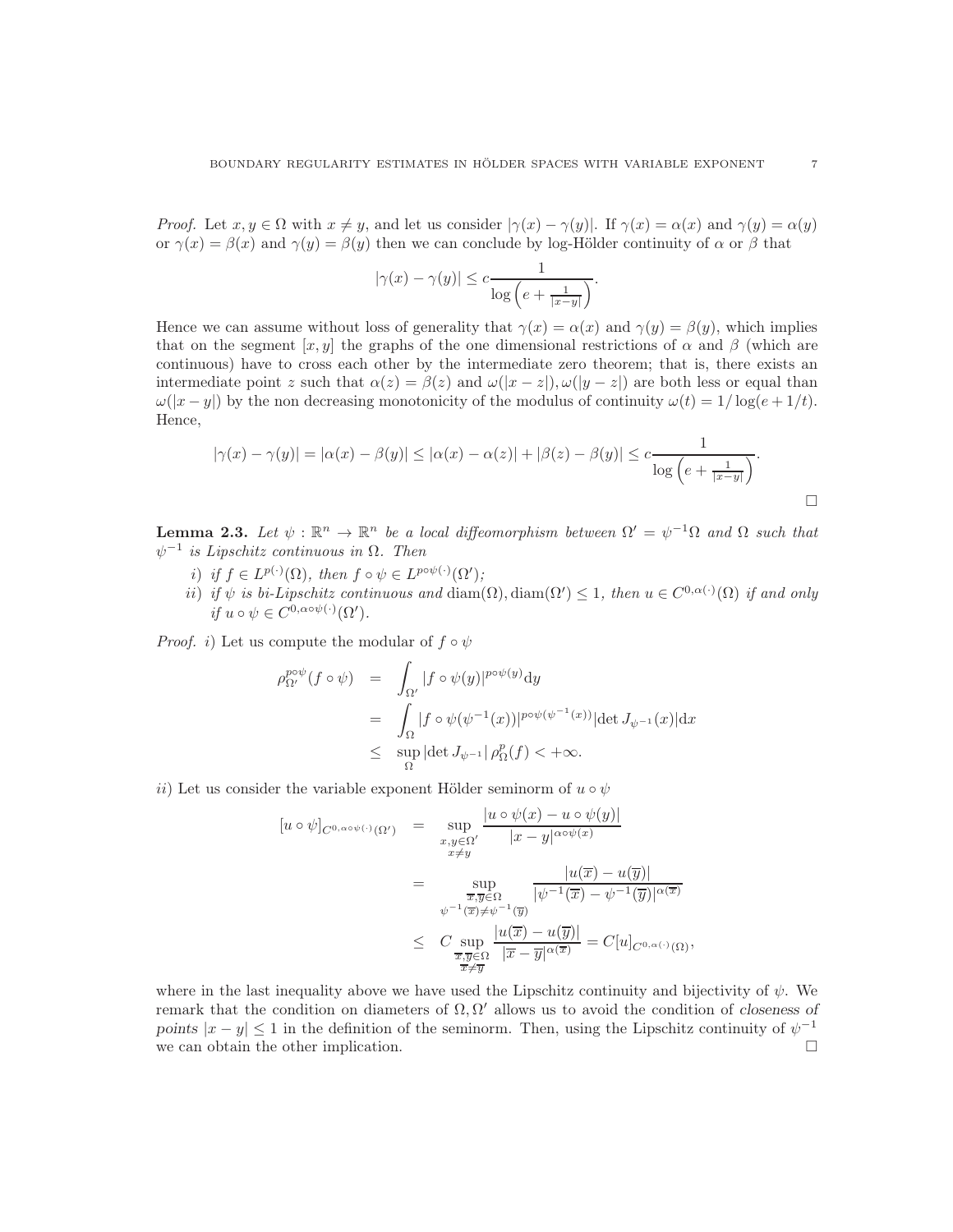*Proof.* Let  $x, y \in \Omega$  with  $x \neq y$ , and let us consider  $|\gamma(x) - \gamma(y)|$ . If  $\gamma(x) = \alpha(x)$  and  $\gamma(y) = \alpha(y)$ or  $\gamma(x) = \beta(x)$  and  $\gamma(y) = \beta(y)$  then we can conclude by log-Hölder continuity of  $\alpha$  or  $\beta$  that

$$
|\gamma(x) - \gamma(y)| \leq c \frac{1}{\log\left(e + \frac{1}{|x-y|}\right)}.
$$

Hence we can assume without loss of generality that  $\gamma(x) = \alpha(x)$  and  $\gamma(y) = \beta(y)$ , which implies that on the segment [x, y] the graphs of the one dimensional restrictions of  $\alpha$  and  $\beta$  (which are continuous) have to cross each other by the intermediate zero theorem; that is, there exists an intermediate point z such that  $\alpha(z) = \beta(z)$  and  $\omega(|x-z|), \omega(|y-z|)$  are both less or equal than  $\omega(|x-y|)$  by the non decreasing monotonicity of the modulus of continuity  $\omega(t) = 1/\log(e + 1/t)$ . Hence,

$$
|\gamma(x) - \gamma(y)| = |\alpha(x) - \beta(y)| \le |\alpha(x) - \alpha(z)| + |\beta(z) - \beta(y)| \le c \frac{1}{\log\left(e + \frac{1}{|x-y|}\right)}.
$$

**Lemma 2.3.** Let  $\psi : \mathbb{R}^n \to \mathbb{R}^n$  be a local diffeomorphism between  $\Omega' = \psi^{-1}\Omega$  and  $\Omega$  such that  $\psi^{-1}$  is Lipschitz continuous in  $\Omega$ . Then

- i) if  $f \in L^{p(\cdot)}(\Omega)$ , then  $f \circ \psi \in L^{p \circ \psi(\cdot)}(\Omega')$ ;
- ii) if  $\psi$  is bi-Lipschitz continuous and  $\text{diam}(\Omega)$ ,  $\text{diam}(\Omega') \leq 1$ , then  $u \in C^{0,\alpha(\cdot)}(\Omega)$  if and only if  $u \circ \psi \in C^{0, \alpha \circ \psi(\cdot)}(\Omega').$

*Proof.* i) Let us compute the modular of  $f \circ \psi$ 

$$
\rho_{\Omega'}^{p \circ \psi}(f \circ \psi) = \int_{\Omega'} |f \circ \psi(y)|^{p \circ \psi(y)} dy
$$
  
\n
$$
= \int_{\Omega} |f \circ \psi(\psi^{-1}(x))|^{p \circ \psi(\psi^{-1}(x))} |\det J_{\psi^{-1}}(x)| dx
$$
  
\n
$$
\leq \sup_{\Omega} |\det J_{\psi^{-1}}| \rho_{\Omega}^p(f) < +\infty.
$$

ii) Let us consider the variable exponent Hölder seminorm of  $u \circ \psi$ 

$$
[u \circ \psi]_{C^{0,\alpha\circ\psi(\cdot)}(\Omega')} = \sup_{\substack{x,y \in \Omega' \\ x \neq y}} \frac{|u \circ \psi(x) - u \circ \psi(y)|}{|x - y|^{\alpha\circ\psi(x)}}
$$
  

$$
= \sup_{\substack{\overline{x}, \overline{y} \in \Omega \\ \psi^{-1}(\overline{x}) \neq \psi^{-1}(\overline{y})}} \frac{|u(\overline{x}) - u(\overline{y})|}{|\psi^{-1}(\overline{x}) - \psi^{-1}(\overline{y})|^{\alpha(\overline{x})}}
$$
  

$$
\leq C \sup_{\substack{\overline{x}, \overline{y} \in \Omega \\ \overline{x} \neq \overline{y}}} \frac{|u(\overline{x}) - u(\overline{y})|}{|\overline{x} - \overline{y}|^{\alpha(\overline{x})}} = C[u]_{C^{0,\alpha(\cdot)}(\Omega)},
$$

where in the last inequality above we have used the Lipschitz continuity and bijectivity of  $\psi$ . We remark that the condition on diameters of  $\Omega, \Omega'$  allows us to avoid the condition of closeness of points  $|x-y| \leq 1$  in the definition of the seminorm. Then, using the Lipschitz continuity of  $\psi^{-1}$ we can obtain the other implication.  $\Box$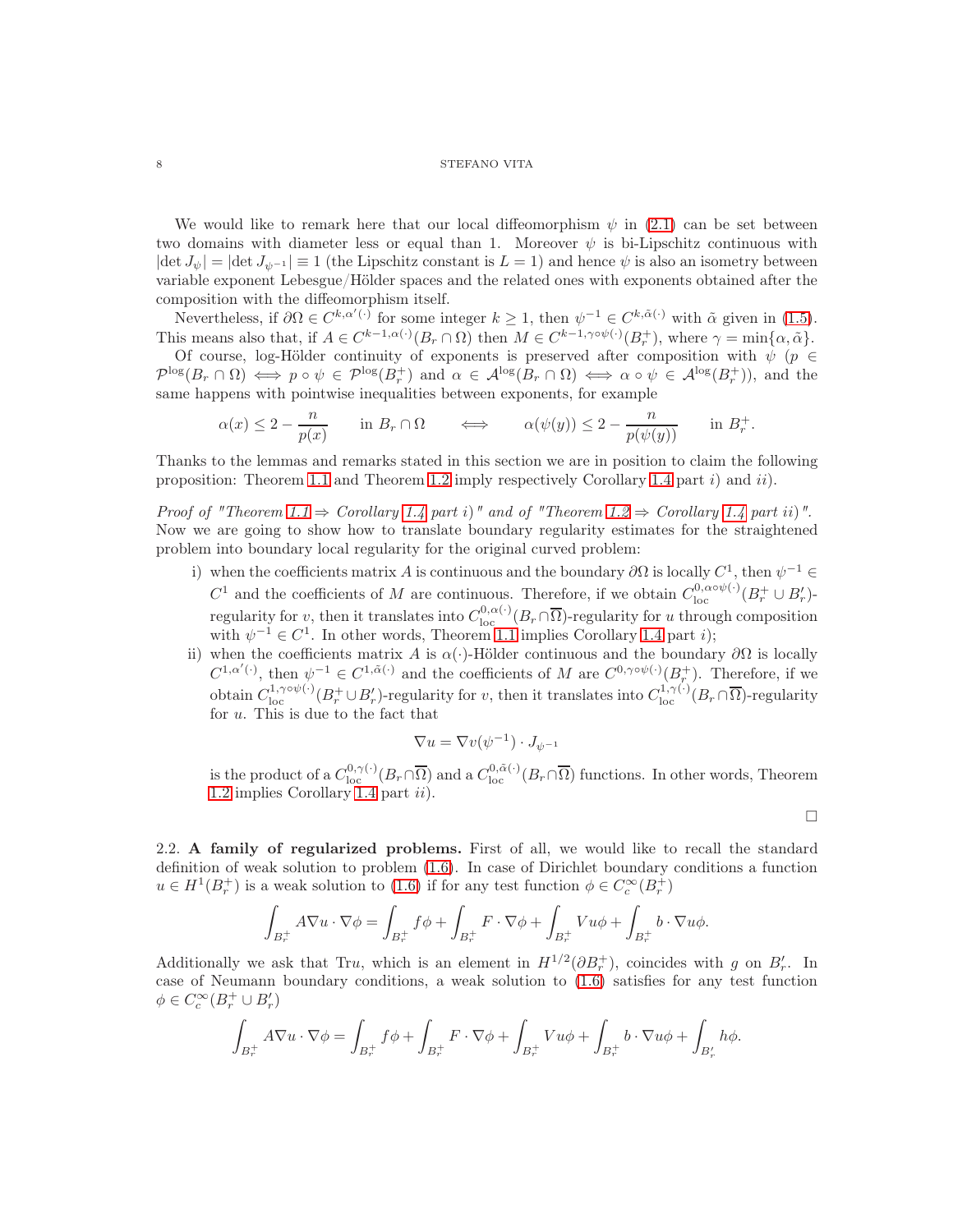## $8$   $\,$   $\,$  STEFANO VITA

We would like to remark here that our local diffeomorphism  $\psi$  in [\(2.1\)](#page-4-0) can be set between two domains with diameter less or equal than 1. Moreover  $\psi$  is bi-Lipschitz continuous with  $|\det J_{\psi}| = |\det J_{\psi^{-1}}| \equiv 1$  (the Lipschitz constant is  $L = 1$ ) and hence  $\psi$  is also an isometry between variable exponent Lebesgue/Hölder spaces and the related ones with exponents obtained after the composition with the diffeomorphism itself.

Nevertheless, if  $\partial\Omega \in C^{k,\alpha'(\cdot)}$  for some integer  $k \geq 1$ , then  $\psi^{-1} \in C^{k,\tilde{\alpha}(\cdot)}$  with  $\tilde{\alpha}$  given in [\(1.5\)](#page-2-2). This means also that, if  $A \in C^{k-1, \alpha(\cdot)}(B_r \cap \Omega)$  then  $M \in C^{k-1, \gamma \circ \psi(\cdot)}(B_r^+)$ , where  $\gamma = \min\{\alpha, \tilde{\alpha}\}.$ 

Of course, log-Hölder continuity of exponents is preserved after composition with  $\psi$  ( $p \in$  $\mathcal{P}^{\log}(B_r \cap \Omega) \iff p \circ \psi \in \mathcal{P}^{\log}(B_r^+)$  and  $\alpha \in \mathcal{A}^{\log}(B_r \cap \Omega) \iff \alpha \circ \psi \in \mathcal{A}^{\log}(B_r^+)$ ), and the same happens with pointwise inequalities between exponents, for example

$$
\alpha(x) \le 2 - \frac{n}{p(x)} \quad \text{in } B_r \cap \Omega \quad \iff \quad \alpha(\psi(y)) \le 2 - \frac{n}{p(\psi(y))} \quad \text{in } B_r^+.
$$

Thanks to the lemmas and remarks stated in this section we are in position to claim the following proposition: Theorem [1.1](#page-3-1) and Theorem [1.2](#page-3-0) imply respectively Corollary [1.4](#page-3-2) part  $i$ ) and  $ii$ .

Proof of "Theorem [1.1](#page-3-1)  $\Rightarrow$  Corollary [1.4](#page-3-2) part i)" and of "Theorem [1.2](#page-3-0)  $\Rightarrow$  Corollary 1.4 part ii)". Now we are going to show how to translate boundary regularity estimates for the straightened problem into boundary local regularity for the original curved problem:

- i) when the coefficients matrix A is continuous and the boundary  $\partial\Omega$  is locally  $C^1$ , then  $\psi^{-1} \in$  $C^1$  and the coefficients of M are continuous. Therefore, if we obtain  $C^{0,\alpha o\psi(\cdot)}_{\text{loc}}(B_r^+\cup B_r')$ . regularity for v, then it translates into  $C^{0,\alpha(\cdot)}_{\text{loc}}(B_r \cap \overline{\Omega})$ -regularity for u through composition with  $\psi^{-1} \in C^1$ . In other words, Theorem [1.1](#page-3-1) implies Corollary [1.4](#page-3-2) part *i*);
- ii) when the coefficients matrix A is  $\alpha(\cdot)$ -Hölder continuous and the boundary  $\partial\Omega$  is locally  $C^{1,\alpha'(\cdot)}$ , then  $\psi^{-1} \in C^{1,\tilde{\alpha}(\cdot)}$  and the coefficients of M are  $C^{0,\gamma\circ\psi(\cdot)}(B_r^+)$ . Therefore, if we obtain  $C_{\text{loc}}^{1,\gamma\circ\psi(\cdot)}(B_r^+\cup B_r')$ -regularity for v, then it translates into  $C_{\text{loc}}^{1,\gamma(\cdot)}(B_r\cap\overline{\Omega})$ -regularity for u. This is due to the fact that

$$
\nabla u = \nabla v(\psi^{-1}) \cdot J_{\psi^{-1}}
$$

is the product of a  $C^{0,\gamma(\cdot)}_{loc}(B_r \cap \overline{\Omega})$  and a  $C^{0,\tilde{\alpha}(\cdot)}_{loc}(B_r \cap \overline{\Omega})$  functions. In other words, Theorem [1.2](#page-3-0) implies Corollary [1.4](#page-3-2) part  $ii$ ).

 $\Box$ 

<span id="page-7-0"></span>2.2. A family of regularized problems. First of all, we would like to recall the standard definition of weak solution to problem [\(1.6\)](#page-2-1). In case of Dirichlet boundary conditions a function  $u \in H^1(B_r^+)$  is a weak solution to [\(1.6\)](#page-2-1) if for any test function  $\phi \in C_c^{\infty}(B_r^+)$ 

$$
\int_{B_r^+} A \nabla u \cdot \nabla \phi = \int_{B_r^+} f \phi + \int_{B_r^+} F \cdot \nabla \phi + \int_{B_r^+} V u \phi + \int_{B_r^+} b \cdot \nabla u \phi.
$$

Additionally we ask that Tru, which is an element in  $H^{1/2}(\partial B_r^+)$ , coincides with g on  $B'_r$ . In case of Neumann boundary conditions, a weak solution to [\(1.6\)](#page-2-1) satisfies for any test function  $\phi \in C_c^{\infty}(B_r^+ \cup B'_r)$ 

$$
\int_{B_r^+} A \nabla u \cdot \nabla \phi = \int_{B_r^+} f \phi + \int_{B_r^+} F \cdot \nabla \phi + \int_{B_r^+} V u \phi + \int_{B_r^+} b \cdot \nabla u \phi + \int_{B_r'} h \phi.
$$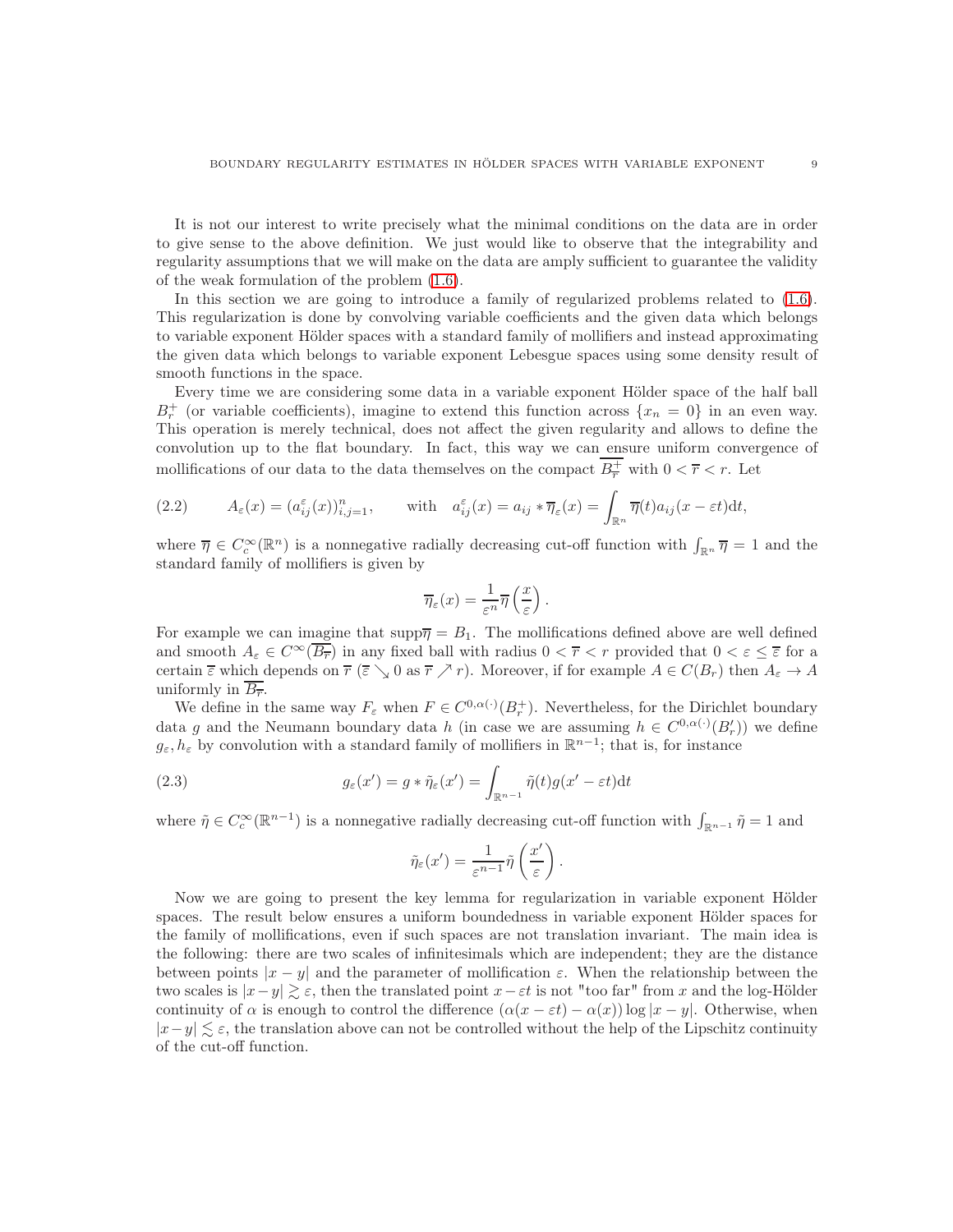It is not our interest to write precisely what the minimal conditions on the data are in order to give sense to the above definition. We just would like to observe that the integrability and regularity assumptions that we will make on the data are amply sufficient to guarantee the validity of the weak formulation of the problem [\(1.6\)](#page-2-1).

In this section we are going to introduce a family of regularized problems related to [\(1.6\)](#page-2-1). This regularization is done by convolving variable coefficients and the given data which belongs to variable exponent Hölder spaces with a standard family of mollifiers and instead approximating the given data which belongs to variable exponent Lebesgue spaces using some density result of smooth functions in the space.

Every time we are considering some data in a variable exponent Hölder space of the half ball  $B_r^+$  (or variable coefficients), imagine to extend this function across  $\{x_n = 0\}$  in an even way. This operation is merely technical, does not affect the given regularity and allows to define the convolution up to the flat boundary. In fact, this way we can ensure uniform convergence of mollifications of our data to the data themselves on the compact  $B_{\overline{r}}^+$  with  $0 < \overline{r} < r$ . Let

<span id="page-8-0"></span>(2.2) 
$$
A_{\varepsilon}(x) = (a_{ij}^{\varepsilon}(x))_{i,j=1}^n, \quad \text{with} \quad a_{ij}^{\varepsilon}(x) = a_{ij} * \overline{\eta}_{\varepsilon}(x) = \int_{\mathbb{R}^n} \overline{\eta}(t) a_{ij}(x - \varepsilon t) dt,
$$

where  $\overline{\eta} \in C_c^{\infty}(\mathbb{R}^n)$  is a nonnegative radially decreasing cut-off function with  $\int_{\mathbb{R}^n} \overline{\eta} = 1$  and the standard family of mollifiers is given by

$$
\overline{\eta}_{\varepsilon}(x) = \frac{1}{\varepsilon^n} \overline{\eta} \left( \frac{x}{\varepsilon} \right).
$$

For example we can imagine that  $\text{supp}\bar{\eta} = B_1$ . The mollifications defined above are well defined and smooth  $A_{\varepsilon} \in C^{\infty}(\overline{B_{\overline{r}}})$  in any fixed ball with radius  $0 < \overline{r} < r$  provided that  $0 < \varepsilon \leq \overline{\varepsilon}$  for a certain  $\overline{\varepsilon}$  which depends on  $\overline{r}$  ( $\overline{\varepsilon} \searrow 0$  as  $\overline{r} \nearrow r$ ). Moreover, if for example  $A \in C(B_r)$  then  $A_{\varepsilon} \to A$ uniformly in  $\overline{B_{\overline{r}}}.$ 

We define in the same way  $F_{\varepsilon}$  when  $F \in C^{0,\alpha(\cdot)}(B_r^+)$ . Nevertheless, for the Dirichlet boundary data g and the Neumann boundary data h (in case we are assuming  $h \in C^{0,\alpha(\cdot)}(B'_r)$ ) we define  $g_{\varepsilon}, h_{\varepsilon}$  by convolution with a standard family of mollifiers in  $\mathbb{R}^{n-1}$ ; that is, for instance

(2.3) 
$$
g_{\varepsilon}(x') = g * \tilde{\eta}_{\varepsilon}(x') = \int_{\mathbb{R}^{n-1}} \tilde{\eta}(t) g(x' - \varepsilon t) dt
$$

where  $\tilde{\eta} \in C_c^{\infty}(\mathbb{R}^{n-1})$  is a nonnegative radially decreasing cut-off function with  $\int_{\mathbb{R}^{n-1}} \tilde{\eta} = 1$  and

<span id="page-8-1"></span>
$$
\tilde{\eta}_{\varepsilon}(x') = \frac{1}{\varepsilon^{n-1}} \tilde{\eta}\left(\frac{x'}{\varepsilon}\right).
$$

Now we are going to present the key lemma for regularization in variable exponent Hölder spaces. The result below ensures a uniform boundedness in variable exponent Hölder spaces for the family of mollifications, even if such spaces are not translation invariant. The main idea is the following: there are two scales of infinitesimals which are independent; they are the distance between points  $|x - y|$  and the parameter of mollification  $\varepsilon$ . When the relationship between the two scales is  $|x-y| \gtrsim \varepsilon$ , then the translated point  $x-\varepsilon t$  is not "too far" from x and the log-Hölder continuity of  $\alpha$  is enough to control the difference  $(\alpha(x - \varepsilon t) - \alpha(x)) \log |x - y|$ . Otherwise, when  $|x-y| \lesssim \varepsilon$ , the translation above can not be controlled without the help of the Lipschitz continuity of the cut-off function.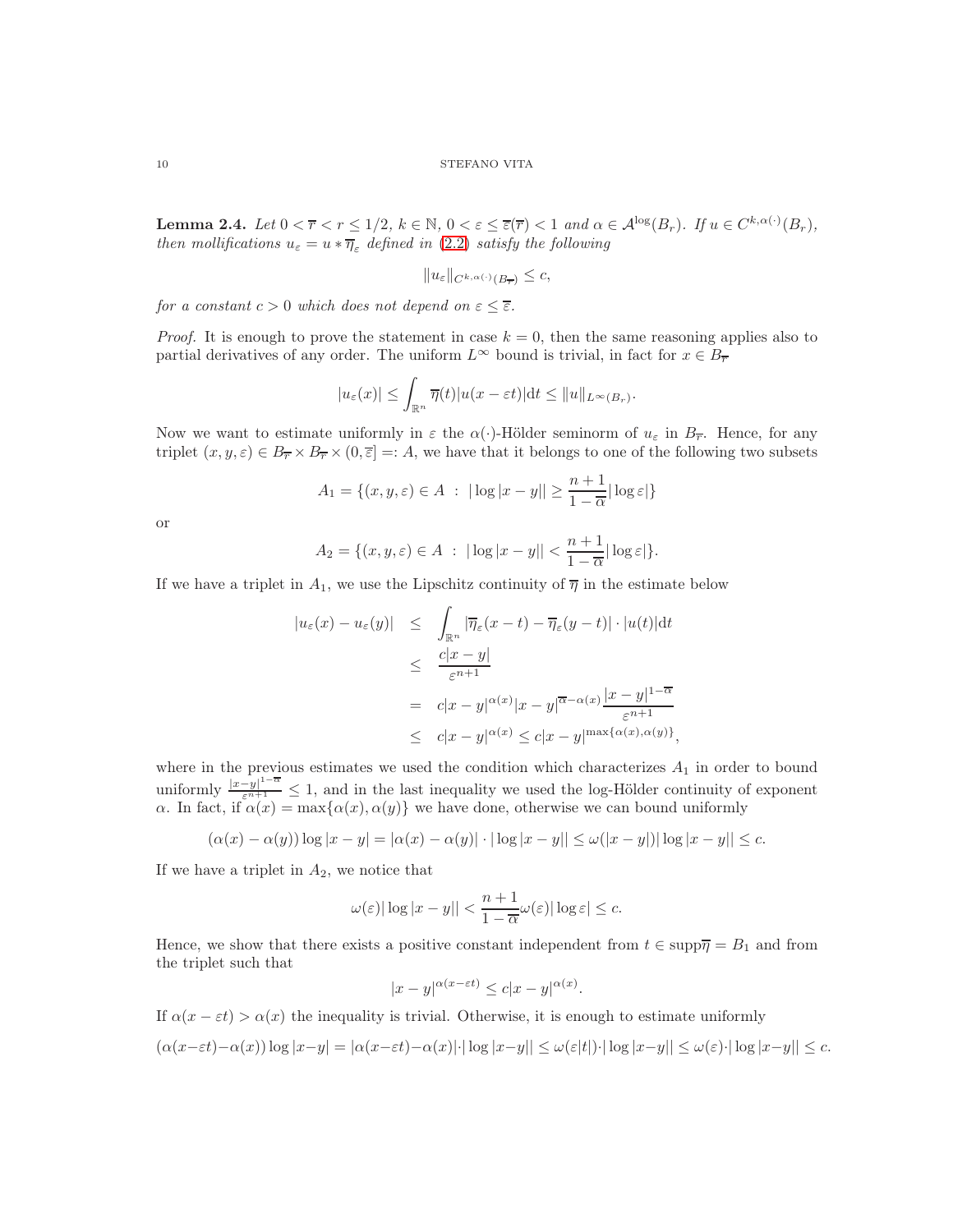<span id="page-9-0"></span>**Lemma 2.4.** Let  $0 < \overline{r} < r \leq 1/2$ ,  $k \in \mathbb{N}$ ,  $0 < \varepsilon \leq \overline{\varepsilon}(\overline{r}) < 1$  and  $\alpha \in \mathcal{A}^{\log}(B_r)$ . If  $u \in C^{k, \alpha(\cdot)}(B_r)$ , then mollifications  $u_{\varepsilon} = u * \overline{\eta}_{\varepsilon}$  defined in [\(2.2\)](#page-8-0) satisfy the following

$$
||u_{\varepsilon}||_{C^{k,\alpha(\cdot)}(B_{\overline{r}})} \leq c,
$$

for a constant  $c > 0$  which does not depend on  $\varepsilon \leq \overline{\varepsilon}$ .

*Proof.* It is enough to prove the statement in case  $k = 0$ , then the same reasoning applies also to partial derivatives of any order. The uniform  $L^{\infty}$  bound is trivial, in fact for  $x \in B_{\overline{r}}$ 

$$
|u_{\varepsilon}(x)| \leq \int_{\mathbb{R}^n} \overline{\eta}(t) |u(x - \varepsilon t)| dt \leq ||u||_{L^{\infty}(B_r)}.
$$

Now we want to estimate uniformly in  $\varepsilon$  the  $\alpha(\cdot)$ -Hölder seminorm of  $u_{\varepsilon}$  in  $B_{\overline{r}}$ . Hence, for any triplet  $(x, y, \varepsilon) \in B_{\overline{r}} \times B_{\overline{r}} \times (0, \overline{\varepsilon}) =: A$ , we have that it belongs to one of the following two subsets

$$
A_1 = \{(x, y, \varepsilon) \in A \; : \; |\log|x - y|| \ge \frac{n+1}{1 - \overline{\alpha}} |\log \varepsilon| \}
$$

or

$$
A_2 = \{(x, y, \varepsilon) \in A \; : \; |\log|x - y|| < \frac{n+1}{1 - \overline{\alpha}} |\log \varepsilon| \}.
$$

If we have a triplet in  $A_1$ , we use the Lipschitz continuity of  $\overline{\eta}$  in the estimate below

$$
|u_{\varepsilon}(x) - u_{\varepsilon}(y)| \leq \int_{\mathbb{R}^n} |\overline{\eta}_{\varepsilon}(x - t) - \overline{\eta}_{\varepsilon}(y - t)| \cdot |u(t)| dt
$$
  
\n
$$
\leq \frac{c|x - y|}{\varepsilon^{n+1}}
$$
  
\n
$$
= c|x - y|^{\alpha(x)} |x - y|^{\overline{\alpha} - \alpha(x)} \frac{|x - y|^{1 - \overline{\alpha}}}{\varepsilon^{n+1}}
$$
  
\n
$$
\leq c|x - y|^{\alpha(x)} \leq c|x - y|^{\max{\alpha(x), \alpha(y)}}
$$

where in the previous estimates we used the condition which characterizes  $A_1$  in order to bound uniformly  $\frac{|x-y|^{1-\alpha}}{\varepsilon^{n+1}} \leq 1$ , and in the last inequality we used the log-Hölder continuity of exponent  $\alpha$ . In fact, if  $\alpha(x) = \max{\{\alpha(x), \alpha(y)\}}$  we have done, otherwise we can bound uniformly

$$
(\alpha(x) - \alpha(y)) \log |x - y| = |\alpha(x) - \alpha(y)| \cdot |\log |x - y|| \le \omega(|x - y|) |\log |x - y|| \le c.
$$

If we have a triplet in  $A_2$ , we notice that

$$
\omega(\varepsilon)|\log|x-y||<\frac{n+1}{1-\overline{\alpha}}\omega(\varepsilon)|\log\varepsilon|\leq c.
$$

Hence, we show that there exists a positive constant independent from  $t \in \text{supp} \overline{\eta} = B_1$  and from the triplet such that

$$
|x-y|^{\alpha(x-\varepsilon t)} \le c|x-y|^{\alpha(x)}.
$$

If  $\alpha(x - \varepsilon t) > \alpha(x)$  the inequality is trivial. Otherwise, it is enough to estimate uniformly

$$
(\alpha(x-\varepsilon t)-\alpha(x))\log|x-y|=|\alpha(x-\varepsilon t)-\alpha(x)|\cdot|\log|x-y||\leq\omega(\varepsilon|t|)\cdot|\log|x-y||\leq\omega(\varepsilon)\cdot|\log|x-y||\leq c.
$$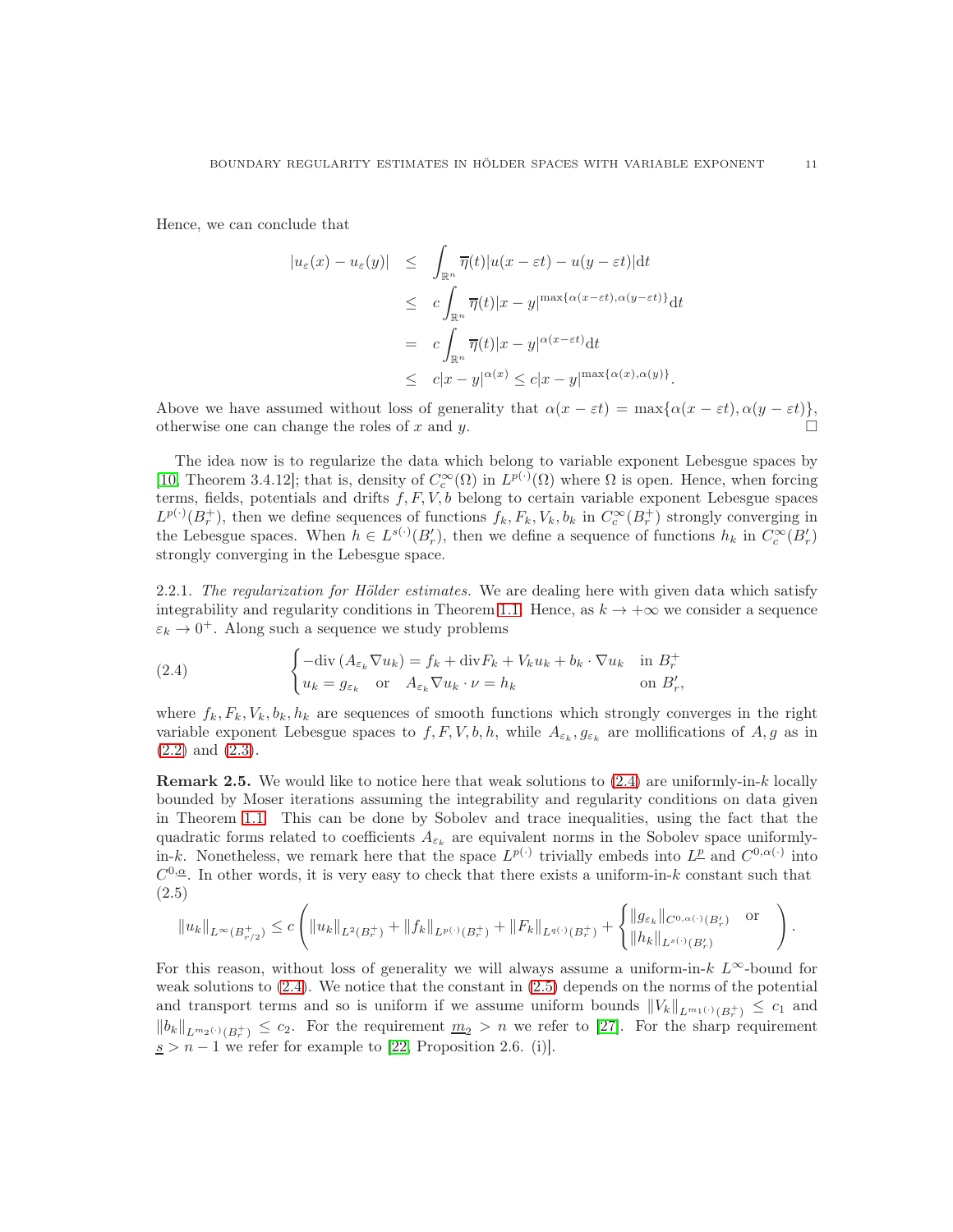Hence, we can conclude that

$$
|u_{\varepsilon}(x) - u_{\varepsilon}(y)| \leq \int_{\mathbb{R}^n} \overline{\eta}(t) |u(x - \varepsilon t) - u(y - \varepsilon t)| dt
$$
  
\n
$$
\leq c \int_{\mathbb{R}^n} \overline{\eta}(t) |x - y|^{\max\{\alpha(x - \varepsilon t), \alpha(y - \varepsilon t)\}} dt
$$
  
\n
$$
= c \int_{\mathbb{R}^n} \overline{\eta}(t) |x - y|^{\alpha(x - \varepsilon t)} dt
$$
  
\n
$$
\leq c |x - y|^{\alpha(x)} \leq c |x - y|^{\max\{\alpha(x), \alpha(y)\}}.
$$

Above we have assumed without loss of generality that  $\alpha(x - \varepsilon t) = \max{\alpha(x - \varepsilon t), \alpha(y - \varepsilon t)}$ , otherwise one can change the roles of x and y.  $\square$ 

The idea now is to regularize the data which belong to variable exponent Lebesgue spaces by [\[10,](#page-28-8) Theorem 3.4.12]; that is, density of  $C_c^{\infty}(\Omega)$  in  $L^{p(\cdot)}(\Omega)$  where  $\Omega$  is open. Hence, when forcing terms, fields, potentials and drifts  $f, F, V, b$  belong to certain variable exponent Lebesgue spaces  $L^{p(\cdot)}(B_r^+)$ , then we define sequences of functions  $f_k, F_k, V_k, b_k$  in  $C_c^{\infty}(B_r^+)$  strongly converging in the Lebesgue spaces. When  $h \in L^{s(\cdot)}(B'_r)$ , then we define a sequence of functions  $h_k$  in  $C_c^{\infty}(B'_r)$ strongly converging in the Lebesgue space.

2.2.1. The regularization for Hölder estimates. We are dealing here with given data which satisfy integrability and regularity conditions in Theorem [1.1.](#page-3-1) Hence, as  $k \to +\infty$  we consider a sequence  $\varepsilon_k \to 0^+$ . Along such a sequence we study problems

<span id="page-10-0"></span>(2.4) 
$$
\begin{cases}\n-\text{div}\left(A_{\varepsilon_k}\nabla u_k\right) = f_k + \text{div}F_k + V_k u_k + b_k \cdot \nabla u_k & \text{in } B_r^+ \\
u_k = g_{\varepsilon_k} & \text{or } A_{\varepsilon_k}\nabla u_k \cdot \nu = h_k & \text{on } B'_r,\n\end{cases}
$$

where  $f_k, F_k, V_k, b_k, h_k$  are sequences of smooth functions which strongly converges in the right variable exponent Lebesgue spaces to  $f, F, V, b, h$ , while  $A_{\varepsilon_k}, g_{\varepsilon_k}$  are mollifications of  $A, g$  as in [\(2.2\)](#page-8-0) and [\(2.3\)](#page-8-1).

**Remark 2.5.** We would like to notice here that weak solutions to  $(2.4)$  are uniformly-in-k locally bounded by Moser iterations assuming the integrability and regularity conditions on data given in Theorem [1.1.](#page-3-1) This can be done by Sobolev and trace inequalities, using the fact that the quadratic forms related to coefficients  $A_{\varepsilon_k}$  are equivalent norms in the Sobolev space uniformlyin-k. Nonetheless, we remark here that the space  $L^{p(\cdot)}$  trivially embeds into  $L^{\underline{p}}$  and  $C^{0,\alpha(\cdot)}$  into  $C^{0,\underline{\alpha}}$ . In other words, it is very easy to check that there exists a uniform-in-k constant such that (2.5)

<span id="page-10-1"></span>
$$
||u_k||_{L^{\infty}(B_{r/2}^+)} \leq c \left( ||u_k||_{L^2(B_r^+)} + ||f_k||_{L^{p(\cdot)}(B_r^+)} + ||F_k||_{L^{q(\cdot)}(B_r^+)} + \begin{cases} ||g_{\varepsilon_k}||_{C^{0,\alpha(\cdot)}(B_r')} & \text{or} \\ ||h_k||_{L^{s(\cdot)}(B_r')}\end{cases}\right).
$$

For this reason, without loss of generality we will always assume a uniform-in-k  $L^{\infty}$ -bound for weak solutions to  $(2.4)$ . We notice that the constant in  $(2.5)$  depends on the norms of the potential and transport terms and so is uniform if we assume uniform bounds  $||V_k||_{L^{m_1(\cdot)}(B_r^+)} \leq c_1$  and  $||b_k||_{L^{m_2(\cdot)}(B_r^+)} \leq c_2$ . For the requirement  $\underline{m}_2 > n$  we refer to [\[27\]](#page-29-1). For the sharp requirement  $s > n - 1$  we refer for example to [\[22,](#page-29-2) Proposition 2.6. (i)].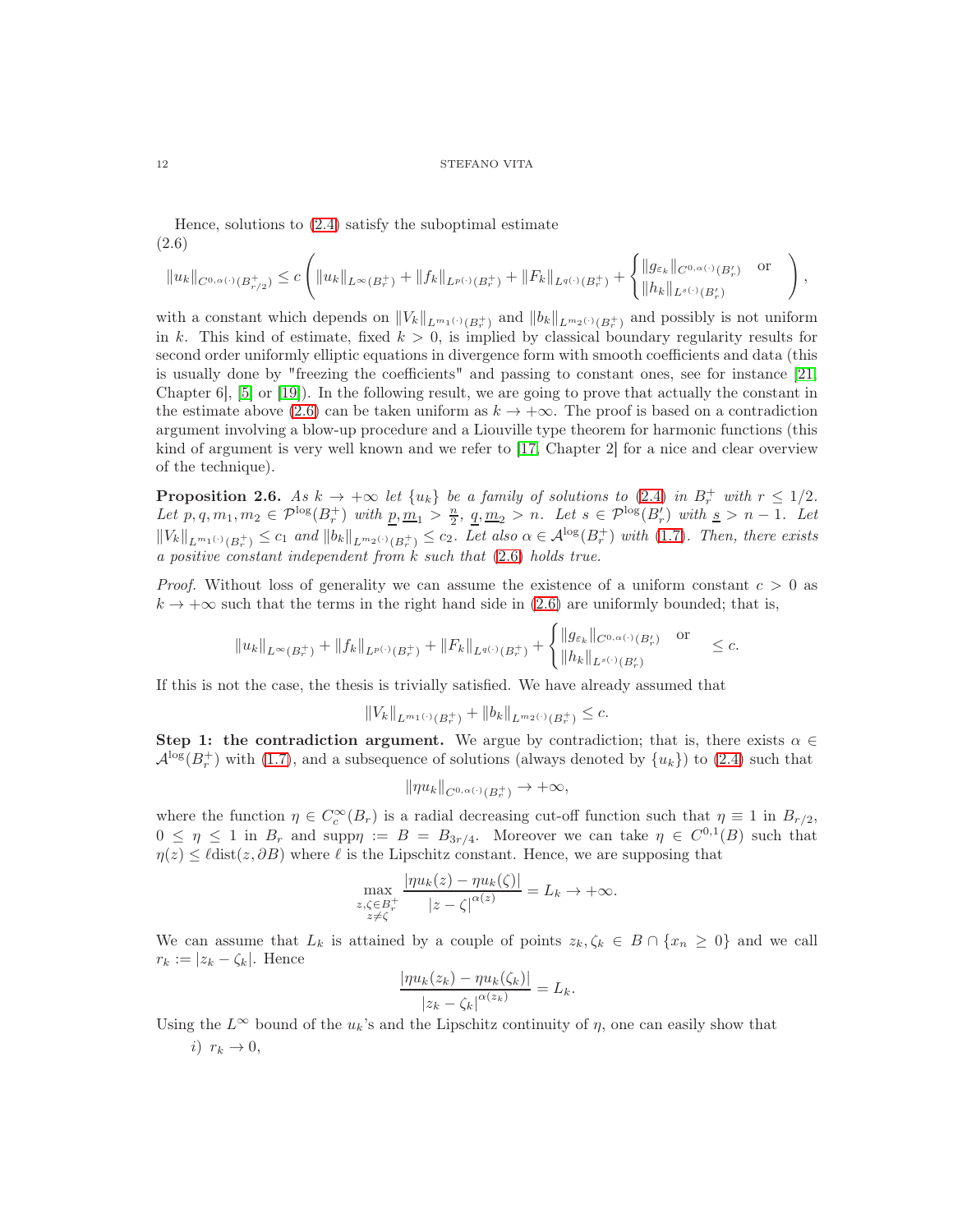Hence, solutions to [\(2.4\)](#page-10-0) satisfy the suboptimal estimate (2.6)

<span id="page-11-0"></span>
$$
||u_k||_{C^{0,\alpha(\cdot)}(B_{r/2}^+)} \leq c \left( ||u_k||_{L^{\infty}(B_r^+)} + ||f_k||_{L^{p(\cdot)}(B_r^+)} + ||F_k||_{L^{q(\cdot)}(B_r^+)} + \begin{cases} ||g_{\varepsilon_k}||_{C^{0,\alpha(\cdot)}(B_r')} & \text{or} \\ ||h_k||_{L^{s(\cdot)}(B_r')} & \end{cases} \right),
$$

with a constant which depends on  $||V_k||_{L^{m_1(\cdot)}(B_r^+)}$  and  $||b_k||_{L^{m_2(\cdot)}(B_r^+)}$  and possibly is not uniform in k. This kind of estimate, fixed  $k > 0$ , is implied by classical boundary regularity results for second order uniformly elliptic equations in divergence form with smooth coefficients and data (this is usually done by "freezing the coefficients" and passing to constant ones, see for instance [\[21,](#page-29-3) Chapter 6], [\[5\]](#page-28-11) or [\[19\]](#page-29-4)). In the following result, we are going to prove that actually the constant in the estimate above [\(2.6\)](#page-11-0) can be taken uniform as  $k \to +\infty$ . The proof is based on a contradiction argument involving a blow-up procedure and a Liouville type theorem for harmonic functions (this kind of argument is very well known and we refer to [\[17,](#page-29-5) Chapter 2] for a nice and clear overview of the technique).

<span id="page-11-1"></span>**Proposition 2.6.** As  $k \to +\infty$  let  $\{u_k\}$  be a family of solutions to [\(2.4\)](#page-10-0) in  $B_r^+$  with  $r \leq 1/2$ . Let  $p, q, m_1, m_2 \in \mathcal{P}^{\log}(B_r^+)$  with  $\underline{p}, \underline{m}_1 > \frac{n}{2}, \underline{q}, \underline{m}_2 > n$ . Let  $s \in \mathcal{P}^{\log}(B_r')$  with  $\underline{s} > n - 1$ . Let  $||V_k||_{L^{m_1(\cdot)}(B_r^+)} \leq c_1$  and  $||b_k||_{L^{m_2(\cdot)}(B_r^+)} \leq c_2$ . Let also  $\alpha \in \mathcal{A}^{\log}(B_r^+)$  with  $(1.7)$ . Then, there exists a positive constant independent from  $k$  such that  $(2.6)$  holds true.

*Proof.* Without loss of generality we can assume the existence of a uniform constant  $c > 0$  as  $k \to +\infty$  such that the terms in the right hand side in [\(2.6\)](#page-11-0) are uniformly bounded; that is,

$$
||u_k||_{L^{\infty}(B_r^+)} + ||f_k||_{L^{p(\cdot)}(B_r^+)} + ||F_k||_{L^{q(\cdot)}(B_r^+)} + \begin{cases} ||g_{\varepsilon_k}||_{C^{0,\alpha(\cdot)}(B_r')} & \text{or} \\ ||h_k||_{L^{s(\cdot)}(B_r')} & \leq c. \end{cases}
$$

If this is not the case, the thesis is trivially satisfied. We have already assumed that

$$
||V_k||_{L^{m_1(\cdot)}(B_r^+)} + ||b_k||_{L^{m_2(\cdot)}(B_r^+)} \leq c.
$$

Step 1: the contradiction argument. We argue by contradiction; that is, there exists  $\alpha \in \mathbb{R}$  $\mathcal{A}^{\log}(B_r^+)$  with [\(1.7\)](#page-3-3), and a subsequence of solutions (always denoted by  $\{u_k\}$ ) to [\(2.4\)](#page-10-0) such that

$$
\|\eta u_k\|_{C^{0,\alpha(\cdot)}(B_r^+)}\to+\infty,
$$

where the function  $\eta \in C_c^{\infty}(B_r)$  is a radial decreasing cut-off function such that  $\eta \equiv 1$  in  $B_{r/2}$ ,  $0 \leq \eta \leq 1$  in  $B_r$  and supp $\eta := B = B_{3r/4}$ . Moreover we can take  $\eta \in C^{0,1}(B)$  such that  $\eta(z) \leq \ell \text{dist}(z, \partial B)$  where  $\ell$  is the Lipschitz constant. Hence, we are supposing that

$$
\max_{\substack{z,\zeta\in B_r^+\\z\neq\zeta}}\frac{|\eta u_k(z)-\eta u_k(\zeta)|}{|z-\zeta|^{\alpha(z)}}=L_k\to+\infty.
$$

We can assume that  $L_k$  is attained by a couple of points  $z_k, \zeta_k \in B \cap \{x_n \geq 0\}$  and we call  $r_k := |z_k - \zeta_k|$ . Hence  $\lim_{k \to \infty} f_{\infty,k}(\zeta) = \lim_{k \to \infty} (f_{\infty})$ 

$$
\frac{|\eta u_k(z_k) - \eta u_k(\zeta_k)|}{|z_k - \zeta_k|^{\alpha(z_k)}} = L_k.
$$

Using the  $L^{\infty}$  bound of the  $u_k$ 's and the Lipschitz continuity of  $\eta$ , one can easily show that i)  $r_k \rightarrow 0$ ,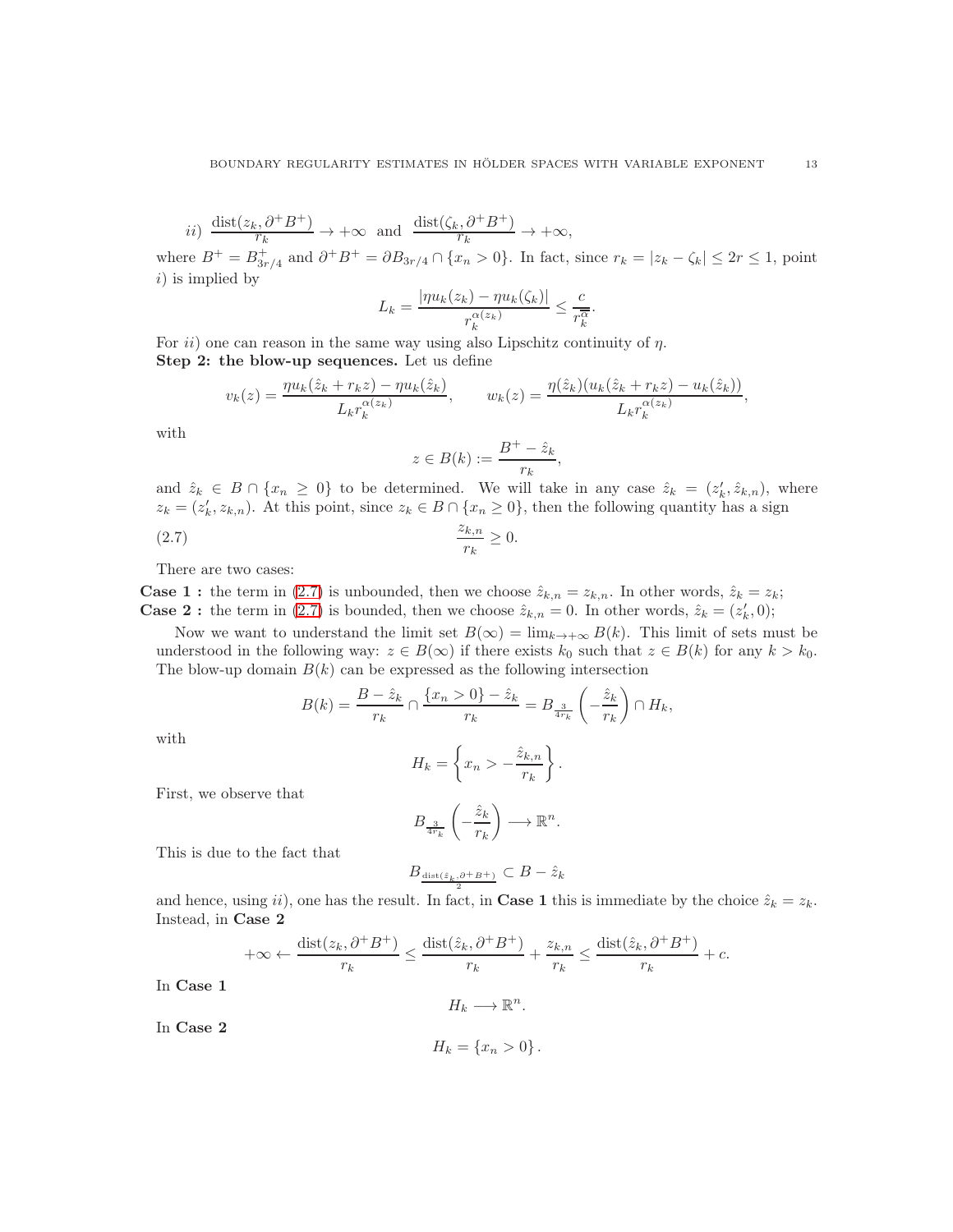*ii*) 
$$
\frac{\text{dist}(z_k, \partial^+ B^+)}{r_k} \to +\infty
$$
 and  $\frac{\text{dist}(\zeta_k, \partial^+ B^+)}{r_k} \to +\infty$ ,

where  $B^+ = B^+_{3r/4}$  and  $\partial^+ B^+ = \partial B_{3r/4} \cap \{x_n > 0\}$ . In fact, since  $r_k = |z_k - \zeta_k| \leq 2r \leq 1$ , point  $i)$  is implied by

$$
L_k = \frac{|\eta u_k(z_k) - \eta u_k(\zeta_k)|}{r_k^{\alpha(z_k)}} \le \frac{c}{r_k^{\overline{\alpha}}}.
$$

For  $ii)$  one can reason in the same way using also Lipschitz continuity of  $\eta$ . Step 2: the blow-up sequences. Let us define

$$
v_k(z) = \frac{\eta u_k(\hat{z}_k + r_k z) - \eta u_k(\hat{z}_k)}{L_k r_k^{\alpha(z_k)}}, \qquad w_k(z) = \frac{\eta(\hat{z}_k)(u_k(\hat{z}_k + r_k z) - u_k(\hat{z}_k))}{L_k r_k^{\alpha(z_k)}},
$$

with

<span id="page-12-0"></span>
$$
z \in B(k) := \frac{B^+ - \hat{z}_k}{r_k},
$$

and  $\hat{z}_k \in B \cap \{x_n \geq 0\}$  to be determined. We will take in any case  $\hat{z}_k = (z'_k, \hat{z}_{k,n})$ , where  $z_k = (z'_k, z_{k,n})$ . At this point, since  $z_k \in B \cap \{x_n \geq 0\}$ , then the following quantity has a sign  $(z.7)$   $\frac{z_{k,n}}{z_{k,n}}$  $\frac{\kappa, n}{r_k} \geq 0.$ 

$$
\frac{r_k}{r_k}
$$

There are two cases:

**Case 1 :** the term in [\(2.7\)](#page-12-0) is unbounded, then we choose  $\hat{z}_{k,n} = z_{k,n}$ . In other words,  $\hat{z}_k = z_k$ ; **Case 2 :** the term in [\(2.7\)](#page-12-0) is bounded, then we choose  $\hat{z}_{k,n} = 0$ . In other words,  $\hat{z}_k = (z'_k, 0)$ ;

Now we want to understand the limit set  $B(\infty) = \lim_{k \to +\infty} B(k)$ . This limit of sets must be understood in the following way:  $z \in B(\infty)$  if there exists  $k_0$  such that  $z \in B(k)$  for any  $k > k_0$ . The blow-up domain  $B(k)$  can be expressed as the following intersection

$$
B(k) = \frac{B - \hat{z}_k}{r_k} \cap \frac{\{x_n > 0\} - \hat{z}_k}{r_k} = B_{\frac{3}{4r_k}}\left(-\frac{\hat{z}_k}{r_k}\right) \cap H_k,
$$

with

$$
H_k = \left\{ x_n > -\frac{\hat{z}_{k,n}}{r_k} \right\}.
$$

First, we observe that

$$
B_{\frac{3}{4r_k}}\left(-\frac{\hat{z}_k}{r_k}\right)\longrightarrow \mathbb{R}^n.
$$

This is due to the fact that

$$
B_{\frac{\text{dist}(\hat{z}_k,\partial^+ B^+)}{2}} \subset B - \hat{z}_k
$$

and hence, using ii), one has the result. In fact, in **Case 1** this is immediate by the choice  $\hat{z}_k = z_k$ . Instead, in Case 2

$$
+\infty \leftarrow \frac{\text{dist}(z_k, \partial^+ B^+)}{r_k} \le \frac{\text{dist}(\hat{z}_k, \partial^+ B^+)}{r_k} + \frac{z_{k,n}}{r_k} \le \frac{\text{dist}(\hat{z}_k, \partial^+ B^+)}{r_k} + c.
$$

In Case 1

$$
H_k \longrightarrow \mathbb{R}^n.
$$

In Case 2

$$
H_k = \{x_n > 0\}.
$$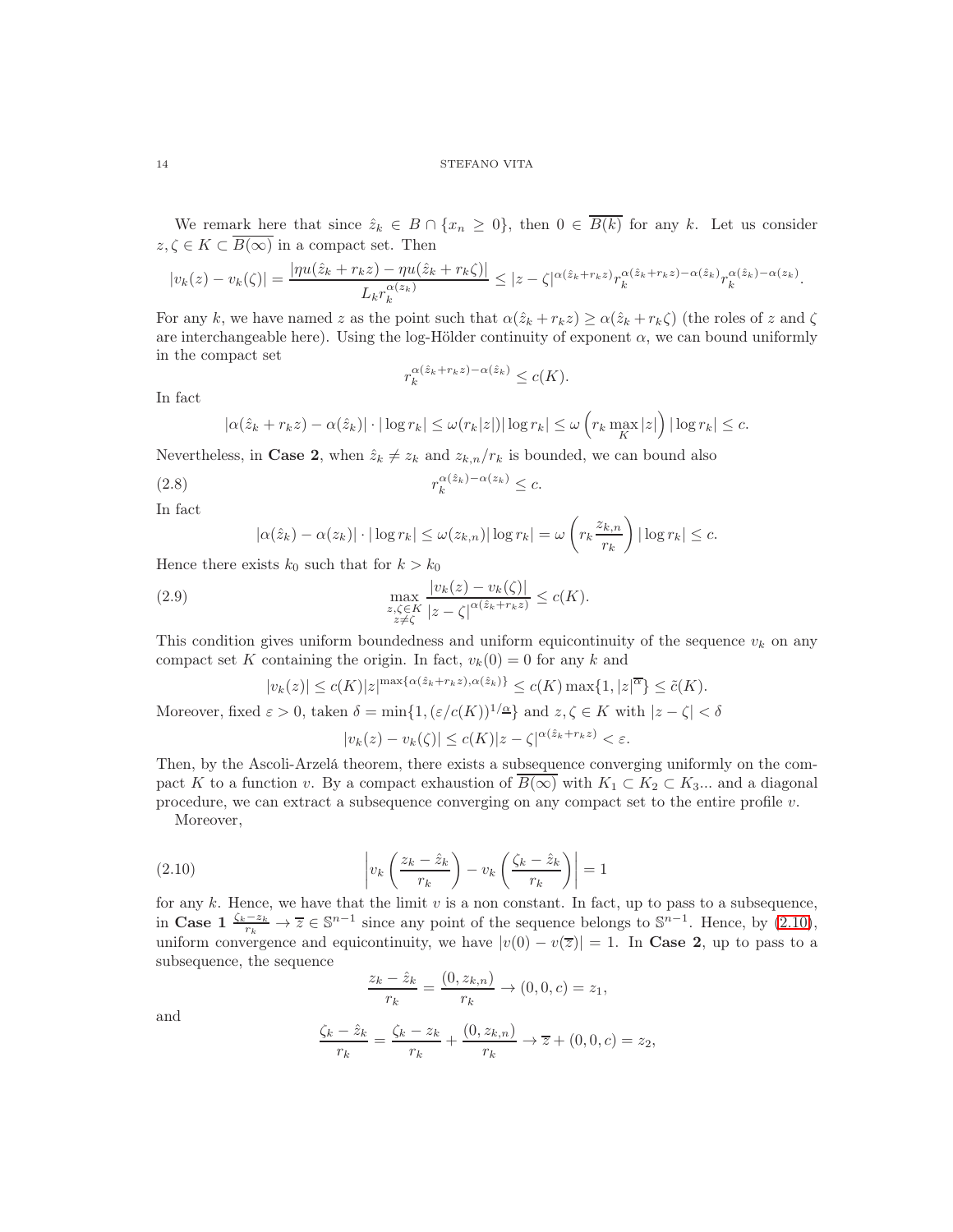We remark here that since  $\hat{z}_k \in B \cap \{x_n \geq 0\}$ , then  $0 \in \overline{B(k)}$  for any k. Let us consider  $z, \zeta \in K \subset \overline{B(\infty)}$  in a compact set. Then

$$
|v_k(z) - v_k(\zeta)| = \frac{|\eta u(\hat{z}_k + r_k z) - \eta u(\hat{z}_k + r_k \zeta)|}{L_k r_k^{\alpha(z_k)}} \leq |z - \zeta|^{\alpha(\hat{z}_k + r_k z)} r_k^{\alpha(\hat{z}_k + r_k z) - \alpha(\hat{z}_k)} r_k^{\alpha(\hat{z}_k) - \alpha(z_k)}.
$$

For any k, we have named z as the point such that  $\alpha(\hat{z}_k + r_k z) \geq \alpha(\hat{z}_k + r_k \zeta)$  (the roles of z and  $\zeta$ are interchangeable here). Using the log-Hölder continuity of exponent  $\alpha$ , we can bound uniformly in the compact set

<span id="page-13-2"></span>
$$
r_k^{\alpha(\hat{z}_k+r_kz)-\alpha(\hat{z}_k)} \le c(K).
$$

In fact

$$
|\alpha(\hat{z}_k + r_k z) - \alpha(\hat{z}_k)| \cdot |\log r_k| \leq \omega(r_k|z|) |\log r_k| \leq \omega\left(r_k \max_K |z|\right) |\log r_k| \leq c.
$$

Nevertheless, in Case 2, when  $\hat{z}_k \neq z_k$  and  $z_{k,n}/r_k$  is bounded, we can bound also

$$
(2.8) \t\t\t r_k^{\alpha(\hat{z}_k) - \alpha(z_k)} \le c.
$$

In fact

$$
|\alpha(\hat{z}_k) - \alpha(z_k)| \cdot |\log r_k| \le \omega(z_{k,n}) |\log r_k| = \omega\left(r_k \frac{z_{k,n}}{r_k}\right) |\log r_k| \le c.
$$

Hence there exists  $k_0$  such that for  $k > k_0$ 

(2.9) 
$$
\max_{\substack{z,\zeta \in K \\ z \neq \zeta}} \frac{|v_k(z) - v_k(\zeta)|}{|z - \zeta|^{\alpha(\hat{z}_k + r_k z)}} \leq c(K).
$$

This condition gives uniform boundedness and uniform equicontinuity of the sequence  $v_k$  on any compact set K containing the origin. In fact,  $v_k(0) = 0$  for any k and

$$
|v_k(z)| \le c(K)|z|^{\max\{\alpha(\hat{z}_k + r_k z), \alpha(\hat{z}_k)\}} \le c(K) \max\{1, |z|^{\overline{\alpha}}\} \le \tilde{c}(K).
$$

Moreover, fixed  $\varepsilon > 0$ , taken  $\delta = \min\{1, (\varepsilon/c(K))^{1/\alpha}\}\$  and  $z, \zeta \in K$  with  $|z - \zeta| < \delta$ 

<span id="page-13-1"></span>
$$
|v_k(z) - v_k(\zeta)| \le c(K)|z - \zeta|^{\alpha(\hat{z}_k + r_k z)} < \varepsilon.
$$

Then, by the Ascoli-Arzelá theorem, there exists a subsequence converging uniformly on the compact K to a function v. By a compact exhaustion of  $\overline{B(\infty)}$  with  $K_1 \subset K_2 \subset K_3...$  and a diagonal procedure, we can extract a subsequence converging on any compact set to the entire profile  $v$ . Moreover,

$$
\left| v_k \left( \frac{z_k - \hat{z}_k}{z_k} \right) - v_k \left( \frac{\hat{z}_k}{z_k} \right) \right|
$$

(2.10) 
$$
\left| v_k \left( \frac{z_k - \hat{z}_k}{r_k} \right) - v_k \left( \frac{\zeta_k - \hat{z}_k}{r_k} \right) \right| = 1
$$
  
for any k. Hence, we have that the limit v is a non constant. In fact, up to pass to a subsequence,  
in **Case 1**  $\frac{\zeta_k - z_k}{r_k} \to \overline{z} \in \mathbb{S}^{n-1}$  since any point of the sequence belongs to  $\mathbb{S}^{n-1}$ . Hence, by (2.10),

e, by  $(2.10)$ , uniform convergence and equicontinuity, we have  $|v(0) - v(\overline{z})| = 1$ . In Case 2, up to pass to a subsequence, the sequence

<span id="page-13-0"></span>
$$
\frac{z_k - \hat{z}_k}{r_k} = \frac{(0, z_{k,n})}{r_k} \to (0, 0, c) = z_1,
$$

and

$$
\frac{\zeta_k - \hat{z}_k}{r_k} = \frac{\zeta_k - z_k}{r_k} + \frac{(0, z_{k,n})}{r_k} \to \overline{z} + (0, 0, c) = z_2,
$$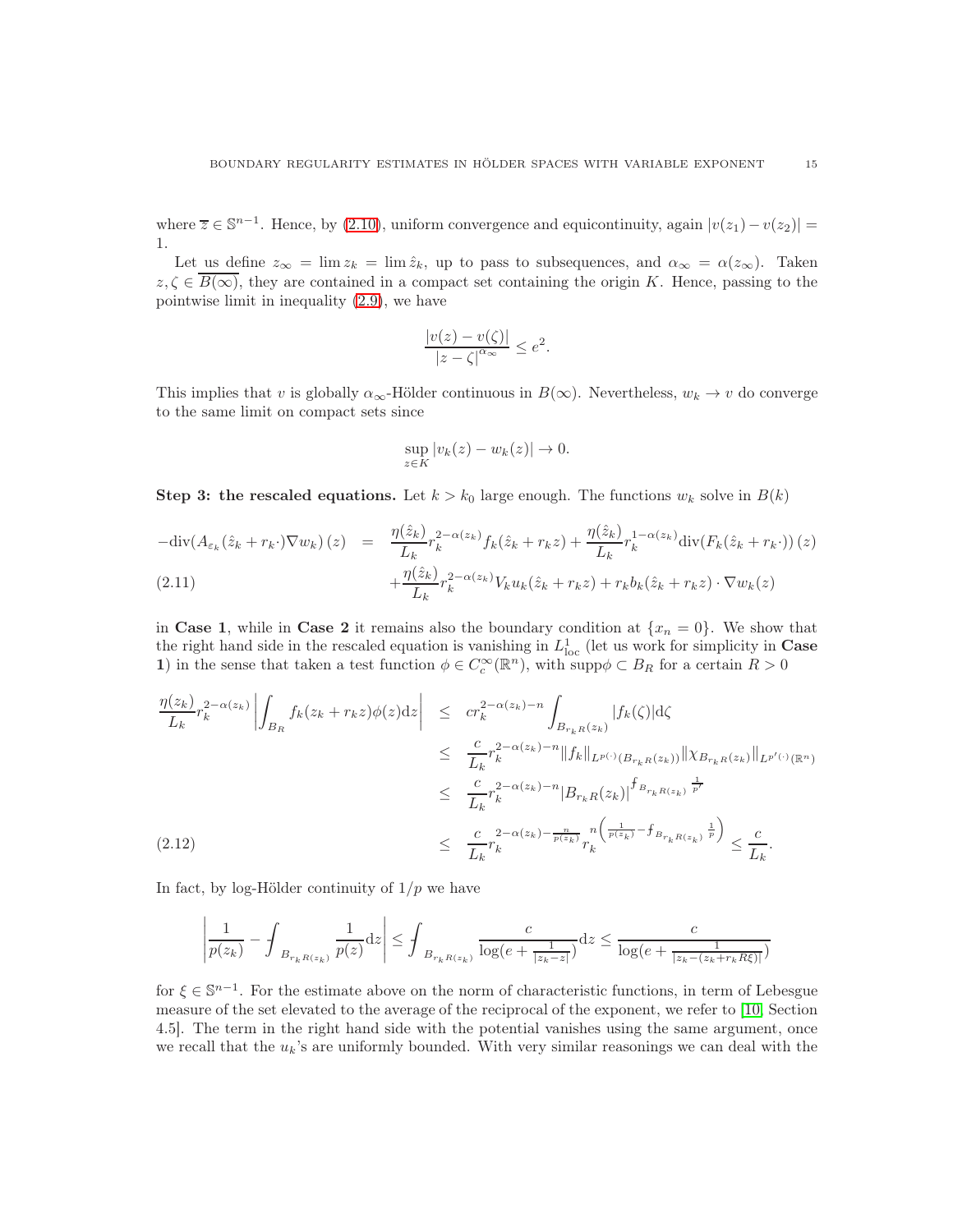where  $\overline{z} \in \mathbb{S}^{n-1}$ . Hence, by [\(2.10\)](#page-13-0), uniform convergence and equicontinuity, again  $|v(z_1) - v(z_2)| =$ 1.

Let us define  $z_{\infty} = \lim z_k = \lim \hat{z}_k$ , up to pass to subsequences, and  $\alpha_{\infty} = \alpha(z_{\infty})$ . Taken  $z, \zeta \in B(\infty)$ , they are contained in a compact set containing the origin K. Hence, passing to the pointwise limit in inequality [\(2.9\)](#page-13-1), we have

$$
\frac{|v(z) - v(\zeta)|}{|z - \zeta|^{\alpha_{\infty}}} \le e^2.
$$

This implies that v is globally  $\alpha_{\infty}$ -Hölder continuous in  $B(\infty)$ . Nevertheless,  $w_k \to v$  do converge to the same limit on compact sets since

$$
\sup_{z \in K} |v_k(z) - w_k(z)| \to 0.
$$

Step 3: the rescaled equations. Let  $k > k_0$  large enough. The functions  $w_k$  solve in  $B(k)$ 

<span id="page-14-0"></span>
$$
-\text{div}(A_{\varepsilon_k}(\hat{z}_k + r_k \cdot) \nabla w_k)(z) = \frac{\eta(\hat{z}_k)}{L_k} r_k^{2-\alpha(z_k)} f_k(\hat{z}_k + r_k z) + \frac{\eta(\hat{z}_k)}{L_k} r_k^{1-\alpha(z_k)} \text{div}(F_k(\hat{z}_k + r_k \cdot))(z) + \frac{\eta(\hat{z}_k)}{L_k} r_k^{2-\alpha(z_k)} V_k u_k(\hat{z}_k + r_k z) + r_k b_k(\hat{z}_k + r_k z) \cdot \nabla w_k(z)
$$

in Case 1, while in Case 2 it remains also the boundary condition at  $\{x_n = 0\}$ . We show that the right hand side in the rescaled equation is vanishing in  $L^1_{loc}$  (let us work for simplicity in **Case** 1) in the sense that taken a test function  $\phi \in C_c^{\infty}(\mathbb{R}^n)$ , with supp $\phi \subset B_R$  for a certain  $R > 0$ 

<span id="page-14-1"></span>
$$
\frac{\eta(z_k)}{L_k} r_k^{2-\alpha(z_k)} \left| \int_{B_R} f_k(z_k + r_k z) \phi(z) dz \right| \leq cr_k^{2-\alpha(z_k)-n} \int_{B_{r_k R}(z_k)} |f_k(\zeta)| d\zeta
$$
\n
$$
\leq \frac{c}{L_k} r_k^{2-\alpha(z_k)-n} \|f_k\|_{L^{p(\cdot)}(B_{r_k R}(z_k))} \| \chi_{B_{r_k R}(z_k)} \|_{L^{p'(\cdot)}(\mathbb{R}^n)}
$$
\n
$$
\leq \frac{c}{L_k} r_k^{2-\alpha(z_k)-n} |B_{r_k R}(z_k)|^{\int_{B_{r_k R}(z_k)} \frac{1}{p'}}
$$
\n(2.12)\n
$$
\leq \frac{c}{L_k} r_k^{2-\alpha(z_k)-\frac{n}{p(z_k)}} r_k^{n} \left( \frac{1}{p(z_k)} - f_{B_{r_k R(z_k)}} \frac{1}{p} \right) \leq \frac{c}{L_k}.
$$

In fact, by log-Hölder continuity of  $1/p$  we have

$$
\left|\frac{1}{p(z_k)} - \int_{B_{r_k R(z_k)}} \frac{1}{p(z)} \mathrm{d}z\right| \le \int_{B_{r_k R(z_k)}} \frac{c}{\log(e + \frac{1}{|z_k - z|})} \mathrm{d}z \le \frac{c}{\log(e + \frac{1}{|z_k - (z_k + r_k R \xi)|})}
$$

for  $\xi \in \mathbb{S}^{n-1}$ . For the estimate above on the norm of characteristic functions, in term of Lebesgue measure of the set elevated to the average of the reciprocal of the exponent, we refer to [\[10,](#page-28-8) Section 4.5]. The term in the right hand side with the potential vanishes using the same argument, once we recall that the  $u_k$ 's are uniformly bounded. With very similar reasonings we can deal with the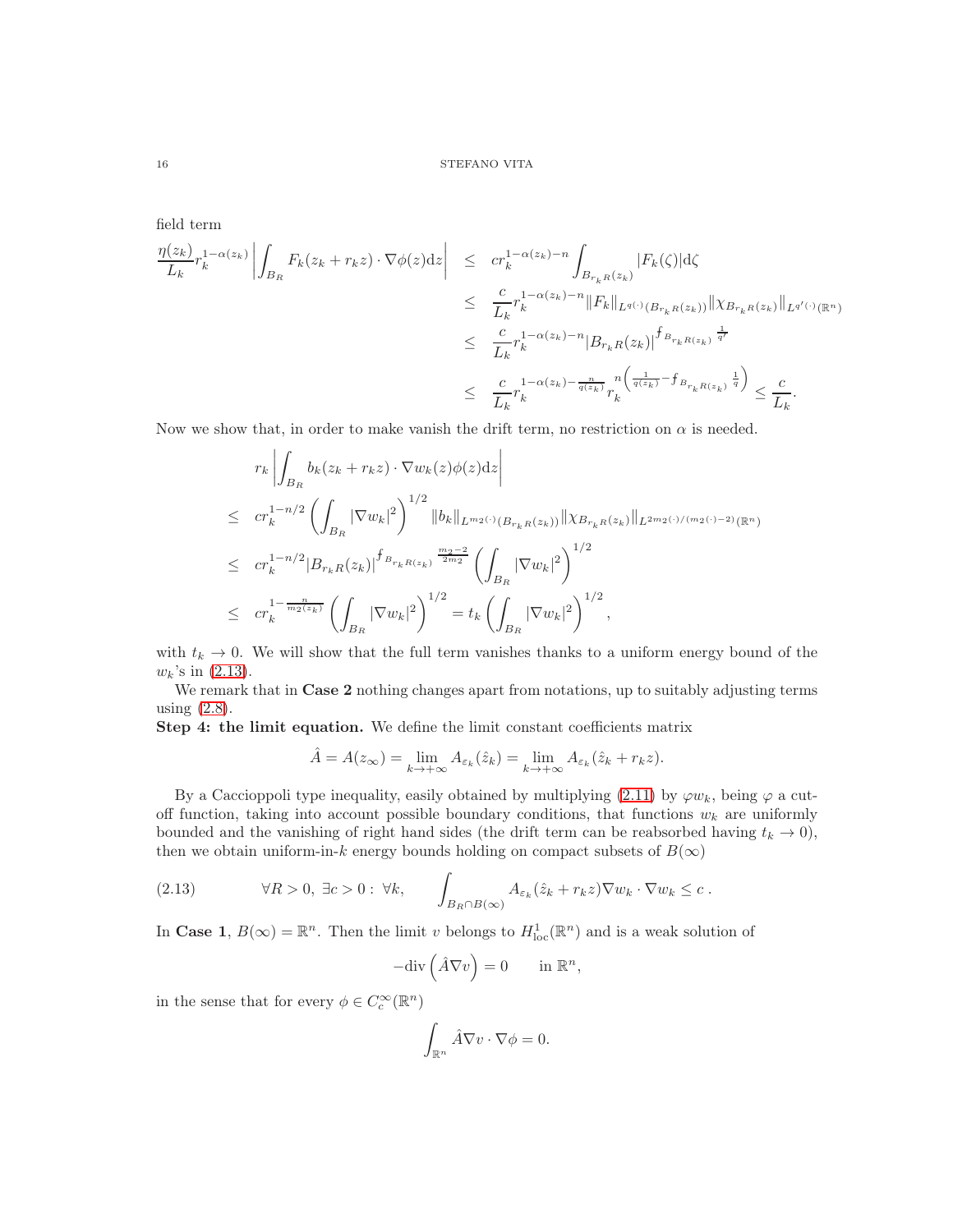field term

$$
\frac{\eta(z_k)}{L_k} r_k^{1-\alpha(z_k)} \left| \int_{B_R} F_k(z_k + r_k z) \cdot \nabla \phi(z) dz \right| \leq c r_k^{1-\alpha(z_k)-n} \int_{B_{r_k R}(z_k)} |F_k(\zeta)| d\zeta
$$
\n
$$
\leq \frac{c}{L_k} r_k^{1-\alpha(z_k)-n} \|F_k\|_{L^{q(\cdot)}(B_{r_k R}(z_k))} \|\chi_{B_{r_k R}(z_k)}\|_{L^{q'(\cdot)}(\mathbb{R}^n)}
$$
\n
$$
\leq \frac{c}{L_k} r_k^{1-\alpha(z_k)-n} |B_{r_k R}(z_k)|^{\int_{B_{r_k R}(z_k)} \frac{1}{q'}} r_k^{1-\alpha(z_k)-\frac{n}{q(z_k)-n}} r_k^{1-\alpha(z_k)-\frac{n}{q(z_k)-n}} r_k^{1-\alpha(z_k)-\frac{n}{q(z_k)-n}} r_k^{1-\alpha(z_k)-\frac{1}{q(z_k)-n}} \leq \frac{c}{L_k}.
$$

Now we show that, in order to make vanish the drift term, no restriction on  $\alpha$  is needed.

$$
r_{k} \left| \int_{B_{R}} b_{k}(z_{k} + r_{k}z) \cdot \nabla w_{k}(z) \phi(z) dz \right|
$$
  
\n
$$
\leq c r_{k}^{1-n/2} \left( \int_{B_{R}} |\nabla w_{k}|^{2} \right)^{1/2} \|b_{k}\|_{L^{m_{2}(\cdot)}(B_{r_{k}R}(z_{k}))} \|\chi_{B_{r_{k}R}(z_{k})}\|_{L^{2m_{2}(\cdot)/(m_{2}(\cdot)-2)}(\mathbb{R}^{n})}
$$
  
\n
$$
\leq c r_{k}^{1-n/2} |B_{r_{k}R}(z_{k})|^{f_{B_{r_{k}R}(z_{k})} \frac{m_{2}-2}{2m_{2}}} \left( \int_{B_{R}} |\nabla w_{k}|^{2} \right)^{1/2}
$$
  
\n
$$
\leq c r_{k}^{1-\frac{n}{m_{2}(z_{k})}} \left( \int_{B_{R}} |\nabla w_{k}|^{2} \right)^{1/2} = t_{k} \left( \int_{B_{R}} |\nabla w_{k}|^{2} \right)^{1/2},
$$

with  $t_k \to 0$ . We will show that the full term vanishes thanks to a uniform energy bound of the  $w_k$ 's in  $(2.13)$ .

We remark that in **Case 2** nothing changes apart from notations, up to suitably adjusting terms using [\(2.8\)](#page-13-2).

Step 4: the limit equation. We define the limit constant coefficients matrix

$$
\hat{A} = A(z_{\infty}) = \lim_{k \to +\infty} A_{\varepsilon_k}(\hat{z}_k) = \lim_{k \to +\infty} A_{\varepsilon_k}(\hat{z}_k + r_k z).
$$

By a Caccioppoli type inequality, easily obtained by multiplying [\(2.11\)](#page-14-0) by  $\varphi w_k$ , being  $\varphi$  a cutoff function, taking into account possible boundary conditions, that functions  $w_k$  are uniformly bounded and the vanishing of right hand sides (the drift term can be reabsorbed having  $t_k \to 0$ ), then we obtain uniform-in-k energy bounds holding on compact subsets of  $B(\infty)$ 

<span id="page-15-0"></span>(2.13) 
$$
\forall R > 0, \ \exists c > 0 : \ \forall k, \qquad \int_{B_R \cap B(\infty)} A_{\varepsilon_k}(\hat{z}_k + r_k z) \nabla w_k \cdot \nabla w_k \leq c.
$$

In Case 1,  $B(\infty) = \mathbb{R}^n$ . Then the limit v belongs to  $H^1_{loc}(\mathbb{R}^n)$  and is a weak solution of

$$
-\mathrm{div}\left(\hat{A}\nabla v\right) = 0 \quad \text{in } \mathbb{R}^n,
$$

in the sense that for every  $\phi \in C_c^{\infty}(\mathbb{R}^n)$ 

$$
\int_{\mathbb{R}^n} \hat{A} \nabla v \cdot \nabla \phi = 0.
$$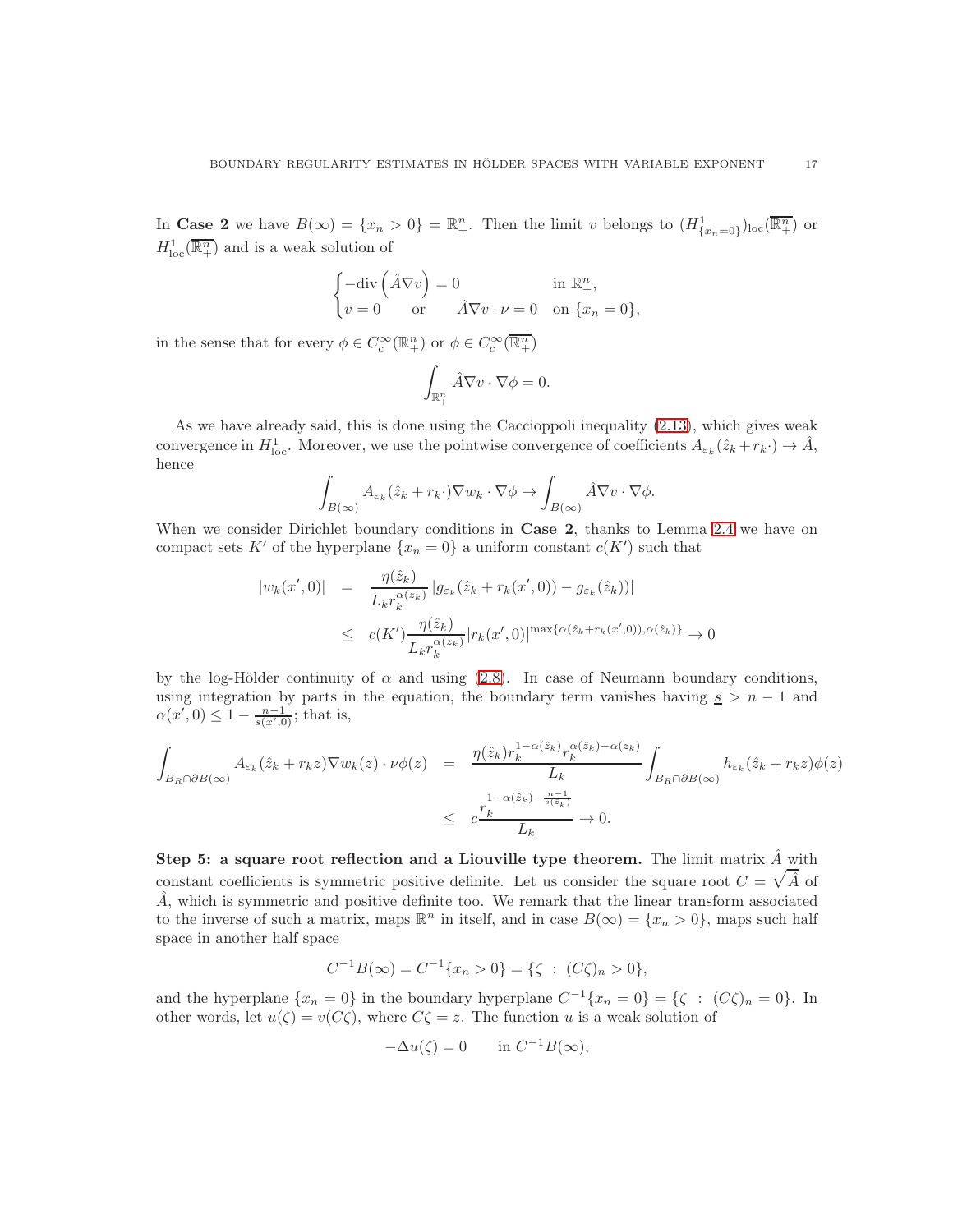In Case 2 we have  $B(\infty) = \{x_n > 0\} = \mathbb{R}^n_+$ . Then the limit v belongs to  $(H^1_{\{x_n=0\}})_{loc}(\overline{\mathbb{R}^n_+})$  or  $H^1_{\text{loc}}(\overline{\mathbb{R}^n_+})$  and is a weak solution of

$$
\begin{cases}\n-\text{div}\left(\hat{A}\nabla v\right) = 0 & \text{in } \mathbb{R}^n_+, \\
v = 0 & \text{or} \quad \hat{A}\nabla v \cdot \nu = 0 & \text{on } \{x_n = 0\},\n\end{cases}
$$

in the sense that for every  $\phi \in C_c^{\infty}(\mathbb{R}^n_+)$  or  $\phi \in C_c^{\infty}(\overline{\mathbb{R}^n_+})$ 

$$
\int_{\mathbb{R}^n_+} \hat{A} \nabla v \cdot \nabla \phi = 0.
$$

As we have already said, this is done using the Caccioppoli inequality [\(2.13\)](#page-15-0), which gives weak convergence in  $H_{\text{loc}}^1$ . Moreover, we use the pointwise convergence of coefficients  $A_{\varepsilon_k}(\hat{z}_k + r_k \cdot) \to \hat{A}$ , hence

$$
\int_{B(\infty)} A_{\varepsilon_k}(\hat{z}_k + r_k \cdot) \nabla w_k \cdot \nabla \phi \to \int_{B(\infty)} \hat{A} \nabla v \cdot \nabla \phi.
$$

When we consider Dirichlet boundary conditions in Case 2, thanks to Lemma [2.4](#page-9-0) we have on compact sets K' of the hyperplane  $\{x_n = 0\}$  a uniform constant  $c(K')$  such that

$$
|w_k(x',0)| = \frac{\eta(\hat{z}_k)}{L_k r_k^{\alpha(z_k)}} |g_{\varepsilon_k}(\hat{z}_k + r_k(x',0)) - g_{\varepsilon_k}(\hat{z}_k))|
$$
  

$$
\leq c(K') \frac{\eta(\hat{z}_k)}{L_k r_k^{\alpha(z_k)}} |r_k(x',0)|^{\max\{\alpha(\hat{z}_k + r_k(x',0)), \alpha(\hat{z}_k)\}} \to 0
$$

by the log-Hölder continuity of  $\alpha$  and using [\(2.8\)](#page-13-2). In case of Neumann boundary conditions, using integration by parts in the equation, the boundary term vanishes having  $s > n - 1$  and  $\alpha(x', 0) \leq 1 - \frac{n-1}{s(x', 0)}$ ; that is,

$$
\int_{B_R \cap \partial B(\infty)} A_{\varepsilon_k}(\hat{z}_k + r_k z) \nabla w_k(z) \cdot \nu \phi(z) = \frac{\eta(\hat{z}_k) r_k^{1 - \alpha(\hat{z}_k)} r_k^{\alpha(\hat{z}_k) - \alpha(z_k)}}{L_k} \int_{B_R \cap \partial B(\infty)} h_{\varepsilon_k}(\hat{z}_k + r_k z) \phi(z)
$$
\n
$$
\leq c \frac{r_k^{1 - \alpha(\hat{z}_k) - \frac{n - 1}{s(\hat{z}_k)}}}{L_k} \to 0.
$$

Step 5: a square root reflection and a Liouville type theorem. The limit matrix  $\hat{A}$  with constant coefficients is symmetric positive definite. Let us consider the square root  $C = \sqrt{\hat{A}}$  of  $\hat{A}$ , which is symmetric and positive definite too. We remark that the linear transform associated to the inverse of such a matrix, maps  $\mathbb{R}^n$  in itself, and in case  $B(\infty) = \{x_n > 0\}$ , maps such half space in another half space

$$
C^{-1}B(\infty) = C^{-1}\{x_n > 0\} = \{\zeta : (C\zeta)_n > 0\},\,
$$

and the hyperplane  $\{x_n = 0\}$  in the boundary hyperplane  $C^{-1}\{x_n = 0\} = \{\zeta : (C\zeta)_n = 0\}$ . In other words, let  $u(\zeta) = v(C\zeta)$ , where  $C\zeta = z$ . The function u is a weak solution of

$$
-\Delta u(\zeta) = 0 \quad \text{in } C^{-1}B(\infty),
$$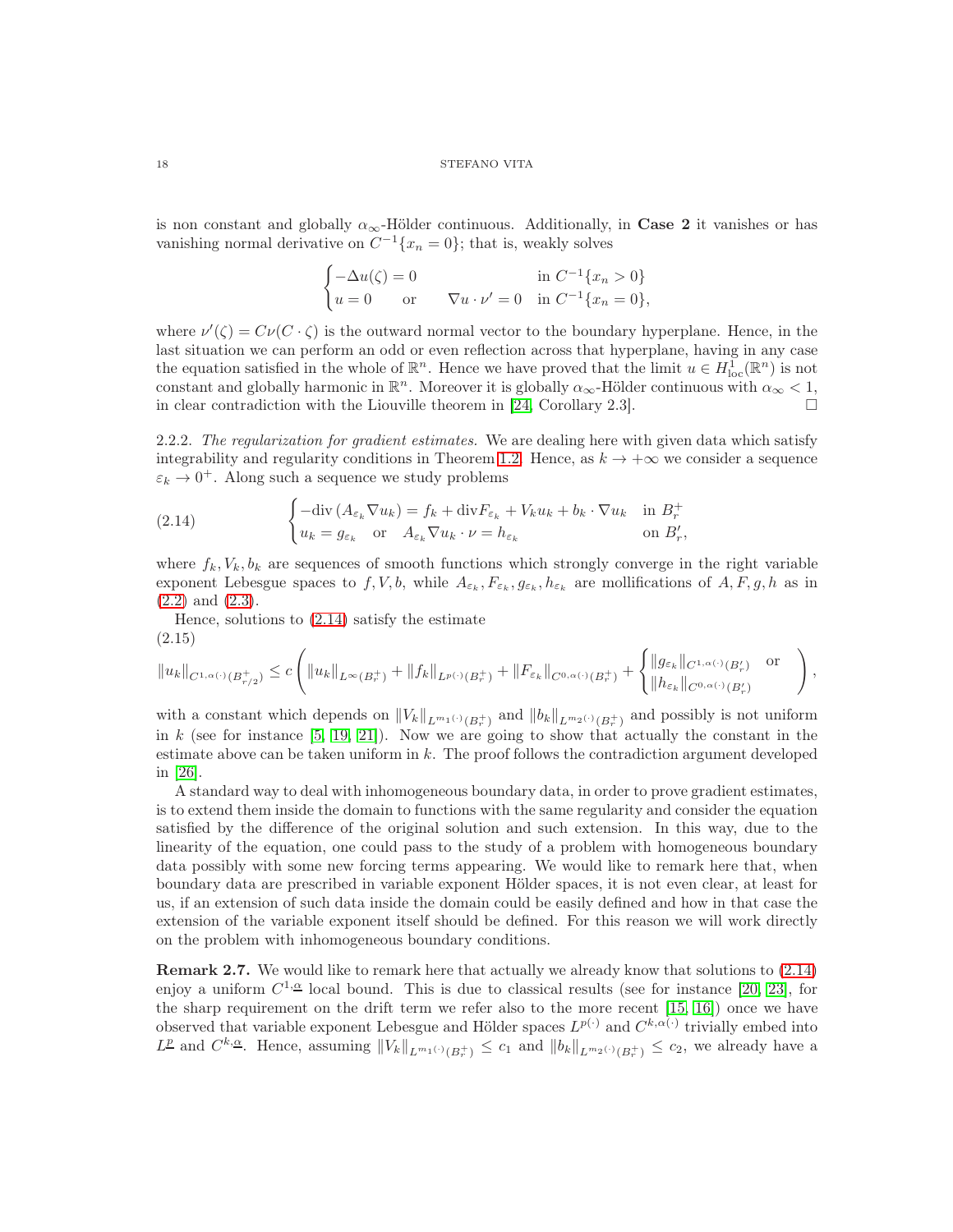is non constant and globally  $\alpha_{\infty}$ -Hölder continuous. Additionally, in **Case 2** it vanishes or has vanishing normal derivative on  $C^{-1}\lbrace x_n = 0 \rbrace$ ; that is, weakly solves

$$
\begin{cases}\n-\Delta u(\zeta) = 0 & \text{in } C^{-1}\{x_n > 0\} \\
u = 0 & \text{or} \qquad \nabla u \cdot \nu' = 0 & \text{in } C^{-1}\{x_n = 0\},\n\end{cases}
$$

where  $\nu'(\zeta) = C\nu(C \cdot \zeta)$  is the outward normal vector to the boundary hyperplane. Hence, in the last situation we can perform an odd or even reflection across that hyperplane, having in any case the equation satisfied in the whole of  $\mathbb{R}^n$ . Hence we have proved that the limit  $u \in H^1_{loc}(\mathbb{R}^n)$  is not constant and globally harmonic in  $\mathbb{R}^n$ . Moreover it is globally  $\alpha_{\infty}$ -Hölder continuous with  $\alpha_{\infty} < 1$ , in clear contradiction with the Liouville theorem in [\[24,](#page-29-6) Corollary 2.3].

2.2.2. The regularization for gradient estimates. We are dealing here with given data which satisfy integrability and regularity conditions in Theorem [1.2.](#page-3-0) Hence, as  $k \to +\infty$  we consider a sequence  $\varepsilon_k \to 0^+$ . Along such a sequence we study problems

<span id="page-17-0"></span>(2.14) 
$$
\begin{cases}\n-\text{div}\left(A_{\varepsilon_k}\nabla u_k\right) = f_k + \text{div}F_{\varepsilon_k} + V_k u_k + b_k \cdot \nabla u_k & \text{in } B_r^+ \\
u_k = g_{\varepsilon_k} & \text{or } A_{\varepsilon_k}\nabla u_k \cdot \nu = h_{\varepsilon_k} & \text{on } B'_r,\n\end{cases}
$$

where  $f_k, V_k, b_k$  are sequences of smooth functions which strongly converge in the right variable exponent Lebesgue spaces to  $f, V, b$ , while  $A_{\varepsilon_k}, F_{\varepsilon_k}, g_{\varepsilon_k}, h_{\varepsilon_k}$  are mollifications of  $A, F, g, h$  as in [\(2.2\)](#page-8-0) and [\(2.3\)](#page-8-1).

Hence, solutions to [\(2.14\)](#page-17-0) satisfy the estimate (2.15)

<span id="page-17-1"></span>
$$
\|u_k\|_{C^{1,\alpha(\cdot)}(B_{r/2}^+)} \leq c \left( \|u_k\|_{L^\infty(B_r^+)} + \|f_k\|_{L^{p(\cdot)}(B_r^+)} + \|F_{\varepsilon_k}\|_{C^{0,\alpha(\cdot)}(B_r^+)} + \begin{cases} \|g_{\varepsilon_k}\|_{C^{1,\alpha(\cdot)}(B_r')} & \text{or} \\ \|h_{\varepsilon_k}\|_{C^{0,\alpha(\cdot)}(B_r')}\end{cases}\right),
$$

with a constant which depends on  $||V_k||_{L^{m_1(\cdot)}(B_r^+)}$  and  $||b_k||_{L^{m_2(\cdot)}(B_r^+)}$  and possibly is not uniform in  $k$  (see for instance [\[5,](#page-28-11) [19,](#page-29-4) [21\]](#page-29-3)). Now we are going to show that actually the constant in the estimate above can be taken uniform in  $k$ . The proof follows the contradiction argument developed in [\[26\]](#page-29-7).

A standard way to deal with inhomogeneous boundary data, in order to prove gradient estimates, is to extend them inside the domain to functions with the same regularity and consider the equation satisfied by the difference of the original solution and such extension. In this way, due to the linearity of the equation, one could pass to the study of a problem with homogeneous boundary data possibly with some new forcing terms appearing. We would like to remark here that, when boundary data are prescribed in variable exponent Hölder spaces, it is not even clear, at least for us, if an extension of such data inside the domain could be easily defined and how in that case the extension of the variable exponent itself should be defined. For this reason we will work directly on the problem with inhomogeneous boundary conditions.

<span id="page-17-2"></span>Remark 2.7. We would like to remark here that actually we already know that solutions to [\(2.14\)](#page-17-0) enjoy a uniform  $C^{1,\underline{\alpha}}$  local bound. This is due to classical results (see for instance [\[20,](#page-29-8) [23\]](#page-29-9), for the sharp requirement on the drift term we refer also to the more recent [\[15,](#page-29-10) [16\]](#page-29-11)) once we have observed that variable exponent Lebesgue and Hölder spaces  $L^{p(\cdot)}$  and  $C^{k,\alpha(\cdot)}$  trivially embed into  $L^{\underline{p}}$  and  $C^{k,\underline{\alpha}}$ . Hence, assuming  $||V_k||_{L^{m_1(\cdot)}(B_r^+)} \leq c_1$  and  $||b_k||_{L^{m_2(\cdot)}(B_r^+)} \leq c_2$ , we already have a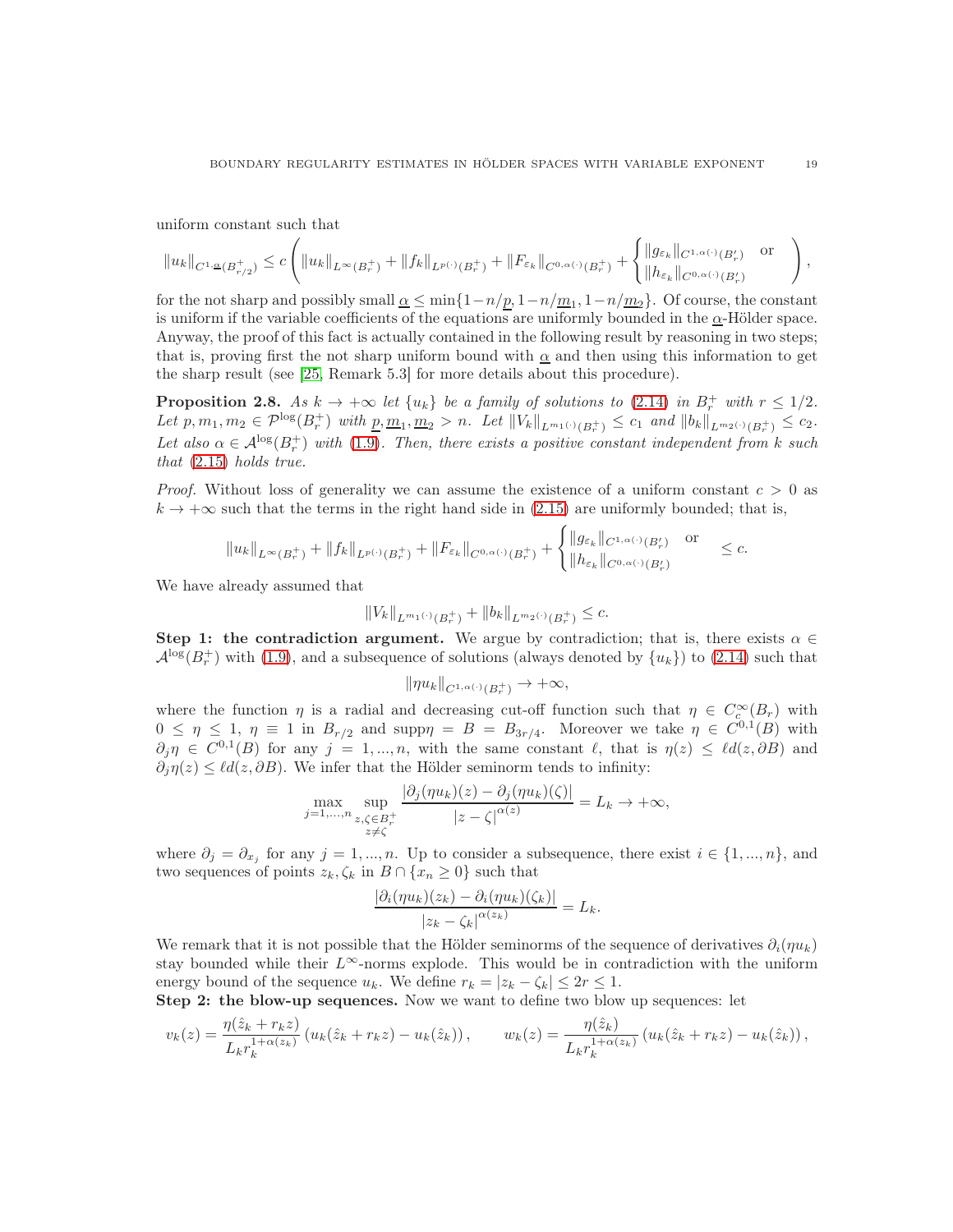uniform constant such that

$$
||u_k||_{C^{1,\underline{\alpha}}(B_{r/2}^+)} \leq c \left( ||u_k||_{L^{\infty}(B_r^+)} + ||f_k||_{L^{p(\cdot)}(B_r^+)} + ||F_{\varepsilon_k}||_{C^{0,\alpha(\cdot)}(B_r^+)} + \begin{cases} ||g_{\varepsilon_k}||_{C^{1,\alpha(\cdot)}(B_r')} & \text{or} \\ ||h_{\varepsilon_k}||_{C^{0,\alpha(\cdot)}(B_r')} & \end{cases} \right),
$$

for the not sharp and possibly small  $\underline{\alpha} \le \min\{1-n/\underline{p}, 1-n/\underline{m}_1, 1-n/\underline{m}_2\}$ . Of course, the constant is uniform if the variable coefficients of the equations are uniformly bounded in the  $\alpha$ -Hölder space. Anyway, the proof of this fact is actually contained in the following result by reasoning in two steps; that is, proving first the not sharp uniform bound with  $\alpha$  and then using this information to get the sharp result (see [\[25,](#page-29-12) Remark 5.3] for more details about this procedure).

<span id="page-18-0"></span>**Proposition 2.8.** As  $k \to +\infty$  let  $\{u_k\}$  be a family of solutions to [\(2.14\)](#page-17-0) in  $B_r^+$  with  $r \leq 1/2$ . Let  $p, m_1, m_2 \in \mathcal{P}^{\log}(B_r^+)$  with  $\underline{p}, \underline{m}_1, \underline{m}_2 > n$ . Let  $||V_k||_{L^{m_1(\cdot)}(B_r^+)} \le c_1$  and  $||b_k||_{L^{m_2(\cdot)}(B_r^+)} \le c_2$ . Let also  $\alpha \in \mathcal{A}^{\log}(B_r^+)$  with [\(1.9\)](#page-3-4). Then, there exists a positive constant independent from k such that [\(2.15\)](#page-17-1) holds true.

*Proof.* Without loss of generality we can assume the existence of a uniform constant  $c > 0$  as  $k \to +\infty$  such that the terms in the right hand side in [\(2.15\)](#page-17-1) are uniformly bounded; that is,

$$
||u_k||_{L^{\infty}(B_r^+)} + ||f_k||_{L^{p(\cdot)}(B_r^+)} + ||F_{\varepsilon_k}||_{C^{0,\alpha(\cdot)}(B_r^+)} + \begin{cases} ||g_{\varepsilon_k}||_{C^{1,\alpha(\cdot)}(B_r')} & \text{or} \\ ||h_{\varepsilon_k}||_{C^{0,\alpha(\cdot)}(B_r')} & \leq c. \end{cases}
$$

We have already assumed that

$$
||V_k||_{L^{m_1(\cdot)}(B_r^+)} + ||b_k||_{L^{m_2(\cdot)}(B_r^+)} \leq c.
$$

Step 1: the contradiction argument. We argue by contradiction; that is, there exists  $\alpha \in$  $\mathcal{A}^{\log}(B_r^+)$  with [\(1.9\)](#page-3-4), and a subsequence of solutions (always denoted by  $\{u_k\}$ ) to [\(2.14\)](#page-17-0) such that

$$
\|\eta u_k\|_{C^{1,\alpha(\cdot)}(B_r^+)} \to +\infty,
$$

where the function  $\eta$  is a radial and decreasing cut-off function such that  $\eta \in C_c^{\infty}(B_r)$  with  $0 \leq \eta \leq 1$ ,  $\eta \equiv 1$  in  $B_{r/2}$  and supp $\eta = B = B_{3r/4}$ . Moreover we take  $\eta \in C^{0,1}(B)$  with  $\partial_j \eta \in C^{0,1}(B)$  for any  $j = 1, ..., n$ , with the same constant  $\ell$ , that is  $\eta(z) \leq \ell d(z, \partial B)$  and  $\partial_i \eta(z) \leq \ell d(z, \partial B)$ . We infer that the Hölder seminorm tends to infinity:

$$
\max_{j=1,\ldots,n} \sup_{\substack{z,\zeta \in B_r^+ \\ z \neq \zeta}} \frac{|\partial_j(\eta u_k)(z) - \partial_j(\eta u_k)(\zeta)|}{|z - \zeta|^{\alpha(z)}} = L_k \to +\infty,
$$

where  $\partial_j = \partial_{x_j}$  for any  $j = 1, ..., n$ . Up to consider a subsequence, there exist  $i \in \{1, ..., n\}$ , and two sequences of points  $z_k, \zeta_k$  in  $B \cap \{x_n \geq 0\}$  such that

$$
\frac{|\partial_i(\eta u_k)(z_k) - \partial_i(\eta u_k)(\zeta_k)|}{|z_k - \zeta_k|^{\alpha(z_k)}} = L_k.
$$

We remark that it is not possible that the Hölder seminorms of the sequence of derivatives  $\partial_i(\eta u_k)$ stay bounded while their  $L^{\infty}$ -norms explode. This would be in contradiction with the uniform energy bound of the sequence  $u_k$ . We define  $r_k = |z_k - \zeta_k| \leq 2r \leq 1$ .

Step 2: the blow-up sequences. Now we want to define two blow up sequences: let

$$
v_k(z) = \frac{\eta(\hat{z}_k + r_k z)}{L_k r_k^{1 + \alpha(z_k)}} \left( u_k(\hat{z}_k + r_k z) - u_k(\hat{z}_k) \right), \qquad w_k(z) = \frac{\eta(\hat{z}_k)}{L_k r_k^{1 + \alpha(z_k)}} \left( u_k(\hat{z}_k + r_k z) - u_k(\hat{z}_k) \right),
$$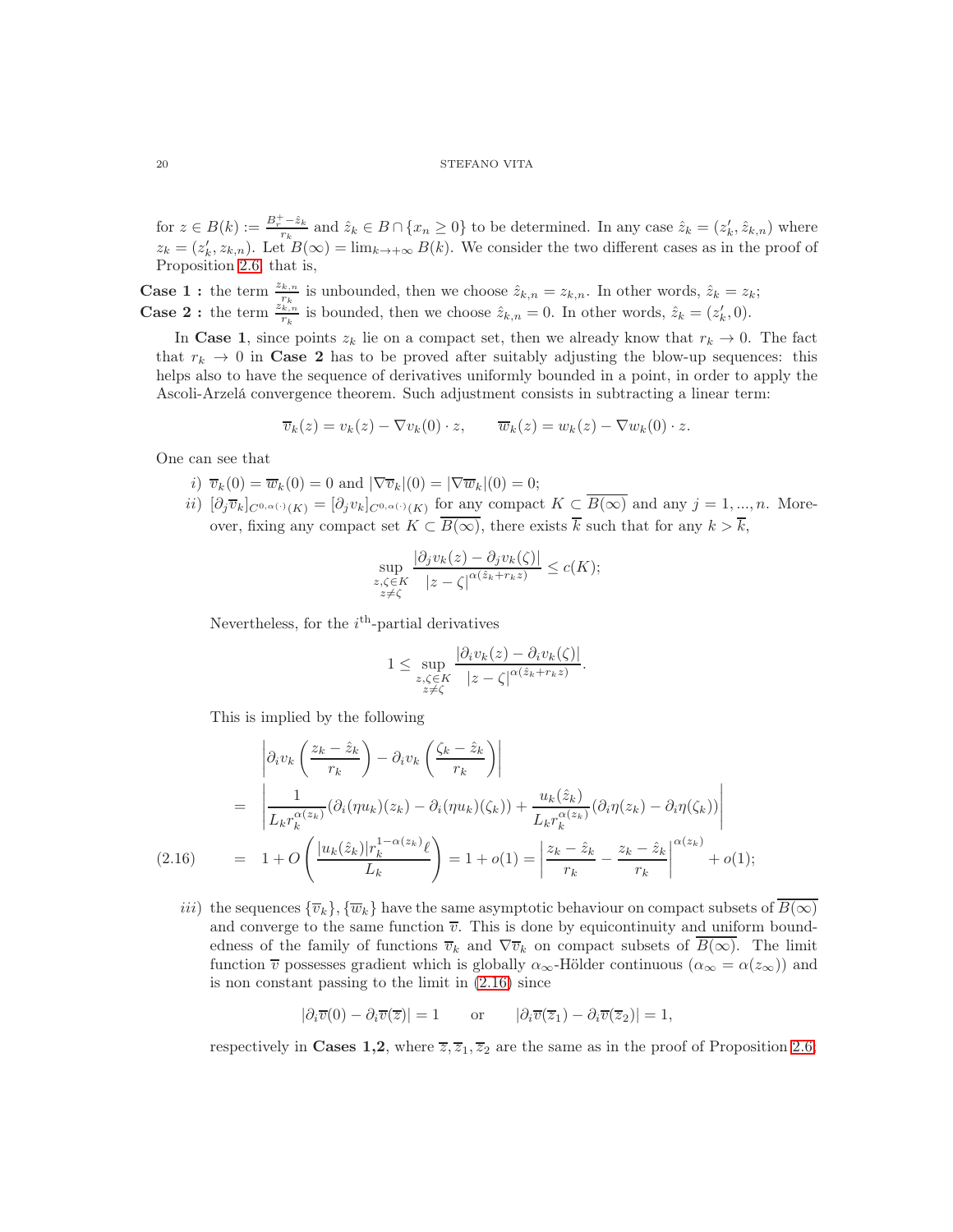for  $z \in B(k) := \frac{B_r^+ - \hat{z}_k}{r_k}$  and  $\hat{z}_k \in B \cap \{x_n \geq 0\}$  to be determined. In any case  $\hat{z}_k = (z'_k, \hat{z}_{k,n})$  where  $z_k = (z'_k, z_{k,n})$ . Let  $B(\infty) = \lim_{k \to +\infty} B(k)$ . We consider the two different cases as in the proof of Proposition [2.6;](#page-11-1) that is,

**Case 1 :** the term  $\frac{z_{k,n}}{r_k}$  is unbounded, then we choose  $\hat{z}_{k,n} = z_{k,n}$ . In other words,  $\hat{z}_k = z_k$ ; **Case 2 :** the term  $\frac{z_{k,n}^{k}}{r_k}$  is bounded, then we choose  $\hat{z}_{k,n} = 0$ . In other words,  $\hat{z}_k = (z'_k, 0)$ .

In Case 1, since points  $z_k$  lie on a compact set, then we already know that  $r_k \to 0$ . The fact that  $r_k \to 0$  in Case 2 has to be proved after suitably adjusting the blow-up sequences: this helps also to have the sequence of derivatives uniformly bounded in a point, in order to apply the Ascoli-Arzelá convergence theorem. Such adjustment consists in subtracting a linear term:

$$
\overline{v}_k(z) = v_k(z) - \nabla v_k(0) \cdot z, \qquad \overline{w}_k(z) = w_k(z) - \nabla w_k(0) \cdot z.
$$

One can see that

- i)  $\overline{v}_k(0) = \overline{w}_k(0) = 0$  and  $|\nabla \overline{v}_k|(0) = |\nabla \overline{w}_k|(0) = 0;$
- $ii)$   $[\partial_j \overline{v}_k]_{C^{0,\alpha(\cdot)}(K)} = [\partial_j v_k]_{C^{0,\alpha(\cdot)}(K)}$  for any compact  $K \subset B(\infty)$  and any  $j = 1, ..., n$ . Moreover, fixing any compact set  $K \subset \overline{B(\infty)}$ , there exists  $\overline{k}$  such that for any  $k > \overline{k}$ ,

$$
\sup_{\substack{z,\zeta \in K \\ z \neq \zeta}} \frac{|\partial_j v_k(z) - \partial_j v_k(\zeta)|}{|z - \zeta|^{\alpha(\hat{z}_k + r_k z)}} \leq c(K);
$$

Nevertheless, for the  $i<sup>th</sup>$ -partial derivatives

$$
1 \leq \sup_{\substack{z,\zeta \in K \\ z \neq \zeta}} \frac{|\partial_i v_k(z) - \partial_i v_k(\zeta)|}{|z - \zeta|^{\alpha(\hat{z}_k + r_k z)}}.
$$

<span id="page-19-0"></span>This is implied by the following

$$
\begin{aligned}\n\left| \partial_i v_k \left( \frac{z_k - \hat{z}_k}{r_k} \right) - \partial_i v_k \left( \frac{\zeta_k - \hat{z}_k}{r_k} \right) \right| \\
&= \left| \frac{1}{L_k r_k^{\alpha(z_k)}} (\partial_i (\eta u_k)(z_k) - \partial_i (\eta u_k)(\zeta_k)) + \frac{u_k(\hat{z}_k)}{L_k r_k^{\alpha(z_k)}} (\partial_i \eta(z_k) - \partial_i \eta(\zeta_k)) \right| \\
&= 1 + O\left( \frac{|u_k(\hat{z}_k)| r_k^{1 - \alpha(z_k)} \ell}{L_k} \right) = 1 + o(1) = \left| \frac{z_k - \hat{z}_k}{r_k} - \frac{z_k - \hat{z}_k}{r_k} \right|^{\alpha(z_k)} + o(1); \n\end{aligned}
$$

iii) the sequences  ${\{\overline{v}_k\}, {\{\overline{w}_k\}}}$  have the same asymptotic behaviour on compact subsets of  $\overline{B(\infty)}$ and converge to the same function  $\overline{v}$ . This is done by equicontinuity and uniform boundedness of the family of functions  $\overline{v}_k$  and  $\nabla \overline{v}_k$  on compact subsets of  $B(\infty)$ . The limit function  $\overline{v}$  possesses gradient which is globally  $\alpha_{\infty}$ -Hölder continuous  $(\alpha_{\infty} = \alpha(z_{\infty}))$  and is non constant passing to the limit in [\(2.16\)](#page-19-0) since

$$
|\partial_i \overline{v}(0) - \partial_i \overline{v}(\overline{z})| = 1 \quad \text{or} \quad |\partial_i \overline{v}(\overline{z}_1) - \partial_i \overline{v}(\overline{z}_2)| = 1,
$$

respectively in Cases 1,2, where  $\overline{z}, \overline{z}_1, \overline{z}_2$  are the same as in the proof of Proposition [2.6;](#page-11-1)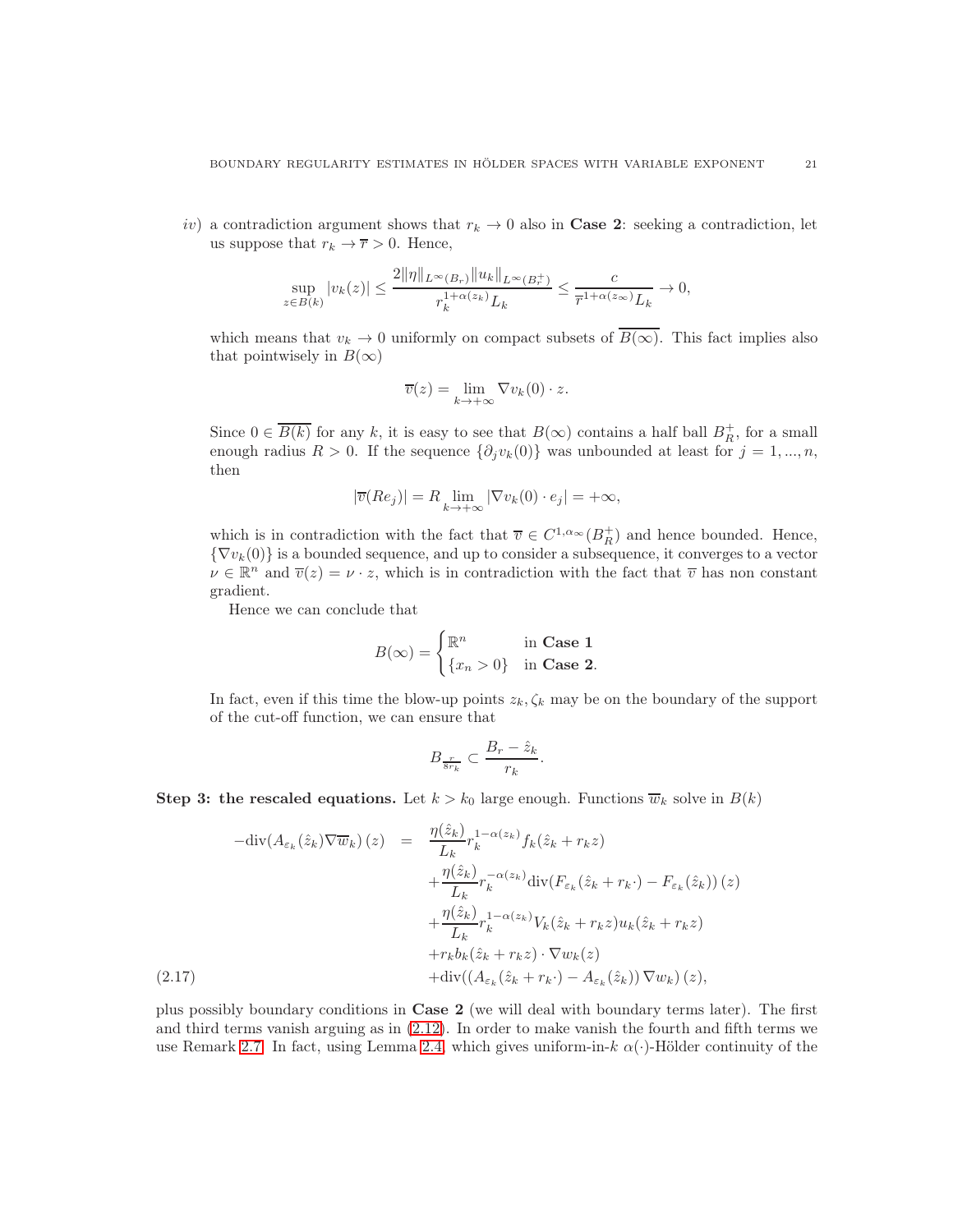iv) a contradiction argument shows that  $r_k \to 0$  also in **Case 2**: seeking a contradiction, let us suppose that  $r_k \to \overline{r} > 0$ . Hence,

$$
\sup_{z \in B(k)} |v_k(z)| \le \frac{2\|\eta\|_{L^\infty(B_r)} \|u_k\|_{L^\infty(B_r^+)} }{r_k^{1+\alpha(z_k)} L_k} \le \frac{c}{\overline{r}^{1+\alpha(z_\infty)} L_k} \to 0,
$$

which means that  $v_k \to 0$  uniformly on compact subsets of  $\overline{B(\infty)}$ . This fact implies also that pointwisely in  $B(\infty)$ 

$$
\overline{v}(z) = \lim_{k \to +\infty} \nabla v_k(0) \cdot z.
$$

Since  $0 \in \overline{B(k)}$  for any k, it is easy to see that  $B(\infty)$  contains a half ball  $B_R^+$ , for a small enough radius R > 0. If the sequence  $\{\partial_j v_k(0)\}\$  was unbounded at least for  $j = 1, ..., n$ , then

$$
|\overline{v}(Re_j)| = R \lim_{k \to +\infty} |\nabla v_k(0) \cdot e_j| = +\infty,
$$

which is in contradiction with the fact that  $\overline{v} \in C^{1,\alpha}(\overline{B_R^+})$  and hence bounded. Hence,  ${\nabla v_k(0)}$  is a bounded sequence, and up to consider a subsequence, it converges to a vector  $\nu \in \mathbb{R}^n$  and  $\overline{v}(z) = \nu \cdot z$ , which is in contradiction with the fact that  $\overline{v}$  has non constant gradient.

Hence we can conclude that

$$
B(\infty) = \begin{cases} \mathbb{R}^n & \text{in Case 1} \\ \{x_n > 0\} & \text{in Case 2.} \end{cases}
$$

In fact, even if this time the blow-up points  $z_k, \zeta_k$  may be on the boundary of the support of the cut-off function, we can ensure that

$$
B_{\frac{r}{8r_k}} \subset \frac{B_r - \hat{z}_k}{r_k}.
$$

**Step 3: the rescaled equations.** Let  $k > k_0$  large enough. Functions  $\overline{w}_k$  solve in  $B(k)$ 

<span id="page-20-0"></span>
$$
-\text{div}(A_{\varepsilon_k}(\hat{z}_k)\nabla \overline{w}_k)(z) = \frac{\eta(\hat{z}_k)}{L_k} r_k^{1-\alpha(z_k)} f_k(\hat{z}_k + r_k z) + \frac{\eta(\hat{z}_k)}{L_k} r_k^{-\alpha(z_k)} \text{div}(F_{\varepsilon_k}(\hat{z}_k + r_k \cdot) - F_{\varepsilon_k}(\hat{z}_k)) (z) + \frac{\eta(\hat{z}_k)}{L_k} r_k^{1-\alpha(z_k)} V_k(\hat{z}_k + r_k z) u_k(\hat{z}_k + r_k z) + r_k b_k(\hat{z}_k + r_k z) \cdot \nabla w_k(z) + \text{div}((A_{\varepsilon_k}(\hat{z}_k + r_k \cdot) - A_{\varepsilon_k}(\hat{z}_k)) \nabla w_k) (z),
$$

plus possibly boundary conditions in Case 2 (we will deal with boundary terms later). The first and third terms vanish arguing as in [\(2.12\)](#page-14-1). In order to make vanish the fourth and fifth terms we use Remark [2.7.](#page-17-2) In fact, using Lemma [2.4,](#page-9-0) which gives uniform-in- $k \alpha(\cdot)$ -Hölder continuity of the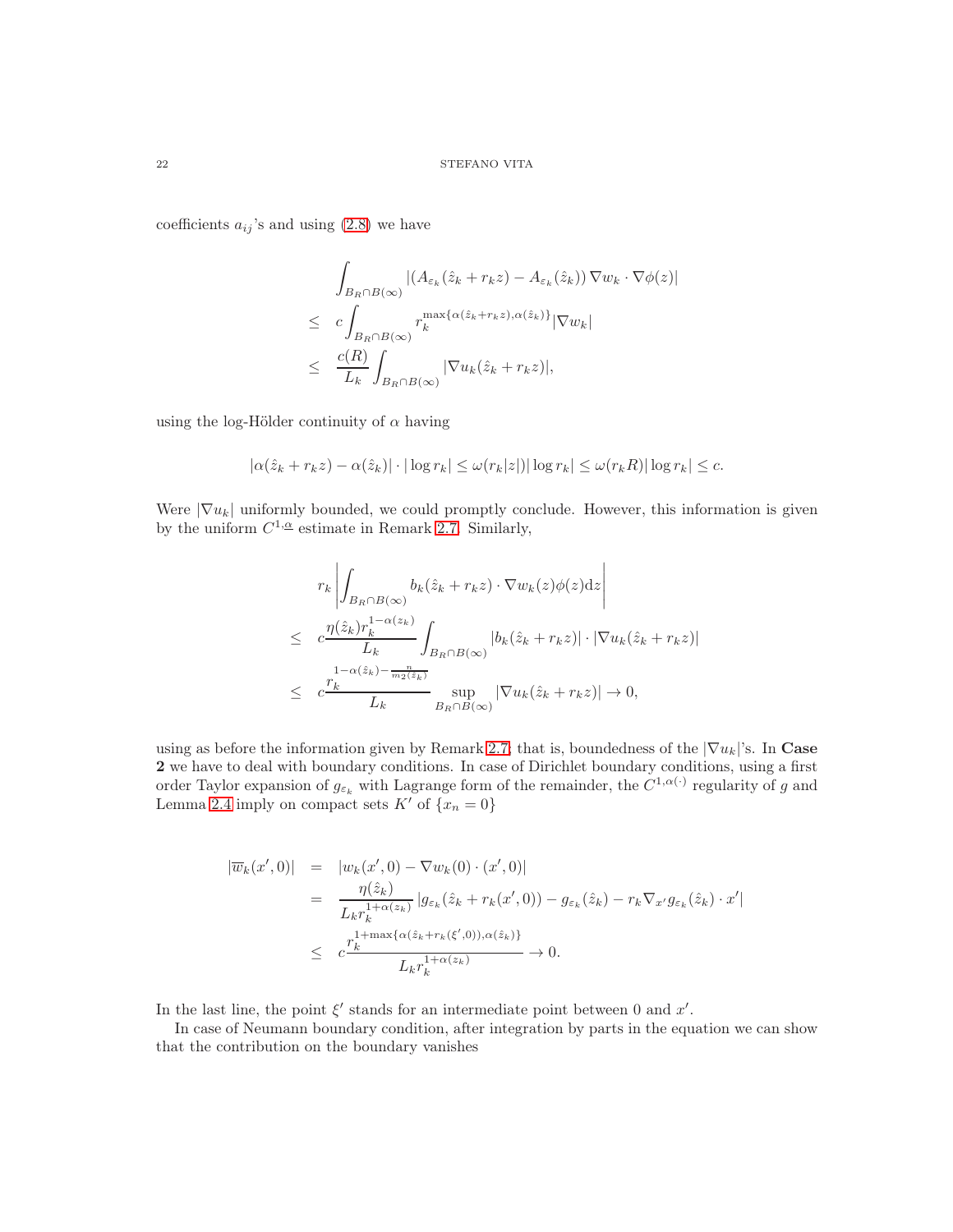coefficients  $a_{ij}$ 's and using  $(2.8)$  we have

$$
\int_{B_R \cap B(\infty)} |(A_{\varepsilon_k}(\hat{z}_k + r_k z) - A_{\varepsilon_k}(\hat{z}_k)) \nabla w_k \cdot \nabla \phi(z)|
$$
\n
$$
\leq c \int_{B_R \cap B(\infty)} r_k^{\max\{\alpha(\hat{z}_k + r_k z), \alpha(\hat{z}_k)\}} |\nabla w_k|
$$
\n
$$
\leq \frac{c(R)}{L_k} \int_{B_R \cap B(\infty)} |\nabla u_k(\hat{z}_k + r_k z)|,
$$

using the log-Hölder continuity of  $\alpha$  having

$$
|\alpha(\hat{z}_k + r_k z) - \alpha(\hat{z}_k)| \cdot |\log r_k| \le \omega(r_k|z|) |\log r_k| \le \omega(r_k R) |\log r_k| \le c.
$$

Were  $|\nabla u_k|$  uniformly bounded, we could promptly conclude. However, this information is given by the uniform  $C^{1,\underline{\alpha}}$  estimate in Remark [2.7.](#page-17-2) Similarly,

$$
r_k \left| \int_{B_R \cap B(\infty)} b_k(\hat{z}_k + r_k z) \cdot \nabla w_k(z) \phi(z) dz \right|
$$
  
\n
$$
\leq c \frac{\eta(\hat{z}_k) r_k^{1-\alpha(z_k)}}{L_k} \int_{B_R \cap B(\infty)} |b_k(\hat{z}_k + r_k z)| \cdot |\nabla u_k(\hat{z}_k + r_k z)|
$$
  
\n
$$
\leq c \frac{r_k^{1-\alpha(\hat{z}_k) - \frac{n}{m_2(\hat{z}_k)}}}{L_k} \sup_{B_R \cap B(\infty)} |\nabla u_k(\hat{z}_k + r_k z)| \to 0,
$$

using as before the information given by Remark [2.7;](#page-17-2) that is, boundedness of the  $|\nabla u_k|$ 's. In Case 2 we have to deal with boundary conditions. In case of Dirichlet boundary conditions, using a first order Taylor expansion of  $g_{\varepsilon_k}$  with Lagrange form of the remainder, the  $C^{1,\alpha(\cdot)}$  regularity of g and Lemma [2.4](#page-9-0) imply on compact sets  $K'$  of  $\{x_n = 0\}$ 

$$
\begin{array}{rcl}\n|\overline{w}_k(x',0)| & = & |w_k(x',0) - \nabla w_k(0) \cdot (x',0)| \\
& = & \frac{\eta(\hat{z}_k)}{L_k r_k^{1+\alpha(z_k)}} \left| g_{\varepsilon_k}(\hat{z}_k + r_k(x',0)) - g_{\varepsilon_k}(\hat{z}_k) - r_k \nabla_{x'} g_{\varepsilon_k}(\hat{z}_k) \cdot x' \right| \\
& \leq & c \frac{r_k^{1+\max\{\alpha(\hat{z}_k + r_k(\xi',0)), \alpha(\hat{z}_k)\}}}{L_k r_k^{1+\alpha(z_k)}} \to 0.\n\end{array}
$$

In the last line, the point  $\xi'$  stands for an intermediate point between 0 and  $x'$ .

In case of Neumann boundary condition, after integration by parts in the equation we can show that the contribution on the boundary vanishes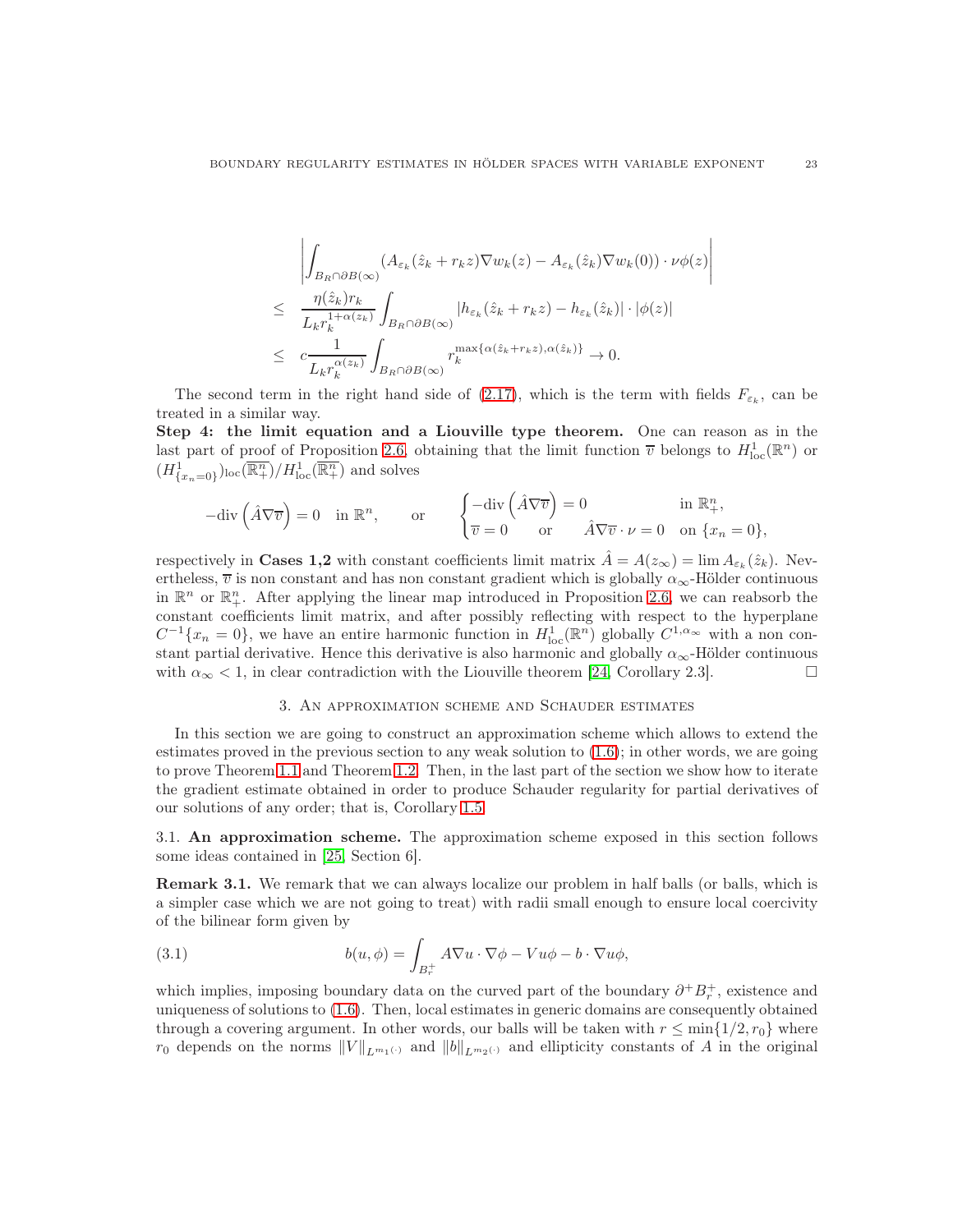$$
\left| \int_{B_R \cap \partial B(\infty)} (A_{\varepsilon_k}(\hat{z}_k + r_k z) \nabla w_k(z) - A_{\varepsilon_k}(\hat{z}_k) \nabla w_k(0)) \cdot \nu \phi(z) \right|
$$
  
\n
$$
\leq \frac{\eta(\hat{z}_k) r_k}{L_k r_k^{1 + \alpha(z_k)}} \int_{B_R \cap \partial B(\infty)} |h_{\varepsilon_k}(\hat{z}_k + r_k z) - h_{\varepsilon_k}(\hat{z}_k)| \cdot |\phi(z)|
$$
  
\n
$$
\leq c \frac{1}{L_k r_k^{\alpha(z_k)}} \int_{B_R \cap \partial B(\infty)} r_k^{\max{\{\alpha(\hat{z}_k + r_k z), \alpha(\hat{z}_k)\}} \to 0.
$$

The second term in the right hand side of [\(2.17\)](#page-20-0), which is the term with fields  $F_{\varepsilon_k}$ , can be treated in a similar way.

Step 4: the limit equation and a Liouville type theorem. One can reason as in the last part of proof of Proposition [2.6,](#page-11-1) obtaining that the limit function  $\overline{v}$  belongs to  $H_{\text{loc}}^1(\mathbb{R}^n)$  or  $(H_{\{x_n=0\}}^1)_{\text{loc}}(\overline{\mathbb{R}^n_+})/H_{\text{loc}}^1(\overline{\mathbb{R}^n_+})$  and solves

$$
-\text{div}\left(\hat{A}\nabla\overline{v}\right) = 0 \quad \text{in } \mathbb{R}^n, \qquad \text{or} \qquad \begin{cases} -\text{div}\left(\hat{A}\nabla\overline{v}\right) = 0 & \text{in } \mathbb{R}^n_+, \\ \overline{v} = 0 & \text{or} \qquad \hat{A}\nabla\overline{v} \cdot \nu = 0 & \text{on } \{x_n = 0\}, \end{cases}
$$

respectively in **Cases 1,2** with constant coefficients limit matrix  $\hat{A} = A(z_{\infty}) = \lim A_{\varepsilon_k}(\hat{z}_k)$ . Nevertheless,  $\overline{v}$  is non constant and has non constant gradient which is globally  $\alpha_{\infty}$ -Hölder continuous in  $\mathbb{R}^n$  or  $\mathbb{R}^n_+$ . After applying the linear map introduced in Proposition [2.6,](#page-11-1) we can reabsorb the constant coefficients limit matrix, and after possibly reflecting with respect to the hyperplane  $C^{-1}\lbrace x_n=0\rbrace$ , we have an entire harmonic function in  $H_{\text{loc}}^1(\mathbb{R}^n)$  globally  $C^{1,\alpha_\infty}$  with a non constant partial derivative. Hence this derivative is also harmonic and globally  $\alpha_{\infty}$ -Hölder continuous with  $\alpha_{\infty}$  < 1, in clear contradiction with the Liouville theorem [\[24,](#page-29-6) Corollary 2.3].

# 3. An approximation scheme and Schauder estimates

In this section we are going to construct an approximation scheme which allows to extend the estimates proved in the previous section to any weak solution to [\(1.6\)](#page-2-1); in other words, we are going to prove Theorem [1.1](#page-3-1) and Theorem [1.2.](#page-3-0) Then, in the last part of the section we show how to iterate the gradient estimate obtained in order to produce Schauder regularity for partial derivatives of our solutions of any order; that is, Corollary [1.5.](#page-4-1)

3.1. An approximation scheme. The approximation scheme exposed in this section follows some ideas contained in [\[25,](#page-29-12) Section 6].

<span id="page-22-0"></span>Remark 3.1. We remark that we can always localize our problem in half balls (or balls, which is a simpler case which we are not going to treat) with radii small enough to ensure local coercivity of the bilinear form given by

<span id="page-22-1"></span>(3.1) 
$$
b(u, \phi) = \int_{B_r^+} A \nabla u \cdot \nabla \phi - V u \phi - b \cdot \nabla u \phi,
$$

which implies, imposing boundary data on the curved part of the boundary  $\partial^+ B^+_r$ , existence and uniqueness of solutions to [\(1.6\)](#page-2-1). Then, local estimates in generic domains are consequently obtained through a covering argument. In other words, our balls will be taken with  $r \le \min\{1/2, r_0\}$  where  $r_0$  depends on the norms  $||V||_{L^{m_1(\cdot)}}$  and  $||b||_{L^{m_2(\cdot)}}$  and ellipticity constants of A in the original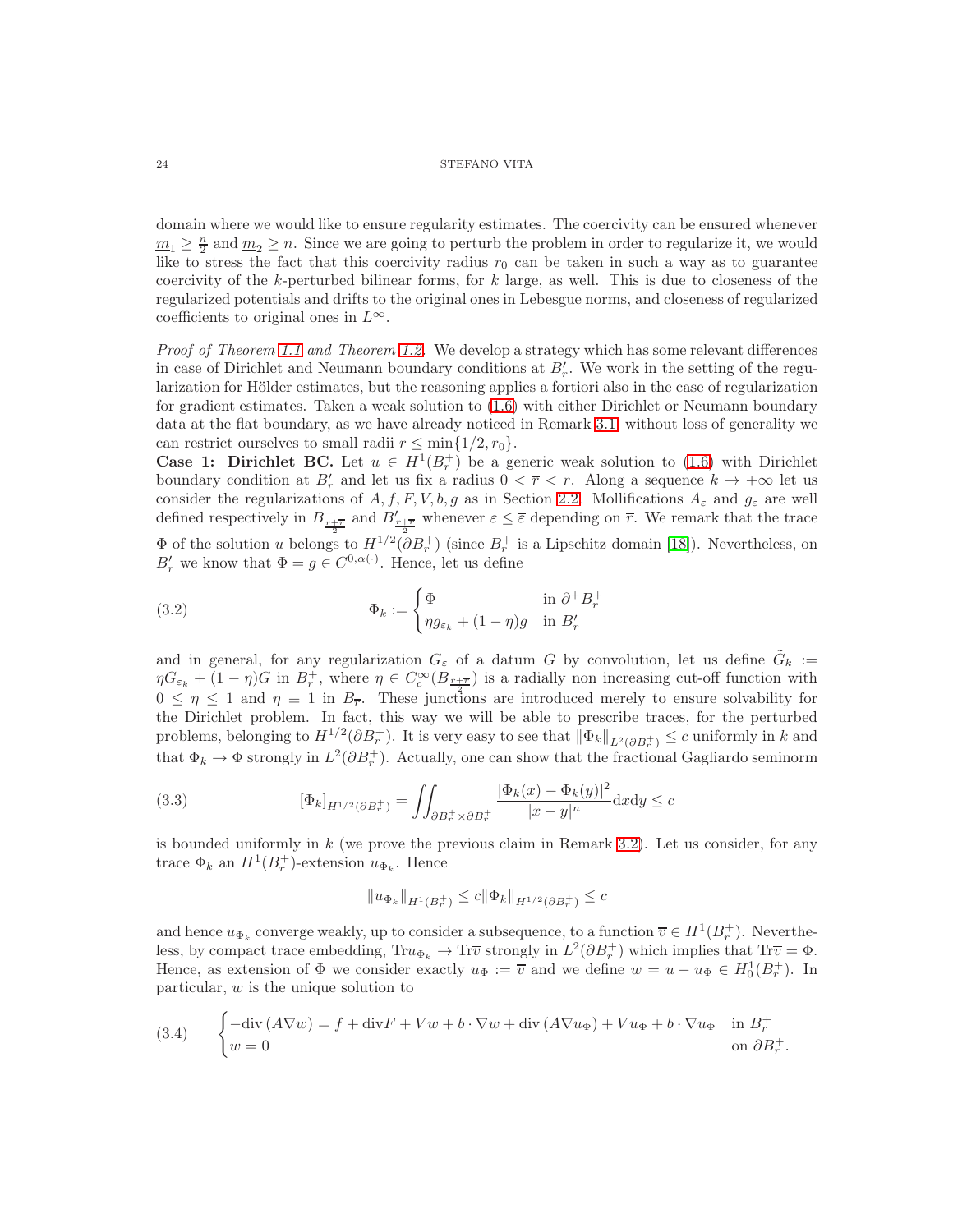domain where we would like to ensure regularity estimates. The coercivity can be ensured whenever  $m_1 \geq \frac{n}{2}$  and  $m_2 \geq n$ . Since we are going to perturb the problem in order to regularize it, we would like to stress the fact that this coercivity radius  $r_0$  can be taken in such a way as to guarantee coercivity of the k-perturbed bilinear forms, for  $k$  large, as well. This is due to closeness of the regularized potentials and drifts to the original ones in Lebesgue norms, and closeness of regularized coefficients to original ones in  $L^{\infty}$ .

Proof of Theorem [1.1](#page-3-1) and Theorem [1.2.](#page-3-0) We develop a strategy which has some relevant differences in case of Dirichlet and Neumann boundary conditions at  $B'_r$ . We work in the setting of the regularization for Hölder estimates, but the reasoning applies a fortiori also in the case of regularization for gradient estimates. Taken a weak solution to [\(1.6\)](#page-2-1) with either Dirichlet or Neumann boundary data at the flat boundary, as we have already noticed in Remark [3.1,](#page-22-0) without loss of generality we can restrict ourselves to small radii  $r \leq \min\{1/2, r_0\}.$ 

**Case 1: Dirichlet BC.** Let  $u \in H^1(B_r^+)$  be a generic weak solution to [\(1.6\)](#page-2-1) with Dirichlet boundary condition at  $B'_r$  and let us fix a radius  $0 < \overline{r} < r$ . Along a sequence  $k \to +\infty$  let us consider the regularizations of A, f, F, V, b, g as in Section [2.2.](#page-7-0) Mollifications  $A_{\varepsilon}$  and  $g_{\varepsilon}$  are well defined respectively in  $B_{\frac{r+\overline{r}}{2}}^+$  and  $B_{\frac{r+\overline{r}}{2}}'$  whenever  $\varepsilon \leq \overline{\varepsilon}$  depending on  $\overline{r}$ . We remark that the trace  $\Phi$  of the solution u belongs to  $H^{1/2}(\partial B_r^+)$  (since  $B_r^+$  is a Lipschitz domain [\[18\]](#page-29-13)). Nevertheless, on  $B'_r$  we know that  $\Phi = g \in C^{0,\alpha(\cdot)}$ . Hence, let us define

<span id="page-23-1"></span>(3.2) 
$$
\Phi_k := \begin{cases} \Phi & \text{in } \partial^+ B_r^+ \\ \eta g_{\varepsilon_k} + (1 - \eta)g & \text{in } B'_r \end{cases}
$$

and in general, for any regularization  $G_{\varepsilon}$  of a datum G by convolution, let us define  $\tilde{G}_k :=$  $\eta G_{\varepsilon_k} + (1 - \eta)G$  in  $B_r^+$ , where  $\eta \in C_c^{\infty}(B_{\frac{r+\overline{r}}{2}})$  is a radially non increasing cut-off function with  $0 \leq \eta \leq 1$  and  $\eta \equiv 1$  in  $B_{\overline{r}}$ . These junctions are introduced merely to ensure solvability for the Dirichlet problem. In fact, this way we will be able to prescribe traces, for the perturbed problems, belonging to  $H^{1/2}(\partial B_r^+)$ . It is very easy to see that  $\|\Phi_k\|_{L^2(\partial B_r^+)} \leq c$  uniformly in k and that  $\Phi_k \to \Phi$  strongly in  $L^2(\partial B_r^+)$ . Actually, one can show that the fractional Gagliardo seminorm

(3.3) 
$$
[\Phi_k]_{H^{1/2}(\partial B_r^+)} = \iint_{\partial B_r^+ \times \partial B_r^+} \frac{|\Phi_k(x) - \Phi_k(y)|^2}{|x - y|^n} dxdy \leq c
$$

is bounded uniformly in  $k$  (we prove the previous claim in Remark [3.2\)](#page-25-0). Let us consider, for any trace  $\Phi_k$  an  $H^1(B_r^+)$ -extension  $u_{\Phi_k}$ . Hence

<span id="page-23-2"></span>
$$
||u_{\Phi_k}||_{H^1(B_r^+)} \le c||\Phi_k||_{H^{1/2}(\partial B_r^+)} \le c
$$

and hence  $u_{\Phi_k}$  converge weakly, up to consider a subsequence, to a function  $\overline{v} \in H^1(B_r^+)$ . Nevertheless, by compact trace embedding,  $\text{Tr}u_{\Phi_k} \to \text{Tr}\overline{v}$  strongly in  $L^2(\partial B_r^+)$  which implies that  $\text{Tr}\overline{v} = \Phi$ . Hence, as extension of  $\Phi$  we consider exactly  $u_{\Phi} := \overline{v}$  and we define  $w = u - u_{\Phi} \in H_0^1(B_r^+)$ . In particular, w is the unique solution to

<span id="page-23-0"></span>(3.4) 
$$
\begin{cases}\n-\text{div}(A\nabla w) = f + \text{div}F + Vw + b \cdot \nabla w + \text{div}(A\nabla u_{\Phi}) + V u_{\Phi} + b \cdot \nabla u_{\Phi} & \text{in } B_r^+ \\
w = 0 & \text{on } \partial B_r^+.\n\end{cases}
$$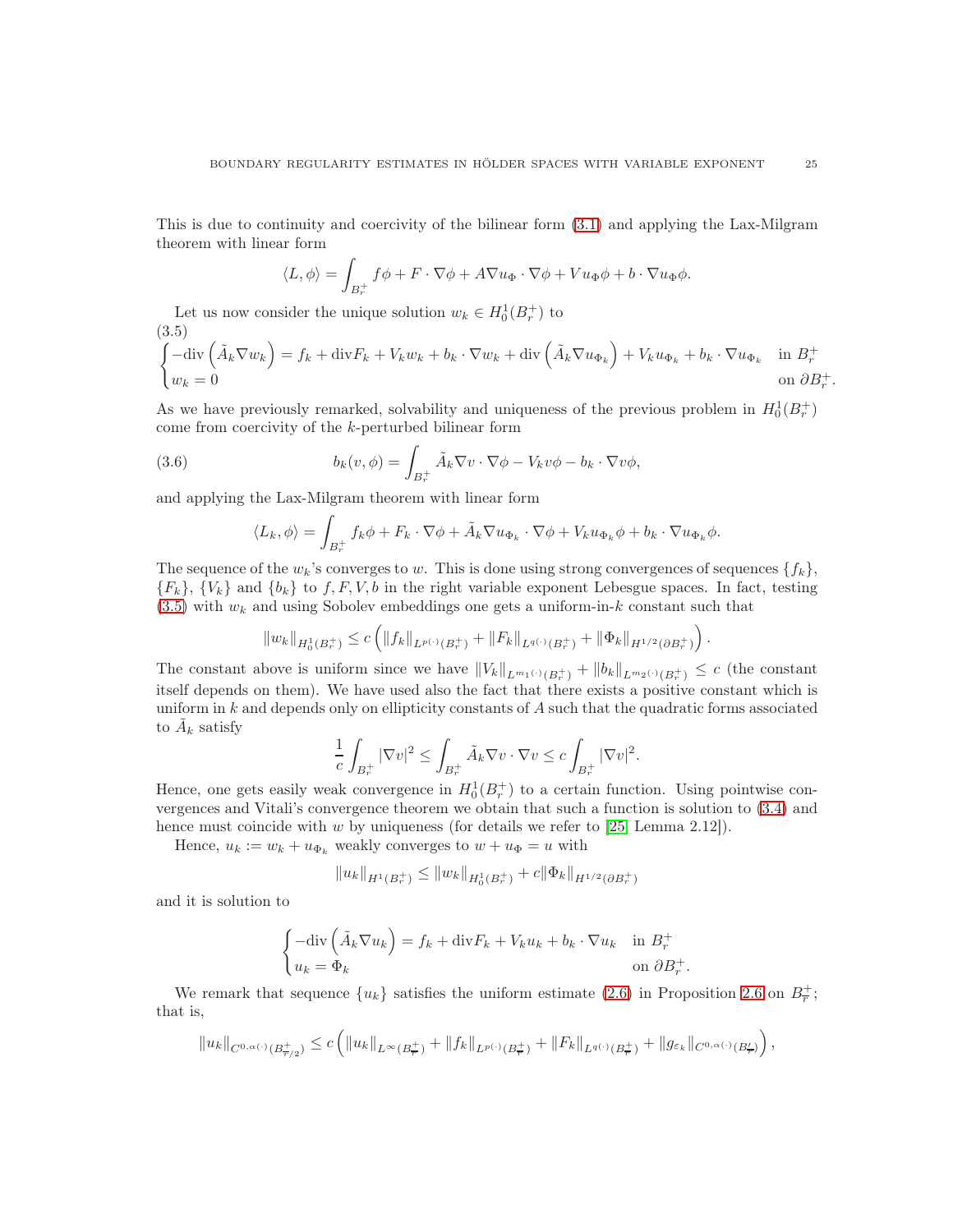This is due to continuity and coercivity of the bilinear form [\(3.1\)](#page-22-1) and applying the Lax-Milgram theorem with linear form

$$
\langle L, \phi \rangle = \int_{B_r^+} f \phi + F \cdot \nabla \phi + A \nabla u_{\Phi} \cdot \nabla \phi + V u_{\Phi} \phi + b \cdot \nabla u_{\Phi} \phi.
$$

Let us now consider the unique solution  $w_k \in H_0^1(B_r^+)$  to (3.5)

<span id="page-24-0"></span>
$$
\begin{cases}\n-\text{div}\left(\tilde{A}_k \nabla w_k\right) = f_k + \text{div}F_k + V_k w_k + b_k \cdot \nabla w_k + \text{div}\left(\tilde{A}_k \nabla u_{\Phi_k}\right) + V_k u_{\Phi_k} + b_k \cdot \nabla u_{\Phi_k} & \text{in } B_r^+ \\
w_k = 0 & \text{on } \partial B_r^+\n\end{cases}
$$

As we have previously remarked, solvability and uniqueness of the previous problem in  $H_0^1(B_r^+)$ come from coercivity of the k-perturbed bilinear form

(3.6) 
$$
b_k(v, \phi) = \int_{B_r^+} \tilde{A}_k \nabla v \cdot \nabla \phi - V_k v \phi - b_k \cdot \nabla v \phi,
$$

and applying the Lax-Milgram theorem with linear form

<span id="page-24-1"></span>
$$
\langle L_k, \phi \rangle = \int_{B_r^+} f_k \phi + F_k \cdot \nabla \phi + \tilde{A}_k \nabla u_{\Phi_k} \cdot \nabla \phi + V_k u_{\Phi_k} \phi + b_k \cdot \nabla u_{\Phi_k} \phi.
$$

The sequence of the  $w_k$ 's converges to w. This is done using strong convergences of sequences  $\{f_k\}$ ,  ${F_k}, {V_k}$  and  ${b_k}$  to f, F, V, b in the right variable exponent Lebesgue spaces. In fact, testing  $(3.5)$  with  $w_k$  and using Sobolev embeddings one gets a uniform-in-k constant such that

$$
||w_k||_{H_0^1(B_r^+)} \leq c \left( ||f_k||_{L^{p(\cdot)}(B_r^+)} + ||F_k||_{L^{q(\cdot)}(B_r^+)} + ||\Phi_k||_{H^{1/2}(\partial B_r^+)} \right).
$$

The constant above is uniform since we have  $||V_k||_{L^{m_1(\cdot)}(B_r^+)} + ||b_k||_{L^{m_2(\cdot)}(B_r^+)} \leq c$  (the constant itself depends on them). We have used also the fact that there exists a positive constant which is uniform in k and depends only on ellipticity constants of A such that the quadratic forms associated to  $\tilde{A}_k$  satisfy

$$
\frac{1}{c} \int_{B_r^+} |\nabla v|^2 \le \int_{B_r^+} \tilde{A}_k \nabla v \cdot \nabla v \le c \int_{B_r^+} |\nabla v|^2.
$$

Hence, one gets easily weak convergence in  $H_0^1(B_r^+)$  to a certain function. Using pointwise convergences and Vitali's convergence theorem we obtain that such a function is solution to [\(3.4\)](#page-23-0) and hence must coincide with  $w$  by uniqueness (for details we refer to [\[25,](#page-29-12) Lemma 2.12]).

Hence,  $u_k := w_k + u_{\Phi_k}$  weakly converges to  $w + u_{\Phi} = u$  with

$$
||u_k||_{H^1(B_r^+)} \le ||w_k||_{H^1_0(B_r^+)} + c||\Phi_k||_{H^{1/2}(\partial B_r^+)}
$$

and it is solution to

$$
\begin{cases}\n-\text{div}\left(\tilde{A}_k \nabla u_k\right) = f_k + \text{div} F_k + V_k u_k + b_k \cdot \nabla u_k & \text{in } B_r^+ \\
u_k = \Phi_k & \text{on } \partial B_r^+.\n\end{cases}
$$

We remark that sequence  $\{u_k\}$  satisfies the uniform estimate [\(2.6\)](#page-11-0) in Proposition [2.6](#page-11-1) on  $B_{\overline{r}}^+$ ; that is,

$$
||u_k||_{C^{0,\alpha(\cdot)}(B^+_{\overline{r}/2})} \leq c \left( ||u_k||_{L^{\infty}(B^+_{\overline{r}})} + ||f_k||_{L^{p(\cdot)}(B^+_{\overline{r}})} + ||F_k||_{L^{q(\cdot)}(B^+_{\overline{r}})} + ||g_{\varepsilon_k}||_{C^{0,\alpha(\cdot)}(B^{\prime}_{\overline{r}})} \right),
$$

.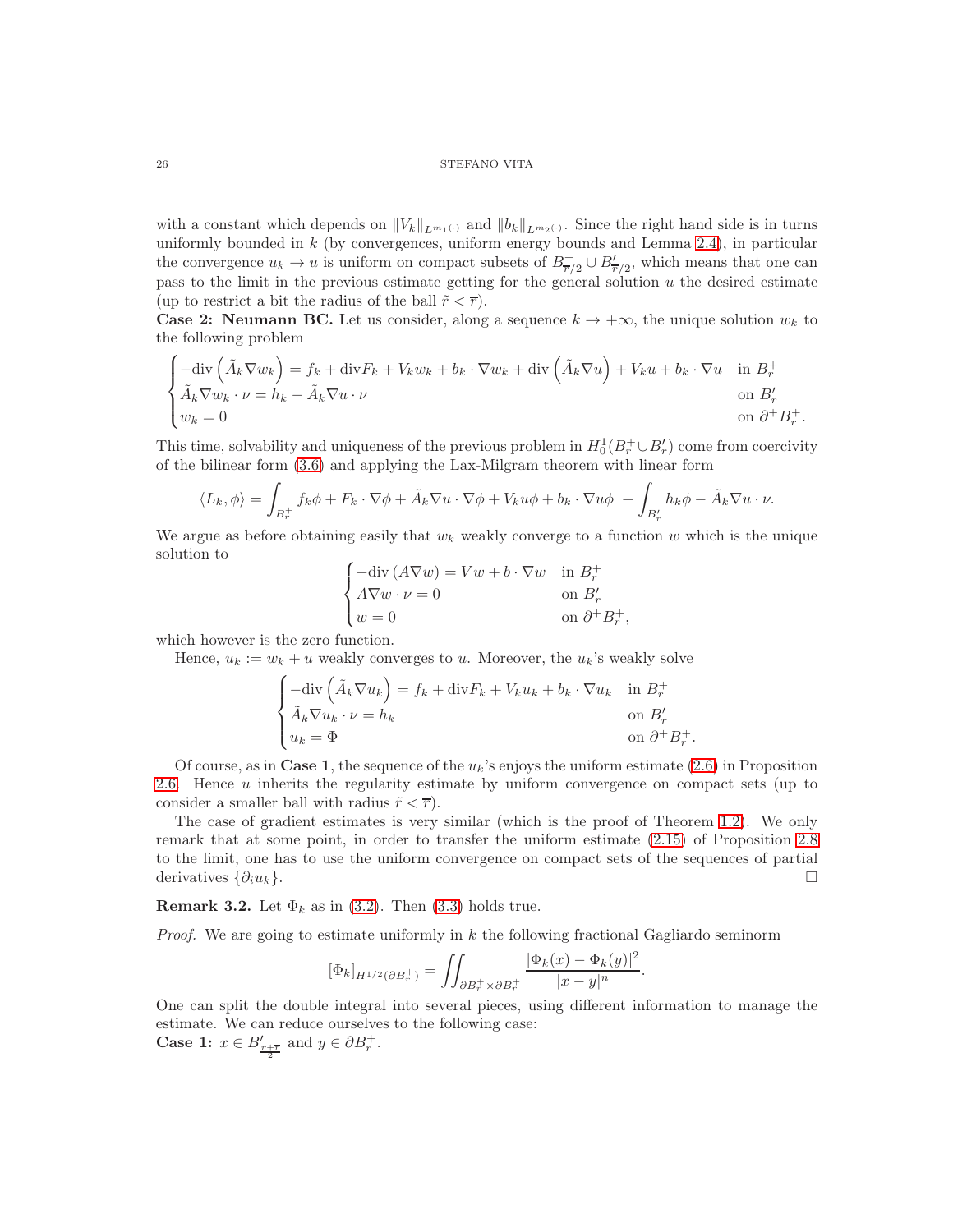with a constant which depends on  $||V_k||_{L^{m_1(\cdot)}}$  and  $||b_k||_{L^{m_2(\cdot)}}$ . Since the right hand side is in turns uniformly bounded in  $k$  (by convergences, uniform energy bounds and Lemma [2.4\)](#page-9-0), in particular the convergence  $u_k \to u$  is uniform on compact subsets of  $B^+_{\overline{r}/2} \cup B'_{\overline{r}/2}$ , which means that one can pass to the limit in the previous estimate getting for the general solution  $u$  the desired estimate (up to restrict a bit the radius of the ball  $\tilde{r} < \overline{r}$ ).

**Case 2: Neumann BC.** Let us consider, along a sequence  $k \to +\infty$ , the unique solution  $w_k$  to the following problem

$$
\begin{cases}\n-\text{div}\left(\tilde{A}_k \nabla w_k\right) = f_k + \text{div} F_k + V_k w_k + b_k \cdot \nabla w_k + \text{div}\left(\tilde{A}_k \nabla u\right) + V_k u + b_k \cdot \nabla u & \text{in } B_r^+ \\
\tilde{A}_k \nabla w_k \cdot \nu = h_k - \tilde{A}_k \nabla u \cdot \nu & \text{on } B'_r \\
w_k = 0 & \text{on } \partial^+ B_r^+.\n\end{cases}
$$

This time, solvability and uniqueness of the previous problem in  $H_0^1(B_r^+ \cup B_r')$  come from coercivity of the bilinear form [\(3.6\)](#page-24-1) and applying the Lax-Milgram theorem with linear form

$$
\langle L_k, \phi \rangle = \int_{B_r^+} f_k \phi + F_k \cdot \nabla \phi + \tilde{A}_k \nabla u \cdot \nabla \phi + V_k u \phi + b_k \cdot \nabla u \phi + \int_{B'_r} h_k \phi - \tilde{A}_k \nabla u \cdot \nu.
$$

We argue as before obtaining easily that  $w_k$  weakly converge to a function w which is the unique solution to

$$
\begin{cases}\n-\text{div}\,(A\nabla w) = Vw + b \cdot \nabla w & \text{in } B_r^+ \\
A\nabla w \cdot \nu = 0 & \text{on } B_r' \\
w = 0 & \text{on } \partial^+ B_r^+\n\end{cases}
$$

,

which however is the zero function.

Hence,  $u_k := w_k + u$  weakly converges to u. Moreover, the  $u_k$ 's weakly solve

$$
\begin{cases}\n-\text{div}\left(\tilde{A}_k \nabla u_k\right) = f_k + \text{div} F_k + V_k u_k + b_k \cdot \nabla u_k & \text{in } B_r^+ \\
\tilde{A}_k \nabla u_k \cdot \nu = h_k & \text{on } B'_r \\
u_k = \Phi & \text{on } \partial^+ B_r^+.\n\end{cases}
$$

Of course, as in Case 1, the sequence of the  $u_k$ 's enjoys the uniform estimate [\(2.6\)](#page-11-0) in Proposition [2.6.](#page-11-1) Hence u inherits the regularity estimate by uniform convergence on compact sets (up to consider a smaller ball with radius  $\tilde{r} < \overline{r}$ ).

The case of gradient estimates is very similar (which is the proof of Theorem [1.2\)](#page-3-0). We only remark that at some point, in order to transfer the uniform estimate [\(2.15\)](#page-17-1) of Proposition [2.8](#page-18-0) to the limit, one has to use the uniform convergence on compact sets of the sequences of partial derivatives  $\{\partial_i u_k\}.$ 

<span id="page-25-0"></span>**Remark 3.2.** Let  $\Phi_k$  as in [\(3.2\)](#page-23-1). Then [\(3.3\)](#page-23-2) holds true.

*Proof.* We are going to estimate uniformly in  $k$  the following fractional Gagliardo seminorm

$$
[\Phi_k]_{H^{1/2}(\partial B_r^+)} = \iint_{\partial B_r^+ \times \partial B_r^+} \frac{|\Phi_k(x) - \Phi_k(y)|^2}{|x - y|^n}.
$$

One can split the double integral into several pieces, using different information to manage the estimate. We can reduce ourselves to the following case: **Case 1:**  $x \in B'_{\frac{r+\overline{r}}{2}}$  and  $y \in \partial B_r^+$ .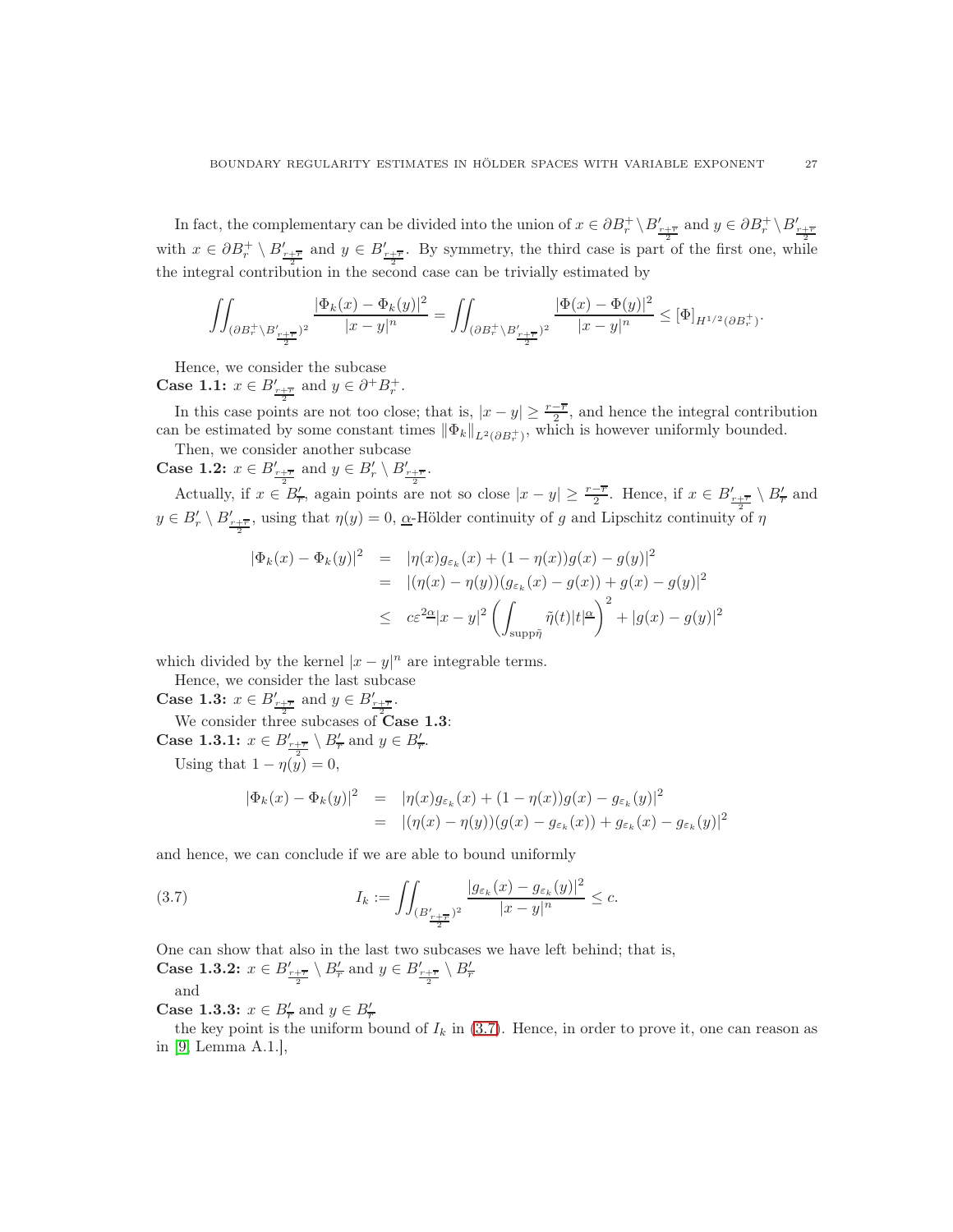In fact, the complementary can be divided into the union of  $x \in \partial B_r^+ \setminus B'_{r+\overline{r}}$  and  $y \in \partial B_r^+ \setminus B'_{r+\overline{r}}$ with  $x \in \partial B_r^+ \setminus B'_{\frac{r+\overline{r}}{2}}$  and  $y \in B'_{\frac{r+\overline{r}}{2}}$ . By symmetry, the third case is part of the first one, while the integral contribution in the second case can be trivially estimated by

$$
\iint_{(\partial B_r^+\backslash B'_{\frac{r+\overline{r}}{2}})^2}\frac{|\Phi_k(x)-\Phi_k(y)|^2}{|x-y|^n}=\iint_{(\partial B_r^+\backslash B'_{\frac{r+\overline{r}}{2}})^2}\frac{|\Phi(x)-\Phi(y)|^2}{|x-y|^n}\leq [\Phi]_{H^{1/2}(\partial B_r^+)}.
$$

Hence, we consider the subcase

**Case 1.1:**  $x \in B'_{\frac{r+\overline{r}}{r}}$  and  $y \in \partial^+ B^+_{r}$ .

In this case points are not too close; that is,  $|x-y| \geq \frac{r-\overline{r}}{2}$ , and hence the integral contribution can be estimated by some constant times  $\|\Phi_k\|_{L^2(\partial B_r^+)}$ , which is however uniformly bounded.

Then, we consider another subcase

**Case 1.2:**  $x \in B'_{\frac{r+\overline{r}}{2}}$  and  $y \in B'_{r} \setminus B'_{\frac{r+\overline{r}}{2}}$ .

Actually, if  $x \in B'_{\overline{r}}$ , again points are not so close  $|x-y| \geq \frac{r-\overline{r}}{2}$ . Hence, if  $x \in B'_{\frac{r+\overline{r}}{2}} \setminus B'_{\overline{r}}$  and  $y \in B'_r \setminus B'_{\frac{r+r}{2}}$ , using that  $\eta(y) = 0$ ,  $\alpha$ -Hölder continuity of g and Lipschitz continuity of  $\eta$ 

$$
\begin{array}{rcl}\n|\Phi_k(x) - \Phi_k(y)|^2 & = & |\eta(x)g_{\varepsilon_k}(x) + (1 - \eta(x))g(x) - g(y)|^2 \\
& = & |(\eta(x) - \eta(y))(g_{\varepsilon_k}(x) - g(x)) + g(x) - g(y)|^2 \\
& \leq & c\varepsilon^{2\underline{\alpha}}|x - y|^2 \left(\int_{\text{supp}\tilde{\eta}} \tilde{\eta}(t)|t|^{\underline{\alpha}}\right)^2 + |g(x) - g(y)|^2\n\end{array}
$$

which divided by the kernel  $|x-y|^n$  are integrable terms.

Hence, we consider the last subcase

Case 1.3:  $x \in B'_{r+\overline{r}}$  and  $y \in B'_{r+\overline{r}}$ .

We consider three subcases of **Case 1.3**:

**Case 1.3.1:**  $x \in B'_{\frac{r+\overline{r}}{2}} \setminus B'_{\overline{r}}$  and  $y \in B'_{\overline{r}}$ . Using that  $1 - \eta(y) = 0$ ,

<span id="page-26-0"></span>
$$
|\Phi_k(x) - \Phi_k(y)|^2 = |\eta(x)g_{\varepsilon_k}(x) + (1 - \eta(x))g(x) - g_{\varepsilon_k}(y)|^2
$$
  
= 
$$
|(\eta(x) - \eta(y))(g(x) - g_{\varepsilon_k}(x)) + g_{\varepsilon_k}(x) - g_{\varepsilon_k}(y)|^2
$$

and hence, we can conclude if we are able to bound uniformly

(3.7) 
$$
I_k := \iint_{(B'_{\frac{r+\overline{r}}{2}})^2} \frac{|g_{\varepsilon_k}(x) - g_{\varepsilon_k}(y)|^2}{|x - y|^n} \leq c.
$$

One can show that also in the last two subcases we have left behind; that is,

**Case 1.3.2:**  $x \in B'_{\frac{r+\overline{r}}{2}} \setminus B'_{\overline{r}}$  and  $y \in B'_{\frac{r+\overline{r}}{2}} \setminus B'_{\overline{r}}$ 

and

**Case 1.3.3:**  $x \in B'_{\overline{r}}$  and  $y \in B'_{\overline{r}}$ 

the key point is the uniform bound of  $I_k$  in [\(3.7\)](#page-26-0). Hence, in order to prove it, one can reason as in [\[9,](#page-28-12) Lemma A.1.],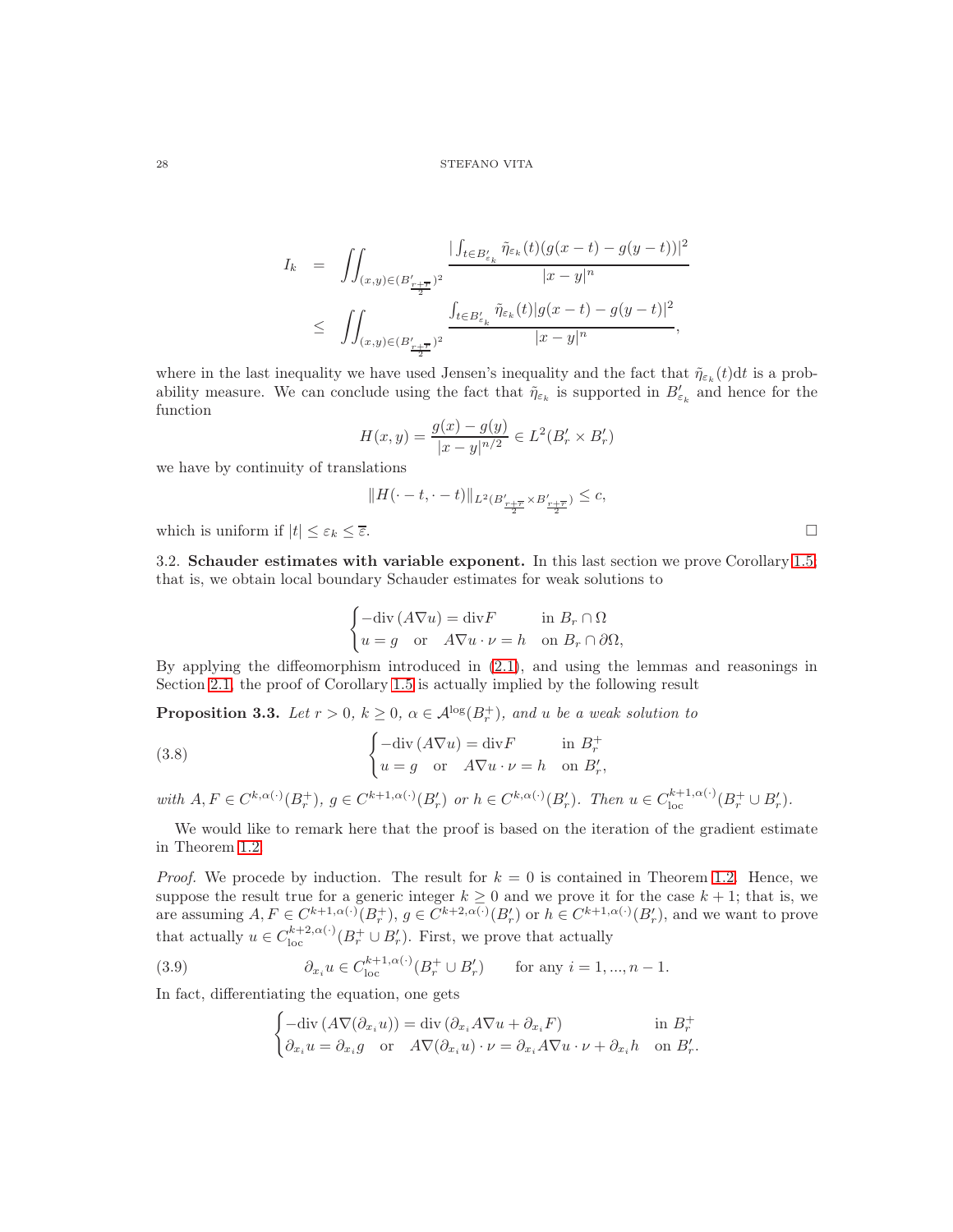$$
I_k = \iint_{(x,y)\in (B'_{\frac{r+\overline{r}}{2}})^2} \frac{|\int_{t\in B'_{\varepsilon_k}} \tilde{\eta}_{\varepsilon_k}(t)(g(x-t)-g(y-t))|^2}{|x-y|^n} \n\leq \iint_{(x,y)\in (B'_{\frac{r+\overline{r}}{2}})^2} \frac{\int_{t\in B'_{\varepsilon_k}} \tilde{\eta}_{\varepsilon_k}(t)|g(x-t)-g(y-t)|^2}{|x-y|^n},
$$

where in the last inequality we have used Jensen's inequality and the fact that  $\tilde{\eta}_{\varepsilon_k}(t)dt$  is a probability measure. We can conclude using the fact that  $\tilde{\eta}_{\varepsilon_k}$  is supported in  $B'_{\varepsilon_k}$  and hence for the function

$$
H(x,y) = \frac{g(x) - g(y)}{|x - y|^{n/2}} \in L^{2}(B'_{r} \times B'_{r})
$$

we have by continuity of translations

$$
\|H(\cdot-t,\cdot-t)\|_{L^2(B'_{\frac{r+\overline{r}}{2}}\times B'_{\frac{r+\overline{r}}{2}})}\leq c,
$$

which is uniform if  $|t| \leq \varepsilon_k \leq \overline{\varepsilon}$ .

3.2. Schauder estimates with variable exponent. In this last section we prove Corollary [1.5;](#page-4-1) that is, we obtain local boundary Schauder estimates for weak solutions to

<span id="page-27-1"></span>
$$
\begin{cases}\n-\text{div}\,(A\nabla u) = \text{div}F & \text{in } B_r \cap \Omega \\
u = g & \text{or} \quad A\nabla u \cdot \nu = h & \text{on } B_r \cap \partial\Omega,\n\end{cases}
$$

By applying the diffeomorphism introduced in [\(2.1\)](#page-4-0), and using the lemmas and reasonings in Section [2.1,](#page-4-2) the proof of Corollary [1.5](#page-4-1) is actually implied by the following result

**Proposition 3.3.** Let  $r > 0$ ,  $k \geq 0$ ,  $\alpha \in A^{\log}(B_r^+)$ , and u be a weak solution to

(3.8) 
$$
\begin{cases}\n-\text{div}(A\nabla u) = \text{div}F & \text{in } B_r^+ \\
u = g & \text{or } A\nabla u \cdot \nu = h & \text{on } B'_r,\n\end{cases}
$$

with  $A, F \in C^{k, \alpha(\cdot)}(B_r^+), g \in C^{k+1, \alpha(\cdot)}(B_r')$  or  $h \in C^{k, \alpha(\cdot)}(B_r')$ . Then  $u \in C^{k+1, \alpha(\cdot)}_{\text{loc}}(B_r^+ \cup B_r')$ .

We would like to remark here that the proof is based on the iteration of the gradient estimate in Theorem [1.2.](#page-3-0)

*Proof.* We procede by induction. The result for  $k = 0$  is contained in Theorem [1.2.](#page-3-0) Hence, we suppose the result true for a generic integer  $k \geq 0$  and we prove it for the case  $k + 1$ ; that is, we are assuming  $A, F \in C^{k+1, \alpha(\cdot)}(B_r^+), g \in C^{k+2, \alpha(\cdot)}(B_r')$  or  $h \in C^{k+1, \alpha(\cdot)}(B_r')$ , and we want to prove that actually  $u \in C_{\text{loc}}^{k+2,\alpha(\cdot)}(B_r^+ \cup B_r')$ . First, we prove that actually

(3.9) 
$$
\partial_{x_i} u \in C_{\text{loc}}^{k+1, \alpha(\cdot)}(B_r^+ \cup B_r') \quad \text{for any } i = 1, ..., n-1.
$$

In fact, differentiating the equation, one gets

<span id="page-27-0"></span>
$$
\begin{cases}\n-\text{div}\left(A\nabla(\partial_{x_i}u)\right) = \text{div}\left(\partial_{x_i}A\nabla u + \partial_{x_i}F\right) & \text{in } B_r^+ \\
\partial_{x_i}u = \partial_{x_i}g & \text{or} \quad A\nabla(\partial_{x_i}u) \cdot \nu = \partial_{x_i}A\nabla u \cdot \nu + \partial_{x_i}h & \text{on } B_r'.\n\end{cases}
$$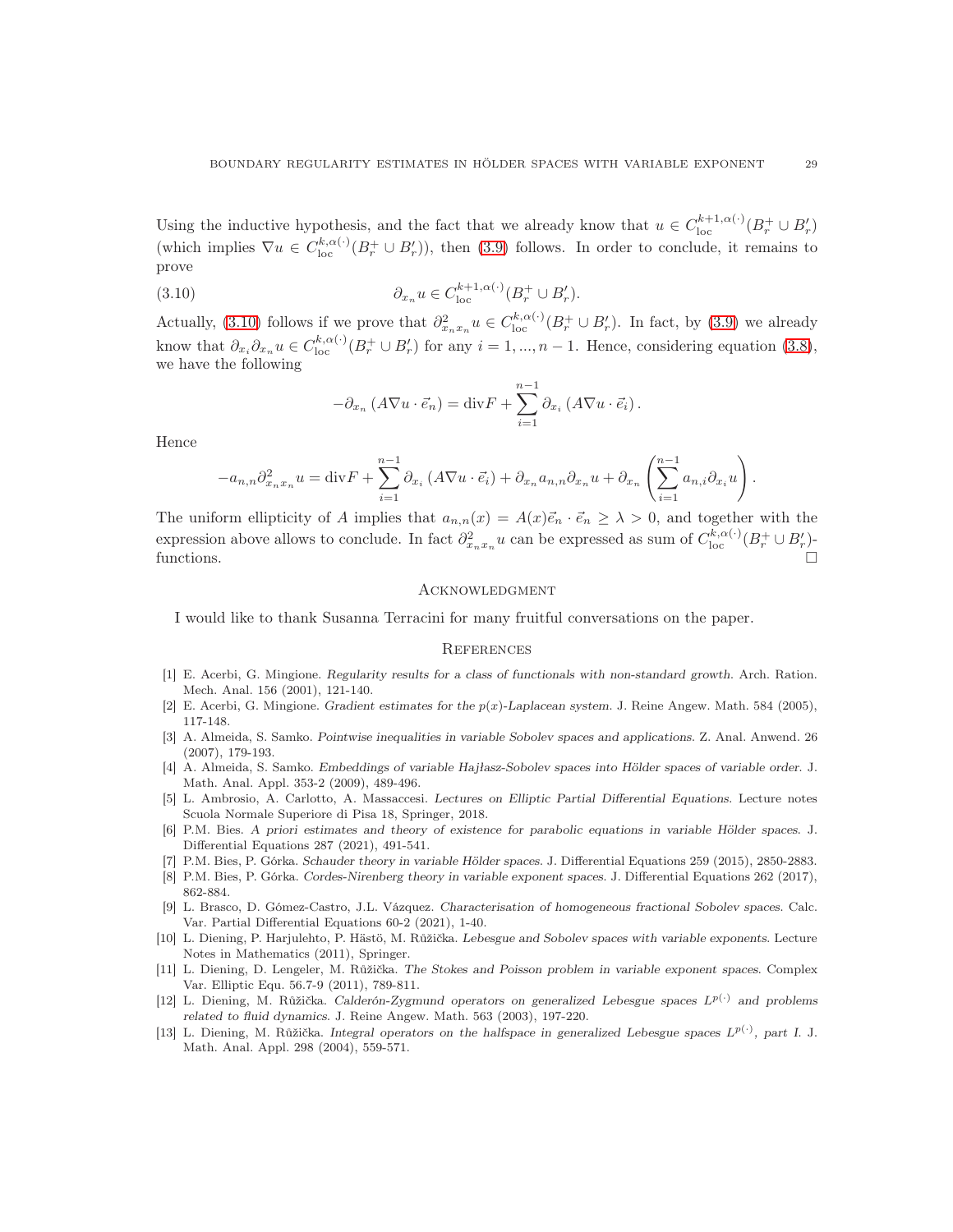Using the inductive hypothesis, and the fact that we already know that  $u \in C_{\text{loc}}^{k+1,\alpha(\cdot)}(B_r^+ \cup B_r')$ (which implies  $\nabla u \in C^{k,\alpha(\cdot)}_{loc}(B^+_r \cup B'_r)$ ), then [\(3.9\)](#page-27-0) follows. In order to conclude, it remains to prove

(3.10) 
$$
\partial_{x_n} u \in C_{\text{loc}}^{k+1,\alpha(\cdot)}(B_r^+ \cup B_r').
$$

Actually, [\(3.10\)](#page-28-13) follows if we prove that  $\partial_{x_nx_n}^2 u \in C_{\text{loc}}^{k,\alpha(\cdot)}(B_r^+ \cup B_r')$ . In fact, by [\(3.9\)](#page-27-0) we already know that  $\partial_{x_i} \partial_{x_n} u \in C_{loc}^{k, \alpha(\cdot)}(B_r^+ \cup B_r')$  for any  $i = 1, ..., n-1$ . Hence, considering equation [\(3.8\)](#page-27-1), we have the following

<span id="page-28-13"></span>
$$
-\partial_{x_n} (A \nabla u \cdot \vec{e}_n) = \text{div} F + \sum_{i=1}^{n-1} \partial_{x_i} (A \nabla u \cdot \vec{e}_i).
$$

Hence

$$
-a_{n,n}\partial_{x_nx_n}^2u = \text{div}F + \sum_{i=1}^{n-1} \partial_{x_i} \left( A \nabla u \cdot \vec{e_i} \right) + \partial_{x_n} a_{n,n} \partial_{x_n} u + \partial_{x_n} \left( \sum_{i=1}^{n-1} a_{n,i} \partial_{x_i} u \right).
$$

The uniform ellipticity of A implies that  $a_{n,n}(x) = A(x)\vec{e_n} \cdot \vec{e_n} \geq \lambda > 0$ , and together with the expression above allows to conclude. In fact  $\partial_{x_nx_n}^2 u$  can be expressed as sum of  $C^{k,\alpha(\cdot)}_{\text{loc}}(B_r^+ \cup B'_r)$ functions.

# **ACKNOWLEDGMENT**

I would like to thank Susanna Terracini for many fruitful conversations on the paper.

#### **REFERENCES**

- <span id="page-28-6"></span>[1] E. Acerbi, G. Mingione. Regularity results for a class of functionals with non-standard growth. Arch. Ration. Mech. Anal. 156 (2001), 121-140.
- <span id="page-28-9"></span><span id="page-28-7"></span>[2] E. Acerbi, G. Mingione. Gradient estimates for the  $p(x)$ -Laplacean system. J. Reine Angew. Math. 584 (2005), 117-148.
- [3] A. Almeida, S. Samko. Pointwise inequalities in variable Sobolev spaces and applications. Z. Anal. Anwend. 26 (2007), 179-193.
- <span id="page-28-10"></span>[4] A. Almeida, S. Samko. Embeddings of variable Hajłasz-Sobolev spaces into Hölder spaces of variable order. J. Math. Anal. Appl. 353-2 (2009), 489-496.
- <span id="page-28-11"></span>[5] L. Ambrosio, A. Carlotto, A. Massaccesi. Lectures on Elliptic Partial Differential Equations. Lecture notes Scuola Normale Superiore di Pisa 18, Springer, 2018.
- <span id="page-28-5"></span>[6] P.M. Bies. A priori estimates and theory of existence for parabolic equations in variable Hölder spaces. J. Differential Equations 287 (2021), 491-541.
- <span id="page-28-4"></span><span id="page-28-3"></span>[7] P.M. Bies, P. Górka. Schauder theory in variable Hölder spaces. J. Differential Equations 259 (2015), 2850-2883.
- [8] P.M. Bies, P. Górka. Cordes-Nirenberg theory in variable exponent spaces. J. Differential Equations 262 (2017), 862-884.
- <span id="page-28-12"></span>[9] L. Brasco, D. Gómez-Castro, J.L. Vázquez. Characterisation of homogeneous fractional Sobolev spaces. Calc. Var. Partial Differential Equations 60-2 (2021), 1-40.
- <span id="page-28-8"></span>[10] L. Diening, P. Harjulehto, P. Hästö, M. Růžička. Lebesgue and Sobolev spaces with variable exponents. Lecture Notes in Mathematics (2011), Springer.
- <span id="page-28-0"></span>[11] L. Diening, D. Lengeler, M. Růžička. The Stokes and Poisson problem in variable exponent spaces. Complex Var. Elliptic Equ. 56.7-9 (2011), 789-811.
- <span id="page-28-1"></span>[12] L. Diening, M. Růžička. Calderón-Zygmund operators on generalized Lebesgue spaces  $L^{p(\cdot)}$  and problems related to fluid dynamics. J. Reine Angew. Math. 563 (2003), 197-220.
- <span id="page-28-2"></span>[13] L. Diening, M. Růžička. Integral operators on the halfspace in generalized Lebesgue spaces  $L^{p(\cdot)}$ , part I. J. Math. Anal. Appl. 298 (2004), 559-571.